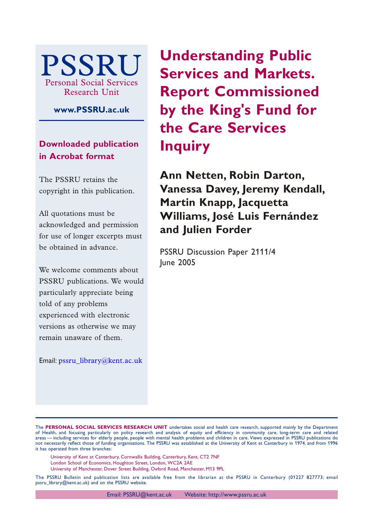

**www.PSSRU.ac.uk**

**Downloaded publication in Acrobat format**

The PSSRU retains the copyright in this publication.

All quotations must be acknowledged and permission for use of longer excerpts must be obtained in advance.

We welcome comments about PSSRU publications. We would particularly appreciate being told of any problems experienced with electronic versions as otherwise we may remain unaware of them.

Email: [pssru\\_library@kent.ac.uk](mailto:pssru_library@kent.ac.uk)

**Understanding Public Services and Markets. Report Commissioned by the King's Fund for the Care Services Inquiry**

**Ann Netten, Robin Darton, Vanessa Davey, Jeremy Kendall, Martin Knapp, Jacquetta Williams, José Luis Fernández and Julien Forder**

PSSRU Discussion Paper 2111/4 June 2005

The **PERSONAL SOCIAL SERVICES RESEARCH UNIT** undertakes social and health care research, supported mainly by the Department of Health, and focusing particularly on policy research and analysis of equity and efficiency in community care, long-term care and related areas — including services for elderly people, people with mental health problems and children in care. Views expressed in PSSRU publications do not necessarily reflect those of funding organisations. The PSSRU was established at the University of Kent at Canterbury in 1974, and from 1996 it has operated from three branches:

University of Kent at Canterbury, Cornwallis Building, Canterbury, Kent, CT2 7NF

London School of Economics, Houghton Street, London, WC2A 2AE

University of Manchester, Dover Street Building, Oxford Road, Manchester, M13 9PL

The PSSRU Bulletin and publication lists are available free from the librarian at the PSSRU in Canterbury (01227 827773; email pssru\_library@kent.ac.uk) and on the PSSRU website.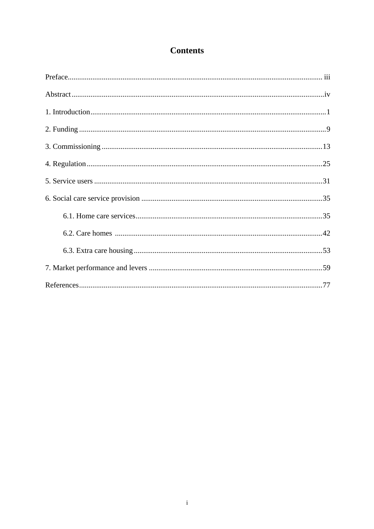# **Contents**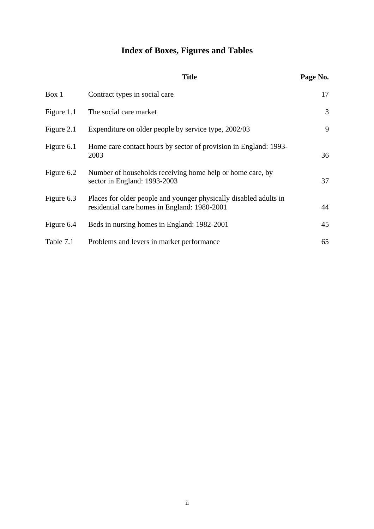# **Index of Boxes, Figures and Tables**

|            | <b>Title</b>                                                                                                      | Page No. |
|------------|-------------------------------------------------------------------------------------------------------------------|----------|
| Box 1      | Contract types in social care                                                                                     | 17       |
| Figure 1.1 | The social care market                                                                                            | 3        |
| Figure 2.1 | Expenditure on older people by service type, 2002/03                                                              | 9        |
| Figure 6.1 | Home care contact hours by sector of provision in England: 1993-<br>2003                                          | 36       |
| Figure 6.2 | Number of households receiving home help or home care, by<br>sector in England: 1993-2003                         | 37       |
| Figure 6.3 | Places for older people and younger physically disabled adults in<br>residential care homes in England: 1980-2001 | 44       |
| Figure 6.4 | Beds in nursing homes in England: 1982-2001                                                                       | 45       |
| Table 7.1  | Problems and levers in market performance                                                                         | 65       |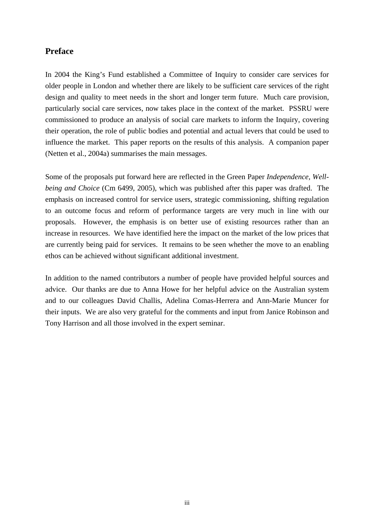## **Preface**

In 2004 the King's Fund established a Committee of Inquiry to consider care services for older people in London and whether there are likely to be sufficient care services of the right design and quality to meet needs in the short and longer term future. Much care provision, particularly social care services, now takes place in the context of the market. PSSRU were commissioned to produce an analysis of social care markets to inform the Inquiry, covering their operation, the role of public bodies and potential and actual levers that could be used to influence the market. This paper reports on the results of this analysis. A companion paper (Netten et al., 2004a) summarises the main messages.

Some of the proposals put forward here are reflected in the Green Paper *Independence, Wellbeing and Choice* (Cm 6499, 2005), which was published after this paper was drafted. The emphasis on increased control for service users, strategic commissioning, shifting regulation to an outcome focus and reform of performance targets are very much in line with our proposals. However, the emphasis is on better use of existing resources rather than an increase in resources. We have identified here the impact on the market of the low prices that are currently being paid for services. It remains to be seen whether the move to an enabling ethos can be achieved without significant additional investment.

In addition to the named contributors a number of people have provided helpful sources and advice. Our thanks are due to Anna Howe for her helpful advice on the Australian system and to our colleagues David Challis, Adelina Comas-Herrera and Ann-Marie Muncer for their inputs. We are also very grateful for the comments and input from Janice Robinson and Tony Harrison and all those involved in the expert seminar.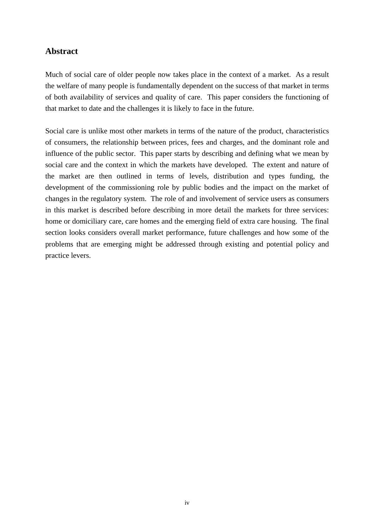# **Abstract**

Much of social care of older people now takes place in the context of a market. As a result the welfare of many people is fundamentally dependent on the success of that market in terms of both availability of services and quality of care. This paper considers the functioning of that market to date and the challenges it is likely to face in the future.

Social care is unlike most other markets in terms of the nature of the product, characteristics of consumers, the relationship between prices, fees and charges, and the dominant role and influence of the public sector. This paper starts by describing and defining what we mean by social care and the context in which the markets have developed. The extent and nature of the market are then outlined in terms of levels, distribution and types funding, the development of the commissioning role by public bodies and the impact on the market of changes in the regulatory system. The role of and involvement of service users as consumers in this market is described before describing in more detail the markets for three services: home or domiciliary care, care homes and the emerging field of extra care housing. The final section looks considers overall market performance, future challenges and how some of the problems that are emerging might be addressed through existing and potential policy and practice levers.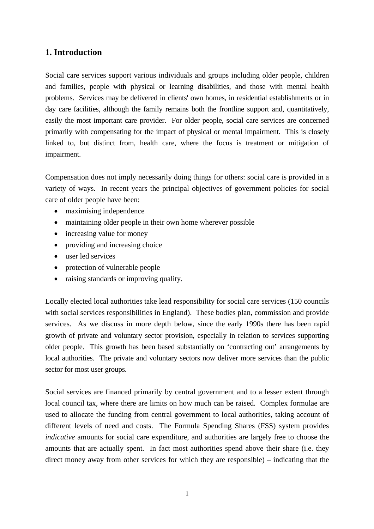## **1. Introduction**

Social care services support various individuals and groups including older people, children and families, people with physical or learning disabilities, and those with mental health problems. Services may be delivered in clients' own homes, in residential establishments or in day care facilities, although the family remains both the frontline support and, quantitatively, easily the most important care provider. For older people, social care services are concerned primarily with compensating for the impact of physical or mental impairment. This is closely linked to, but distinct from, health care, where the focus is treatment or mitigation of impairment.

Compensation does not imply necessarily doing things for others: social care is provided in a variety of ways. In recent years the principal objectives of government policies for social care of older people have been:

- maximising independence
- maintaining older people in their own home wherever possible
- increasing value for money
- providing and increasing choice
- user led services
- protection of vulnerable people
- raising standards or improving quality.

Locally elected local authorities take lead responsibility for social care services (150 councils with social services responsibilities in England). These bodies plan, commission and provide services. As we discuss in more depth below, since the early 1990s there has been rapid growth of private and voluntary sector provision, especially in relation to services supporting older people. This growth has been based substantially on 'contracting out' arrangements by local authorities. The private and voluntary sectors now deliver more services than the public sector for most user groups.

Social services are financed primarily by central government and to a lesser extent through local council tax, where there are limits on how much can be raised. Complex formulae are used to allocate the funding from central government to local authorities, taking account of different levels of need and costs. The Formula Spending Shares (FSS) system provides *indicative* amounts for social care expenditure, and authorities are largely free to choose the amounts that are actually spent. In fact most authorities spend above their share (i.e. they direct money away from other services for which they are responsible) – indicating that the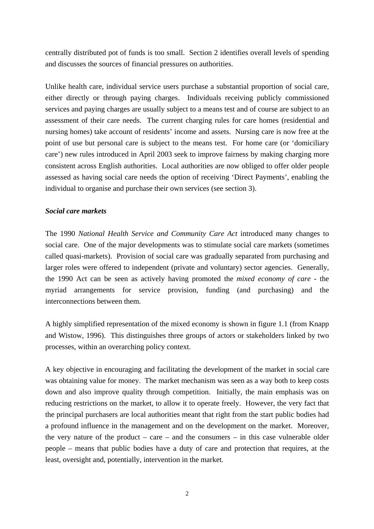centrally distributed pot of funds is too small. Section 2 identifies overall levels of spending and discusses the sources of financial pressures on authorities.

Unlike health care, individual service users purchase a substantial proportion of social care, either directly or through paying charges. Individuals receiving publicly commissioned services and paying charges are usually subject to a means test and of course are subject to an assessment of their care needs. The current charging rules for care homes (residential and nursing homes) take account of residents' income and assets. Nursing care is now free at the point of use but personal care is subject to the means test. For home care (or 'domiciliary care') new rules introduced in April 2003 seek to improve fairness by making charging more consistent across English authorities. Local authorities are now obliged to offer older people assessed as having social care needs the option of receiving 'Direct Payments', enabling the individual to organise and purchase their own services (see section 3).

## *Social care markets*

The 1990 *National Health Service and Community Care Act* introduced many changes to social care. One of the major developments was to stimulate social care markets (sometimes called quasi-markets). Provision of social care was gradually separated from purchasing and larger roles were offered to independent (private and voluntary) sector agencies. Generally, the 1990 Act can be seen as actively having promoted the *mixed economy of care* - the myriad arrangements for service provision, funding (and purchasing) and the interconnections between them.

A highly simplified representation of the mixed economy is shown in figure 1.1 (from Knapp and Wistow, 1996). This distinguishes three groups of actors or stakeholders linked by two processes, within an overarching policy context.

A key objective in encouraging and facilitating the development of the market in social care was obtaining value for money. The market mechanism was seen as a way both to keep costs down and also improve quality through competition. Initially, the main emphasis was on reducing restrictions on the market, to allow it to operate freely. However, the very fact that the principal purchasers are local authorities meant that right from the start public bodies had a profound influence in the management and on the development on the market. Moreover, the very nature of the product – care – and the consumers – in this case vulnerable older people – means that public bodies have a duty of care and protection that requires, at the least, oversight and, potentially, intervention in the market.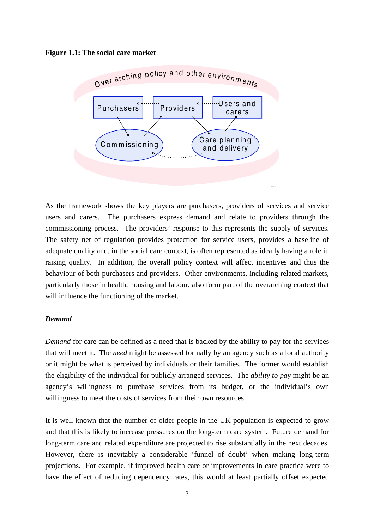#### **Figure 1.1: The social care market**



As the framework shows the key players are purchasers, providers of services and service users and carers. The purchasers express demand and relate to providers through the commissioning process. The providers' response to this represents the supply of services. The safety net of regulation provides protection for service users, provides a baseline of adequate quality and, in the social care context, is often represented as ideally having a role in raising quality. In addition, the overall policy context will affect incentives and thus the behaviour of both purchasers and providers. Other environments, including related markets, particularly those in health, housing and labour, also form part of the overarching context that will influence the functioning of the market.

m k child l.c dr

#### *Demand*

*Demand* for care can be defined as a need that is backed by the ability to pay for the services that will meet it. The *need* might be assessed formally by an agency such as a local authority or it might be what is perceived by individuals or their families. The former would establish the eligibility of the individual for publicly arranged services. The *ability to pay* might be an agency's willingness to purchase services from its budget, or the individual's own willingness to meet the costs of services from their own resources.

It is well known that the number of older people in the UK population is expected to grow and that this is likely to increase pressures on the long-term care system. Future demand for long-term care and related expenditure are projected to rise substantially in the next decades. However, there is inevitably a considerable 'funnel of doubt' when making long-term projections. For example, if improved health care or improvements in care practice were to have the effect of reducing dependency rates, this would at least partially offset expected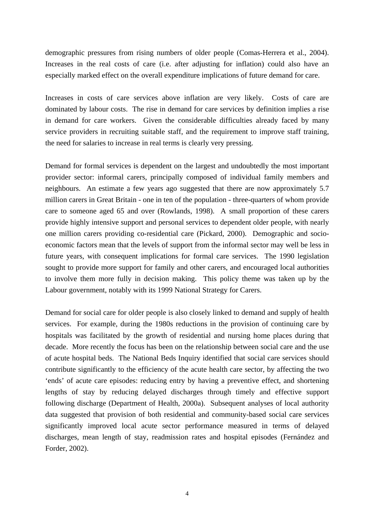demographic pressures from rising numbers of older people (Comas-Herrera et al., 2004). Increases in the real costs of care (i.e. after adjusting for inflation) could also have an especially marked effect on the overall expenditure implications of future demand for care.

Increases in costs of care services above inflation are very likely. Costs of care are dominated by labour costs. The rise in demand for care services by definition implies a rise in demand for care workers. Given the considerable difficulties already faced by many service providers in recruiting suitable staff, and the requirement to improve staff training, the need for salaries to increase in real terms is clearly very pressing.

Demand for formal services is dependent on the largest and undoubtedly the most important provider sector: informal carers, principally composed of individual family members and neighbours. An estimate a few years ago suggested that there are now approximately 5.7 million carers in Great Britain - one in ten of the population - three-quarters of whom provide care to someone aged 65 and over (Rowlands, 1998). A small proportion of these carers provide highly intensive support and personal services to dependent older people, with nearly one million carers providing co-residential care (Pickard, 2000). Demographic and socioeconomic factors mean that the levels of support from the informal sector may well be less in future years, with consequent implications for formal care services. The 1990 legislation sought to provide more support for family and other carers, and encouraged local authorities to involve them more fully in decision making. This policy theme was taken up by the Labour government, notably with its 1999 National Strategy for Carers.

Demand for social care for older people is also closely linked to demand and supply of health services. For example, during the 1980s reductions in the provision of continuing care by hospitals was facilitated by the growth of residential and nursing home places during that decade. More recently the focus has been on the relationship between social care and the use of acute hospital beds. The National Beds Inquiry identified that social care services should contribute significantly to the efficiency of the acute health care sector, by affecting the two 'ends' of acute care episodes: reducing entry by having a preventive effect, and shortening lengths of stay by reducing delayed discharges through timely and effective support following discharge (Department of Health, 2000a). Subsequent analyses of local authority data suggested that provision of both residential and community-based social care services significantly improved local acute sector performance measured in terms of delayed discharges, mean length of stay, readmission rates and hospital episodes (Fernández and Forder, 2002).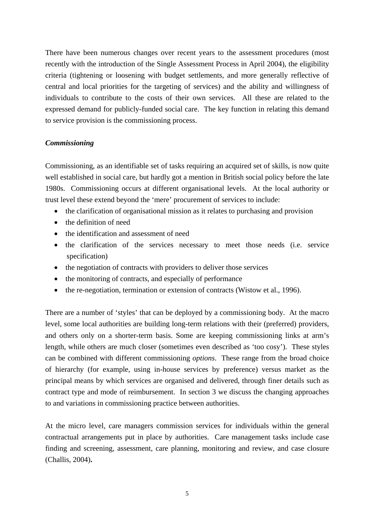There have been numerous changes over recent years to the assessment procedures (most recently with the introduction of the Single Assessment Process in April 2004), the eligibility criteria (tightening or loosening with budget settlements, and more generally reflective of central and local priorities for the targeting of services) and the ability and willingness of individuals to contribute to the costs of their own services. All these are related to the expressed demand for publicly-funded social care. The key function in relating this demand to service provision is the commissioning process.

## *Commissioning*

Commissioning, as an identifiable set of tasks requiring an acquired set of skills, is now quite well established in social care, but hardly got a mention in British social policy before the late 1980s. Commissioning occurs at different organisational levels. At the local authority or trust level these extend beyond the 'mere' procurement of services to include:

- the clarification of organisational mission as it relates to purchasing and provision
- the definition of need
- the identification and assessment of need
- the clarification of the services necessary to meet those needs (i.e. service specification)
- the negotiation of contracts with providers to deliver those services
- the monitoring of contracts, and especially of performance
- the re-negotiation, termination or extension of contracts (Wistow et al., 1996).

There are a number of 'styles' that can be deployed by a commissioning body. At the macro level, some local authorities are building long-term relations with their (preferred) providers, and others only on a shorter-term basis. Some are keeping commissioning links at arm's length, while others are much closer (sometimes even described as 'too cosy'). These styles can be combined with different commissioning *options*. These range from the broad choice of hierarchy (for example, using in-house services by preference) versus market as the principal means by which services are organised and delivered, through finer details such as contract type and mode of reimbursement. In section 3 we discuss the changing approaches to and variations in commissioning practice between authorities.

At the micro level, care managers commission services for individuals within the general contractual arrangements put in place by authorities. Care management tasks include case finding and screening, assessment, care planning, monitoring and review, and case closure (Challis, 2004)**.**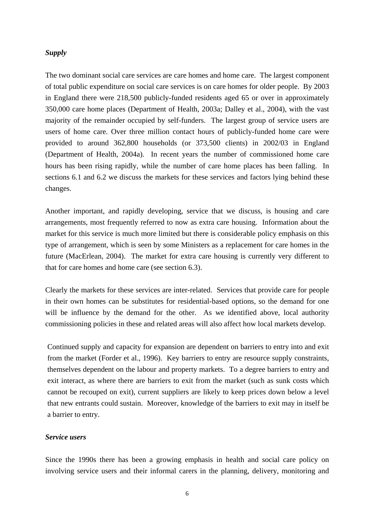#### *Supply*

The two dominant social care services are care homes and home care. The largest component of total public expenditure on social care services is on care homes for older people. By 2003 in England there were 218,500 publicly-funded residents aged 65 or over in approximately 350,000 care home places (Department of Health, 2003a; Dalley et al., 2004), with the vast majority of the remainder occupied by self-funders. The largest group of service users are users of home care. Over three million contact hours of publicly-funded home care were provided to around 362,800 households (or 373,500 clients) in 2002/03 in England (Department of Health, 2004a). In recent years the number of commissioned home care hours has been rising rapidly, while the number of care home places has been falling. In sections 6.1 and 6.2 we discuss the markets for these services and factors lying behind these changes.

Another important, and rapidly developing, service that we discuss, is housing and care arrangements, most frequently referred to now as extra care housing. Information about the market for this service is much more limited but there is considerable policy emphasis on this type of arrangement, which is seen by some Ministers as a replacement for care homes in the future (MacErlean, 2004). The market for extra care housing is currently very different to that for care homes and home care (see section 6.3).

Clearly the markets for these services are inter-related. Services that provide care for people in their own homes can be substitutes for residential-based options, so the demand for one will be influence by the demand for the other. As we identified above, local authority commissioning policies in these and related areas will also affect how local markets develop.

Continued supply and capacity for expansion are dependent on barriers to entry into and exit from the market (Forder et al., 1996). Key barriers to entry are resource supply constraints, themselves dependent on the labour and property markets. To a degree barriers to entry and exit interact, as where there are barriers to exit from the market (such as sunk costs which cannot be recouped on exit), current suppliers are likely to keep prices down below a level that new entrants could sustain. Moreover, knowledge of the barriers to exit may in itself be a barrier to entry.

#### *Service users*

Since the 1990s there has been a growing emphasis in health and social care policy on involving service users and their informal carers in the planning, delivery, monitoring and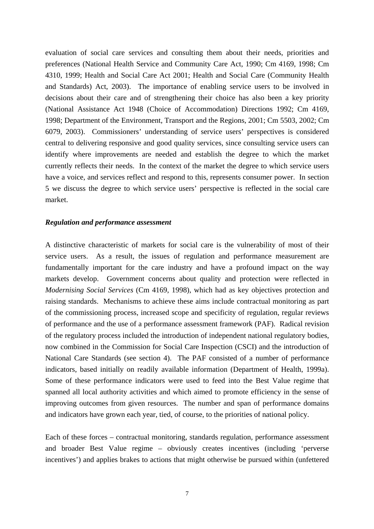evaluation of social care services and consulting them about their needs, priorities and preferences (National Health Service and Community Care Act, 1990; Cm 4169, 1998; Cm 4310, 1999; Health and Social Care Act 2001; Health and Social Care (Community Health and Standards) Act, 2003). The importance of enabling service users to be involved in decisions about their care and of strengthening their choice has also been a key priority (National Assistance Act 1948 (Choice of Accommodation) Directions 1992; Cm 4169, 1998; Department of the Environment, Transport and the Regions, 2001; Cm 5503, 2002; Cm 6079, 2003). Commissioners' understanding of service users' perspectives is considered central to delivering responsive and good quality services, since consulting service users can identify where improvements are needed and establish the degree to which the market currently reflects their needs. In the context of the market the degree to which service users have a voice, and services reflect and respond to this, represents consumer power. In section 5 we discuss the degree to which service users' perspective is reflected in the social care market.

#### *Regulation and performance assessment*

A distinctive characteristic of markets for social care is the vulnerability of most of their service users. As a result, the issues of regulation and performance measurement are fundamentally important for the care industry and have a profound impact on the way markets develop. Government concerns about quality and protection were reflected in *Modernising Social Services* (Cm 4169, 1998), which had as key objectives protection and raising standards. Mechanisms to achieve these aims include contractual monitoring as part of the commissioning process, increased scope and specificity of regulation, regular reviews of performance and the use of a performance assessment framework (PAF). Radical revision of the regulatory process included the introduction of independent national regulatory bodies, now combined in the Commission for Social Care Inspection (CSCI) and the introduction of National Care Standards (see section 4). The PAF consisted of a number of performance indicators, based initially on readily available information (Department of Health, 1999a). Some of these performance indicators were used to feed into the Best Value regime that spanned all local authority activities and which aimed to promote efficiency in the sense of improving outcomes from given resources. The number and span of performance domains and indicators have grown each year, tied, of course, to the priorities of national policy.

Each of these forces – contractual monitoring, standards regulation, performance assessment and broader Best Value regime – obviously creates incentives (including 'perverse incentives') and applies brakes to actions that might otherwise be pursued within (unfettered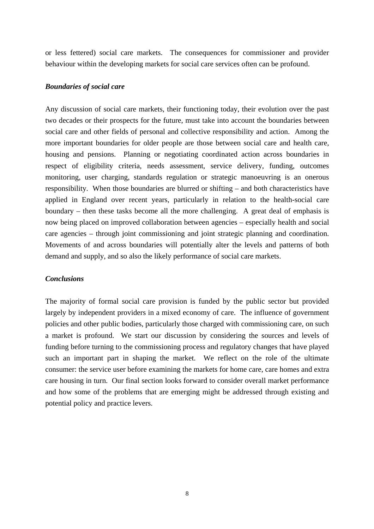or less fettered) social care markets. The consequences for commissioner and provider behaviour within the developing markets for social care services often can be profound.

#### *Boundaries of social care*

Any discussion of social care markets, their functioning today, their evolution over the past two decades or their prospects for the future, must take into account the boundaries between social care and other fields of personal and collective responsibility and action. Among the more important boundaries for older people are those between social care and health care, housing and pensions. Planning or negotiating coordinated action across boundaries in respect of eligibility criteria, needs assessment, service delivery, funding, outcomes monitoring, user charging, standards regulation or strategic manoeuvring is an onerous responsibility. When those boundaries are blurred or shifting – and both characteristics have applied in England over recent years, particularly in relation to the health-social care boundary – then these tasks become all the more challenging. A great deal of emphasis is now being placed on improved collaboration between agencies – especially health and social care agencies – through joint commissioning and joint strategic planning and coordination. Movements of and across boundaries will potentially alter the levels and patterns of both demand and supply, and so also the likely performance of social care markets.

### *Conclusions*

The majority of formal social care provision is funded by the public sector but provided largely by independent providers in a mixed economy of care. The influence of government policies and other public bodies, particularly those charged with commissioning care, on such a market is profound. We start our discussion by considering the sources and levels of funding before turning to the commissioning process and regulatory changes that have played such an important part in shaping the market. We reflect on the role of the ultimate consumer: the service user before examining the markets for home care, care homes and extra care housing in turn. Our final section looks forward to consider overall market performance and how some of the problems that are emerging might be addressed through existing and potential policy and practice levers.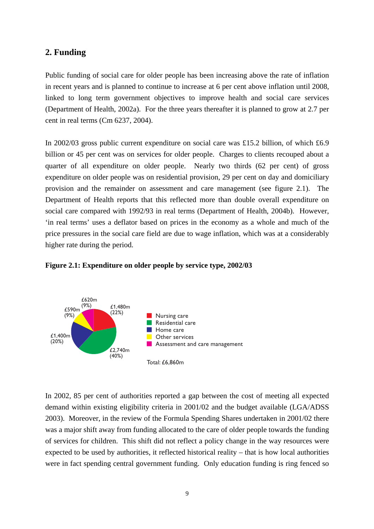## **2. Funding**

Public funding of social care for older people has been increasing above the rate of inflation in recent years and is planned to continue to increase at 6 per cent above inflation until 2008, linked to long term government objectives to improve health and social care services (Department of Health, 2002a). For the three years thereafter it is planned to grow at 2.7 per cent in real terms (Cm 6237, 2004).

In 2002/03 gross public current expenditure on social care was £15.2 billion, of which £6.9 billion or 45 per cent was on services for older people. Charges to clients recouped about a quarter of all expenditure on older people. Nearly two thirds (62 per cent) of gross expenditure on older people was on residential provision, 29 per cent on day and domiciliary provision and the remainder on assessment and care management (see figure 2.1). The Department of Health reports that this reflected more than double overall expenditure on social care compared with 1992/93 in real terms (Department of Health, 2004b). However, 'in real terms' uses a deflator based on prices in the economy as a whole and much of the price pressures in the social care field are due to wage inflation, which was at a considerably higher rate during the period.



#### **Figure 2.1: Expenditure on older people by service type, 2002/03**

In 2002, 85 per cent of authorities reported a gap between the cost of meeting all expected demand within existing eligibility criteria in 2001/02 and the budget available (LGA/ADSS 2003). Moreover, in the review of the Formula Spending Shares undertaken in 2001/02 there was a major shift away from funding allocated to the care of older people towards the funding of services for children. This shift did not reflect a policy change in the way resources were expected to be used by authorities, it reflected historical reality – that is how local authorities were in fact spending central government funding. Only education funding is ring fenced so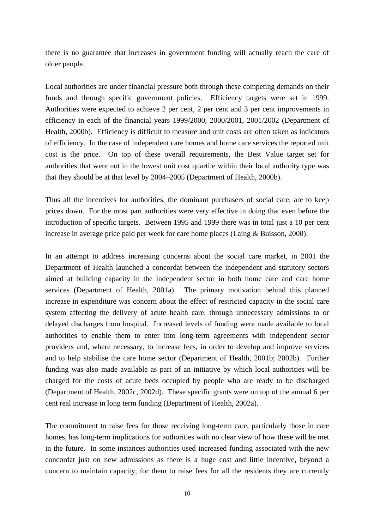there is no guarantee that increases in government funding will actually reach the care of older people.

Local authorities are under financial pressure both through these competing demands on their funds and through specific government policies. Efficiency targets were set in 1999. Authorities were expected to achieve 2 per cent, 2 per cent and 3 per cent improvements in efficiency in each of the financial years 1999/2000, 2000/2001, 2001/2002 (Department of Health, 2000b). Efficiency is difficult to measure and unit costs are often taken as indicators of efficiency. In the case of independent care homes and home care services the reported unit cost is the price. On top of these overall requirements, the Best Value target set for authorities that were not in the lowest unit cost quartile within their local authority type was that they should be at that level by 2004–2005 (Department of Health, 2000b).

Thus all the incentives for authorities, the dominant purchasers of social care, are to keep prices down. For the most part authorities were very effective in doing that even before the introduction of specific targets. Between 1995 and 1999 there was in total just a 10 per cent increase in average price paid per week for care home places (Laing & Buisson, 2000).

In an attempt to address increasing concerns about the social care market, in 2001 the Department of Health launched a concordat between the independent and statutory sectors aimed at building capacity in the independent sector in both home care and care home services (Department of Health, 2001a). The primary motivation behind this planned increase in expenditure was concern about the effect of restricted capacity in the social care system affecting the delivery of acute health care, through unnecessary admissions to or delayed discharges from hospital. Increased levels of funding were made available to local authorities to enable them to enter into long-term agreements with independent sector providers and, where necessary, to increase fees, in order to develop and improve services and to help stabilise the care home sector (Department of Health, 2001b; 2002b). Further funding was also made available as part of an initiative by which local authorities will be charged for the costs of acute beds occupied by people who are ready to be discharged (Department of Health, 2002c, 2002d)*.* These specific grants were on top of the annual 6 per cent real increase in long term funding (Department of Health, 2002a).

The commitment to raise fees for those receiving long-term care, particularly those in care homes, has long-term implications for authorities with no clear view of how these will be met in the future. In some instances authorities used increased funding associated with the new concordat just on new admissions as there is a huge cost and little incentive, beyond a concern to maintain capacity, for them to raise fees for all the residents they are currently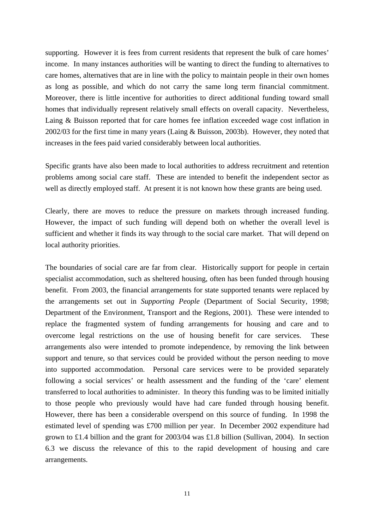supporting. However it is fees from current residents that represent the bulk of care homes' income. In many instances authorities will be wanting to direct the funding to alternatives to care homes, alternatives that are in line with the policy to maintain people in their own homes as long as possible, and which do not carry the same long term financial commitment. Moreover, there is little incentive for authorities to direct additional funding toward small homes that individually represent relatively small effects on overall capacity. Nevertheless, Laing & Buisson reported that for care homes fee inflation exceeded wage cost inflation in 2002/03 for the first time in many years (Laing & Buisson, 2003b). However, they noted that increases in the fees paid varied considerably between local authorities.

Specific grants have also been made to local authorities to address recruitment and retention problems among social care staff. These are intended to benefit the independent sector as well as directly employed staff. At present it is not known how these grants are being used.

Clearly, there are moves to reduce the pressure on markets through increased funding. However, the impact of such funding will depend both on whether the overall level is sufficient and whether it finds its way through to the social care market. That will depend on local authority priorities.

The boundaries of social care are far from clear. Historically support for people in certain specialist accommodation, such as sheltered housing, often has been funded through housing benefit. From 2003, the financial arrangements for state supported tenants were replaced by the arrangements set out in *Supporting People* (Department of Social Security, 1998; Department of the Environment, Transport and the Regions, 2001). These were intended to replace the fragmented system of funding arrangements for housing and care and to overcome legal restrictions on the use of housing benefit for care services. These arrangements also were intended to promote independence, by removing the link between support and tenure, so that services could be provided without the person needing to move into supported accommodation. Personal care services were to be provided separately following a social services' or health assessment and the funding of the 'care' element transferred to local authorities to administer. In theory this funding was to be limited initially to those people who previously would have had care funded through housing benefit. However, there has been a considerable overspend on this source of funding. In 1998 the estimated level of spending was £700 million per year. In December 2002 expenditure had grown to £1.4 billion and the grant for 2003/04 was £1.8 billion (Sullivan, 2004). In section 6.3 we discuss the relevance of this to the rapid development of housing and care arrangements.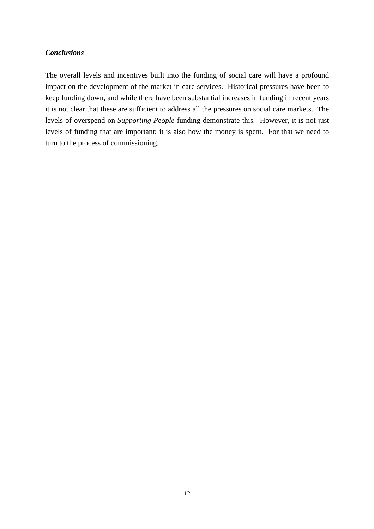## *Conclusions*

The overall levels and incentives built into the funding of social care will have a profound impact on the development of the market in care services. Historical pressures have been to keep funding down, and while there have been substantial increases in funding in recent years it is not clear that these are sufficient to address all the pressures on social care markets. The levels of overspend on *Supporting People* funding demonstrate this. However, it is not just levels of funding that are important; it is also how the money is spent. For that we need to turn to the process of commissioning.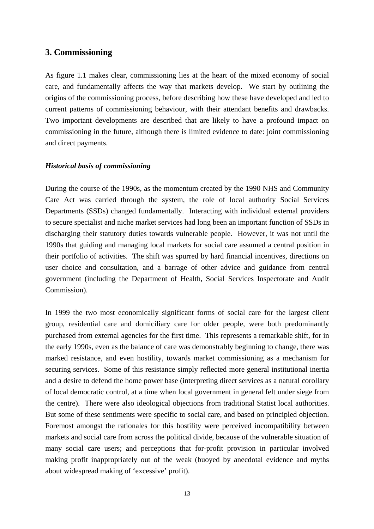## **3. Commissioning**

As figure 1.1 makes clear, commissioning lies at the heart of the mixed economy of social care, and fundamentally affects the way that markets develop. We start by outlining the origins of the commissioning process, before describing how these have developed and led to current patterns of commissioning behaviour, with their attendant benefits and drawbacks. Two important developments are described that are likely to have a profound impact on commissioning in the future, although there is limited evidence to date: joint commissioning and direct payments.

#### *Historical basis of commissioning*

During the course of the 1990s, as the momentum created by the 1990 NHS and Community Care Act was carried through the system, the role of local authority Social Services Departments (SSDs) changed fundamentally. Interacting with individual external providers to secure specialist and niche market services had long been an important function of SSDs in discharging their statutory duties towards vulnerable people. However, it was not until the 1990s that guiding and managing local markets for social care assumed a central position in their portfolio of activities. The shift was spurred by hard financial incentives, directions on user choice and consultation, and a barrage of other advice and guidance from central government (including the Department of Health, Social Services Inspectorate and Audit Commission).

In 1999 the two most economically significant forms of social care for the largest client group, residential care and domiciliary care for older people, were both predominantly purchased from external agencies for the first time. This represents a remarkable shift, for in the early 1990s, even as the balance of care was demonstrably beginning to change, there was marked resistance, and even hostility, towards market commissioning as a mechanism for securing services. Some of this resistance simply reflected more general institutional inertia and a desire to defend the home power base (interpreting direct services as a natural corollary of local democratic control, at a time when local government in general felt under siege from the centre). There were also ideological objections from traditional Statist local authorities. But some of these sentiments were specific to social care, and based on principled objection. Foremost amongst the rationales for this hostility were perceived incompatibility between markets and social care from across the political divide, because of the vulnerable situation of many social care users; and perceptions that for-profit provision in particular involved making profit inappropriately out of the weak (buoyed by anecdotal evidence and myths about widespread making of 'excessive' profit).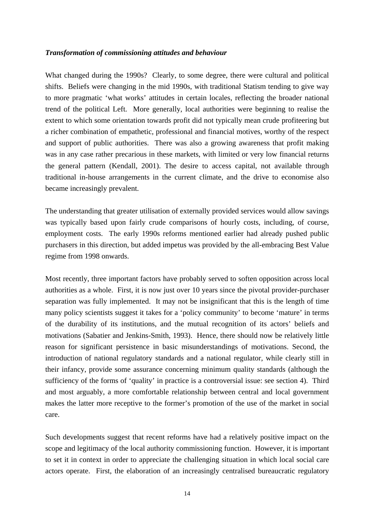#### *Transformation of commissioning attitudes and behaviour*

What changed during the 1990s? Clearly, to some degree, there were cultural and political shifts. Beliefs were changing in the mid 1990s, with traditional Statism tending to give way to more pragmatic 'what works' attitudes in certain locales, reflecting the broader national trend of the political Left. More generally, local authorities were beginning to realise the extent to which some orientation towards profit did not typically mean crude profiteering but a richer combination of empathetic, professional and financial motives, worthy of the respect and support of public authorities. There was also a growing awareness that profit making was in any case rather precarious in these markets, with limited or very low financial returns the general pattern (Kendall, 2001). The desire to access capital, not available through traditional in-house arrangements in the current climate, and the drive to economise also became increasingly prevalent.

The understanding that greater utilisation of externally provided services would allow savings was typically based upon fairly crude comparisons of hourly costs, including, of course, employment costs. The early 1990s reforms mentioned earlier had already pushed public purchasers in this direction, but added impetus was provided by the all-embracing Best Value regime from 1998 onwards.

Most recently, three important factors have probably served to soften opposition across local authorities as a whole. First, it is now just over 10 years since the pivotal provider-purchaser separation was fully implemented. It may not be insignificant that this is the length of time many policy scientists suggest it takes for a 'policy community' to become 'mature' in terms of the durability of its institutions, and the mutual recognition of its actors' beliefs and motivations (Sabatier and Jenkins-Smith, 1993). Hence, there should now be relatively little reason for significant persistence in basic misunderstandings of motivations. Second, the introduction of national regulatory standards and a national regulator, while clearly still in their infancy, provide some assurance concerning minimum quality standards (although the sufficiency of the forms of 'quality' in practice is a controversial issue: see section 4). Third and most arguably, a more comfortable relationship between central and local government makes the latter more receptive to the former's promotion of the use of the market in social care.

Such developments suggest that recent reforms have had a relatively positive impact on the scope and legitimacy of the local authority commissioning function. However, it is important to set it in context in order to appreciate the challenging situation in which local social care actors operate. First, the elaboration of an increasingly centralised bureaucratic regulatory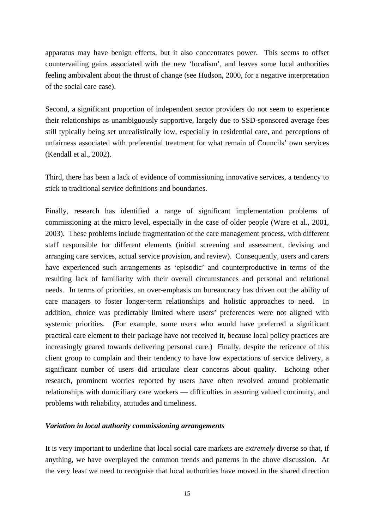apparatus may have benign effects, but it also concentrates power. This seems to offset countervailing gains associated with the new 'localism', and leaves some local authorities feeling ambivalent about the thrust of change (see Hudson, 2000, for a negative interpretation of the social care case).

Second, a significant proportion of independent sector providers do not seem to experience their relationships as unambiguously supportive, largely due to SSD-sponsored average fees still typically being set unrealistically low, especially in residential care, and perceptions of unfairness associated with preferential treatment for what remain of Councils' own services (Kendall et al., 2002).

Third, there has been a lack of evidence of commissioning innovative services, a tendency to stick to traditional service definitions and boundaries.

Finally, research has identified a range of significant implementation problems of commissioning at the micro level, especially in the case of older people (Ware et al., 2001, 2003). These problems include fragmentation of the care management process, with different staff responsible for different elements (initial screening and assessment, devising and arranging care services, actual service provision, and review). Consequently, users and carers have experienced such arrangements as 'episodic' and counterproductive in terms of the resulting lack of familiarity with their overall circumstances and personal and relational needs. In terms of priorities, an over-emphasis on bureaucracy has driven out the ability of care managers to foster longer-term relationships and holistic approaches to need. In addition, choice was predictably limited where users' preferences were not aligned with systemic priorities. (For example, some users who would have preferred a significant practical care element to their package have not received it, because local policy practices are increasingly geared towards delivering personal care.) Finally, despite the reticence of this client group to complain and their tendency to have low expectations of service delivery, a significant number of users did articulate clear concerns about quality. Echoing other research, prominent worries reported by users have often revolved around problematic relationships with domiciliary care workers — difficulties in assuring valued continuity, and problems with reliability, attitudes and timeliness.

#### *Variation in local authority commissioning arrangements*

It is very important to underline that local social care markets are *extremely* diverse so that, if anything, we have overplayed the common trends and patterns in the above discussion. At the very least we need to recognise that local authorities have moved in the shared direction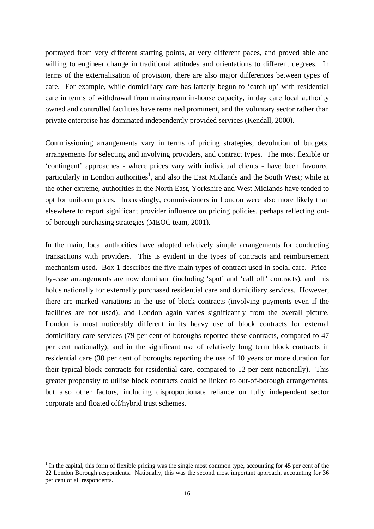portrayed from very different starting points, at very different paces, and proved able and willing to engineer change in traditional attitudes and orientations to different degrees. In terms of the externalisation of provision, there are also major differences between types of care. For example, while domiciliary care has latterly begun to 'catch up' with residential care in terms of withdrawal from mainstream in-house capacity, in day care local authority owned and controlled facilities have remained prominent, and the voluntary sector rather than private enterprise has dominated independently provided services (Kendall, 2000).

Commissioning arrangements vary in terms of pricing strategies, devolution of budgets, arrangements for selecting and involving providers, and contract types. The most flexible or 'contingent' approaches - where prices vary with individual clients - have been favoured particularly in London authorities<sup>[1](#page-20-0)</sup>, and also the East Midlands and the South West; while at the other extreme, authorities in the North East, Yorkshire and West Midlands have tended to opt for uniform prices. Interestingly, commissioners in London were also more likely than elsewhere to report significant provider influence on pricing policies, perhaps reflecting outof-borough purchasing strategies (MEOC team, 2001).

In the main, local authorities have adopted relatively simple arrangements for conducting transactions with providers. This is evident in the types of contracts and reimbursement mechanism used. Box 1 describes the five main types of contract used in social care. Priceby-case arrangements are now dominant (including 'spot' and 'call off' contracts), and this holds nationally for externally purchased residential care and domiciliary services. However, there are marked variations in the use of block contracts (involving payments even if the facilities are not used), and London again varies significantly from the overall picture. London is most noticeably different in its heavy use of block contracts for external domiciliary care services (79 per cent of boroughs reported these contracts, compared to 47 per cent nationally); and in the significant use of relatively long term block contracts in residential care (30 per cent of boroughs reporting the use of 10 years or more duration for their typical block contracts for residential care, compared to 12 per cent nationally). This greater propensity to utilise block contracts could be linked to out-of-borough arrangements, but also other factors, including disproportionate reliance on fully independent sector corporate and floated off/hybrid trust schemes.

 $\overline{a}$ 

<span id="page-20-0"></span> $<sup>1</sup>$  In the capital, this form of flexible pricing was the single most common type, accounting for 45 per cent of the</sup> 22 London Borough respondents. Nationally, this was the second most important approach, accounting for 36 per cent of all respondents.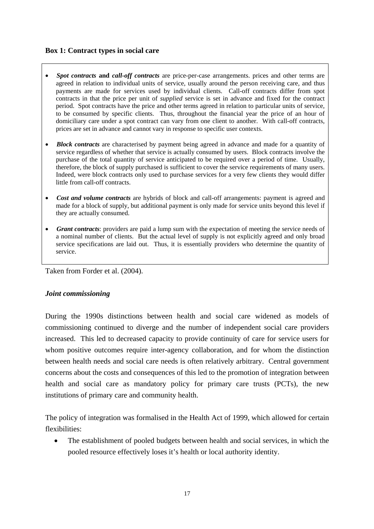## **Box 1: Contract types in social care**

- *Spot contracts* **and** *call-off contracts* are price-per-case arrangements. prices and other terms are agreed in relation to individual units of service, usually around the person receiving care, and thus payments are made for services used by individual clients. Call-off contracts differ from spot contracts in that the price per unit of *supplied* service is set in advance and fixed for the contract period. Spot contracts have the price and other terms agreed in relation to particular units of service, to be consumed by specific clients. Thus, throughout the financial year the price of an hour of domiciliary care under a spot contract can vary from one client to another. With call-off contracts, prices are set in advance and cannot vary in response to specific user contexts.
- *Block contracts* are characterised by payment being agreed in advance and made for a quantity of service regardless of whether that service is actually consumed by users. Block contracts involve the purchase of the total quantity of service anticipated to be required over a period of time. Usually, therefore, the block of supply purchased is sufficient to cover the service requirements of many users. Indeed, were block contracts only used to purchase services for a very few clients they would differ little from call-off contracts.
- *Cost and volume contracts* are hybrids of block and call-off arrangements: payment is agreed and made for a block of supply, but additional payment is only made for service units beyond this level if they are actually consumed.
- *Grant contracts*: providers are paid a lump sum with the expectation of meeting the service needs of a nominal number of clients. But the actual level of supply is not explicitly agreed and only broad service specifications are laid out. Thus, it is essentially providers who determine the quantity of service.

Taken from Forder et al. (2004).

## *Joint commissioning*

During the 1990s distinctions between health and social care widened as models of commissioning continued to diverge and the number of independent social care providers increased. This led to decreased capacity to provide continuity of care for service users for whom positive outcomes require inter-agency collaboration, and for whom the distinction between health needs and social care needs is often relatively arbitrary. Central government concerns about the costs and consequences of this led to the promotion of integration between health and social care as mandatory policy for primary care trusts (PCTs), the new institutions of primary care and community health.

The policy of integration was formalised in the Health Act of 1999, which allowed for certain flexibilities:

The establishment of pooled budgets between health and social services, in which the pooled resource effectively loses it's health or local authority identity.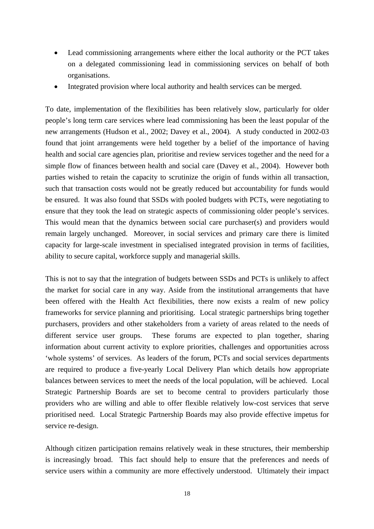- Lead commissioning arrangements where either the local authority or the PCT takes on a delegated commissioning lead in commissioning services on behalf of both organisations.
- Integrated provision where local authority and health services can be merged.

To date, implementation of the flexibilities has been relatively slow, particularly for older people's long term care services where lead commissioning has been the least popular of the new arrangements (Hudson et al., 2002; Davey et al., 2004)*.* A study conducted in 2002-03 found that joint arrangements were held together by a belief of the importance of having health and social care agencies plan, prioritise and review services together and the need for a simple flow of finances between health and social care (Davey et al., 2004). However both parties wished to retain the capacity to scrutinize the origin of funds within all transaction, such that transaction costs would not be greatly reduced but accountability for funds would be ensured. It was also found that SSDs with pooled budgets with PCTs, were negotiating to ensure that they took the lead on strategic aspects of commissioning older people's services. This would mean that the dynamics between social care purchaser(s) and providers would remain largely unchanged. Moreover, in social services and primary care there is limited capacity for large-scale investment in specialised integrated provision in terms of facilities, ability to secure capital, workforce supply and managerial skills.

This is not to say that the integration of budgets between SSDs and PCTs is unlikely to affect the market for social care in any way. Aside from the institutional arrangements that have been offered with the Health Act flexibilities, there now exists a realm of new policy frameworks for service planning and prioritising. Local strategic partnerships bring together purchasers, providers and other stakeholders from a variety of areas related to the needs of different service user groups. These forums are expected to plan together, sharing information about current activity to explore priorities, challenges and opportunities across 'whole systems' of services. As leaders of the forum, PCTs and social services departments are required to produce a five-yearly Local Delivery Plan which details how appropriate balances between services to meet the needs of the local population, will be achieved. Local Strategic Partnership Boards are set to become central to providers particularly those providers who are willing and able to offer flexible relatively low-cost services that serve prioritised need. Local Strategic Partnership Boards may also provide effective impetus for service re-design.

Although citizen participation remains relatively weak in these structures, their membership is increasingly broad. This fact should help to ensure that the preferences and needs of service users within a community are more effectively understood. Ultimately their impact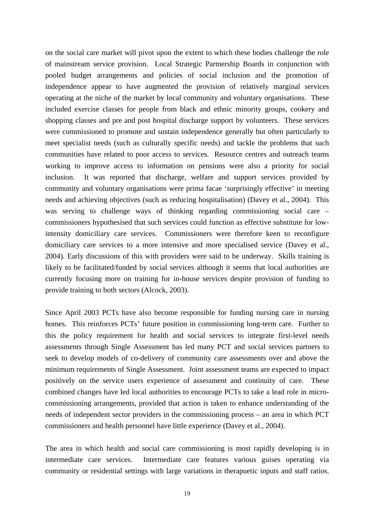on the social care market will pivot upon the extent to which these bodies challenge the role of mainstream service provision. Local Strategic Partnership Boards in conjunction with pooled budget arrangements and policies of social inclusion and the promotion of independence appear to have augmented the provision of relatively marginal services operating at the niche of the market by local community and voluntary organisations. These included exercise classes for people from black and ethnic minority groups, cookery and shopping classes and pre and post hospital discharge support by volunteers. These services were commissioned to promote and sustain independence generally but often particularly to meet specialist needs (such as culturally specific needs) and tackle the problems that such communities have related to poor access to services. Resource centres and outreach teams working to improve access to information on pensions were also a priority for social inclusion. It was reported that discharge, welfare and support services provided by community and voluntary organisations were prima facae 'surprisingly effective' in meeting needs and achieving objectives (such as reducing hospitalisation) (Davey et al., 2004). This was serving to challenge ways of thinking regarding commissioning social care – commissioners hypothesised that such services could function as effective substitute for lowintensity domiciliary care services. Commissioners were therefore keen to reconfigure domiciliary care services to a more intensive and more specialised service (Davey et al., 2004). Early discussions of this with providers were said to be underway. Skills training is likely to be facilitated/funded by social services although it seems that local authorities are currently focusing more on training for in-house services despite provision of funding to provide training to both sectors (Alcock, 2003).

Since April 2003 PCTs have also become responsible for funding nursing care in nursing homes. This reinforces PCTs' future position in commissioning long-term care. Further to this the policy requirement for health and social services to integrate first-level needs assessments through Single Assessment has led many PCT and social services partners to seek to develop models of co-delivery of community care assessments over and above the minimum requirements of Single Assessment. Joint assessment teams are expected to impact positively on the service users experience of assessment and continuity of care. These combined changes have led local authorities to encourage PCTs to take a lead role in microcommissioning arrangements, provided that action is taken to enhance understanding of the needs of independent sector providers in the commissioning process – an area in which PCT commissioners and health personnel have little experience (Davey et al., 2004).

The area in which health and social care commissioning is most rapidly developing is in intermediate care services. Intermediate care features various guises operating via community or residential settings with large variations in therapuetic inputs and staff ratios.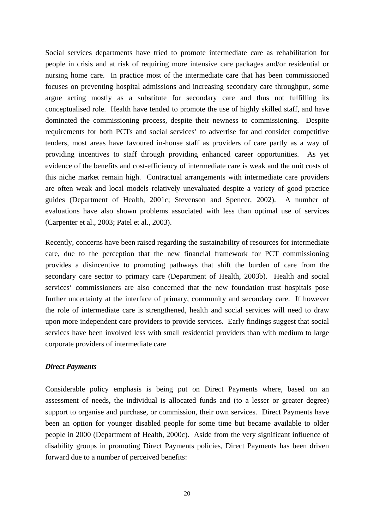Social services departments have tried to promote intermediate care as rehabilitation for people in crisis and at risk of requiring more intensive care packages and/or residential or nursing home care. In practice most of the intermediate care that has been commissioned focuses on preventing hospital admissions and increasing secondary care throughput, some argue acting mostly as a substitute for secondary care and thus not fulfilling its conceptualised role. Health have tended to promote the use of highly skilled staff, and have dominated the commissioning process, despite their newness to commissioning. Despite requirements for both PCTs and social services' to advertise for and consider competitive tenders, most areas have favoured in-house staff as providers of care partly as a way of providing incentives to staff through providing enhanced career opportunities. As yet evidence of the benefits and cost-efficiency of intermediate care is weak and the unit costs of this niche market remain high. Contractual arrangements with intermediate care providers are often weak and local models relatively unevaluated despite a variety of good practice guides (Department of Health, 2001c; Stevenson and Spencer, 2002). A number of evaluations have also shown problems associated with less than optimal use of services (Carpenter et al., 2003; Patel et al., 2003).

Recently, concerns have been raised regarding the sustainability of resources for intermediate care, due to the perception that the new financial framework for PCT commissioning provides a disincentive to promoting pathways that shift the burden of care from the secondary care sector to primary care (Department of Health, 2003b). Health and social services' commissioners are also concerned that the new foundation trust hospitals pose further uncertainty at the interface of primary, community and secondary care. If however the role of intermediate care is strengthened, health and social services will need to draw upon more independent care providers to provide services. Early findings suggest that social services have been involved less with small residential providers than with medium to large corporate providers of intermediate care

## *Direct Payments*

Considerable policy emphasis is being put on Direct Payments where, based on an assessment of needs, the individual is allocated funds and (to a lesser or greater degree) support to organise and purchase, or commission, their own services. Direct Payments have been an option for younger disabled people for some time but became available to older people in 2000 (Department of Health, 2000c). Aside from the very significant influence of disability groups in promoting Direct Payments policies, Direct Payments has been driven forward due to a number of perceived benefits: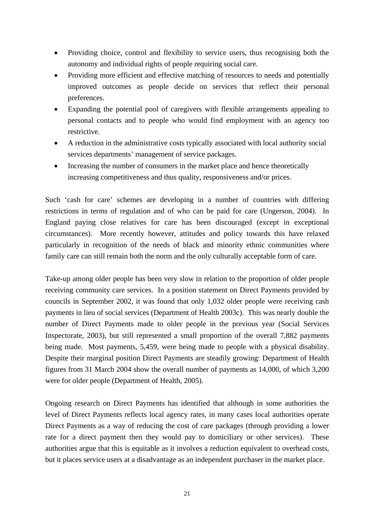- Providing choice, control and flexibility to service users, thus recognising both the autonomy and individual rights of people requiring social care.
- Providing more efficient and effective matching of resources to needs and potentially improved outcomes as people decide on services that reflect their personal preferences.
- Expanding the potential pool of caregivers with flexible arrangements appealing to personal contacts and to people who would find employment with an agency too restrictive.
- A reduction in the administrative costs typically associated with local authority social services departments' management of service packages.
- Increasing the number of consumers in the market place and hence theoretically increasing competitiveness and thus quality, responsiveness and/or prices.

Such 'cash for care' schemes are developing in a number of countries with differing restrictions in terms of regulation and of who can be paid for care (Ungerson, 2004). In England paying close relatives for care has been discouraged (except in exceptional circumstances). More recently however, attitudes and policy towards this have relaxed particularly in recognition of the needs of black and minority ethnic communities where family care can still remain both the norm and the only culturally acceptable form of care.

Take-up among older people has been very slow in relation to the proportion of older people receiving community care services. In a position statement on Direct Payments provided by councils in September 2002, it was found that only 1,032 older people were receiving cash payments in lieu of social services (Department of Health 2003c). This was nearly double the number of Direct Payments made to older people in the previous year (Social Services Inspectorate, 2003), but still represented a small proportion of the overall 7,882 payments being made. Most payments, 5,459, were being made to people with a physical disability. Despite their marginal position Direct Payments are steadily growing: Department of Health figures from 31 March 2004 show the overall number of payments as 14,000, of which 3,200 were for older people (Department of Health, 2005).

Ongoing research on Direct Payments has identified that although in some authorities the level of Direct Payments reflects local agency rates, in many cases local authorities operate Direct Payments as a way of reducing the cost of care packages (through providing a lower rate for a direct payment then they would pay to domiciliary or other services). These authorities argue that this is equitable as it involves a reduction equivalent to overhead costs, but it places service users at a disadvantage as an independent purchaser in the market place.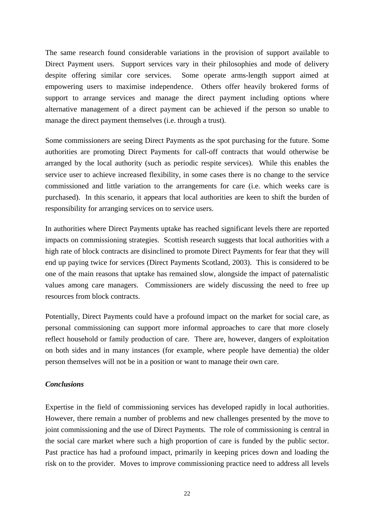The same research found considerable variations in the provision of support available to Direct Payment users. Support services vary in their philosophies and mode of delivery despite offering similar core services. Some operate arms-length support aimed at empowering users to maximise independence. Others offer heavily brokered forms of support to arrange services and manage the direct payment including options where alternative management of a direct payment can be achieved if the person so unable to manage the direct payment themselves (i.e. through a trust).

Some commissioners are seeing Direct Payments as the spot purchasing for the future. Some authorities are promoting Direct Payments for call-off contracts that would otherwise be arranged by the local authority (such as periodic respite services). While this enables the service user to achieve increased flexibility, in some cases there is no change to the service commissioned and little variation to the arrangements for care (i.e. which weeks care is purchased). In this scenario, it appears that local authorities are keen to shift the burden of responsibility for arranging services on to service users.

In authorities where Direct Payments uptake has reached significant levels there are reported impacts on commissioning strategies. Scottish research suggests that local authorities with a high rate of block contracts are disinclined to promote Direct Payments for fear that they will end up paying twice for services (Direct Payments Scotland, 2003). This is considered to be one of the main reasons that uptake has remained slow, alongside the impact of paternalistic values among care managers. Commissioners are widely discussing the need to free up resources from block contracts.

Potentially, Direct Payments could have a profound impact on the market for social care, as personal commissioning can support more informal approaches to care that more closely reflect household or family production of care. There are, however, dangers of exploitation on both sides and in many instances (for example, where people have dementia) the older person themselves will not be in a position or want to manage their own care.

## *Conclusions*

Expertise in the field of commissioning services has developed rapidly in local authorities. However, there remain a number of problems and new challenges presented by the move to joint commissioning and the use of Direct Payments. The role of commissioning is central in the social care market where such a high proportion of care is funded by the public sector. Past practice has had a profound impact, primarily in keeping prices down and loading the risk on to the provider. Moves to improve commissioning practice need to address all levels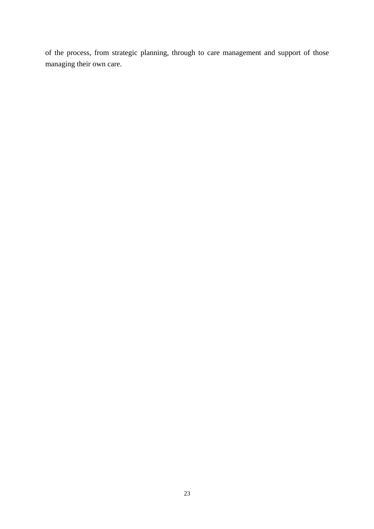of the process, from strategic planning, through to care management and support of those managing their own care.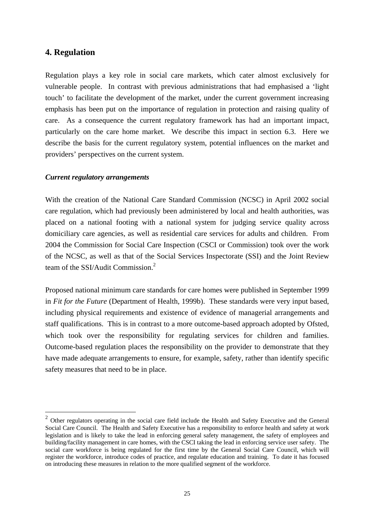## **4. Regulation**

 $\overline{a}$ 

Regulation plays a key role in social care markets, which cater almost exclusively for vulnerable people. In contrast with previous administrations that had emphasised a 'light touch' to facilitate the development of the market, under the current government increasing emphasis has been put on the importance of regulation in protection and raising quality of care. As a consequence the current regulatory framework has had an important impact, particularly on the care home market. We describe this impact in section 6.3. Here we describe the basis for the current regulatory system, potential influences on the market and providers' perspectives on the current system.

#### *Current regulatory arrangements*

With the creation of the National Care Standard Commission (NCSC) in April 2002 social care regulation, which had previously been administered by local and health authorities, was placed on a national footing with a national system for judging service quality across domiciliary care agencies, as well as residential care services for adults and children. From 2004 the Commission for Social Care Inspection (CSCI or Commission) took over the work of the NCSC, as well as that of the Social Services Inspectorate (SSI) and the Joint Review team of the SSI/Audit Commission.<sup>[2](#page-28-0)</sup>

Proposed national minimum care standards for care homes were published in September 1999 in *Fit for the Future* (Department of Health, 1999b). These standards were very input based, including physical requirements and existence of evidence of managerial arrangements and staff qualifications. This is in contrast to a more outcome-based approach adopted by Ofsted, which took over the responsibility for regulating services for children and families. Outcome-based regulation places the responsibility on the provider to demonstrate that they have made adequate arrangements to ensure, for example, safety, rather than identify specific safety measures that need to be in place.

<span id="page-28-0"></span><sup>&</sup>lt;sup>2</sup> Other regulators operating in the social care field include the Health and Safety Executive and the General Social Care Council. The Health and Safety Executive has a responsibility to enforce health and safety at work legislation and is likely to take the lead in enforcing general safety management, the safety of employees and building/facility management in care homes, with the CSCI taking the lead in enforcing service user safety. The social care workforce is being regulated for the first time by the General Social Care Council, which will register the workforce, introduce codes of practice, and regulate education and training. To date it has focused on introducing these measures in relation to the more qualified segment of the workforce.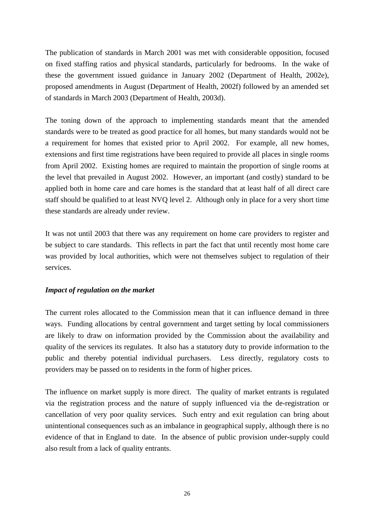The publication of standards in March 2001 was met with considerable opposition, focused on fixed staffing ratios and physical standards, particularly for bedrooms. In the wake of these the government issued guidance in January 2002 (Department of Health, 2002e), proposed amendments in August (Department of Health, 2002f) followed by an amended set of standards in March 2003 (Department of Health, 2003d).

The toning down of the approach to implementing standards meant that the amended standards were to be treated as good practice for all homes, but many standards would not be a requirement for homes that existed prior to April 2002. For example, all new homes, extensions and first time registrations have been required to provide all places in single rooms from April 2002. Existing homes are required to maintain the proportion of single rooms at the level that prevailed in August 2002. However, an important (and costly) standard to be applied both in home care and care homes is the standard that at least half of all direct care staff should be qualified to at least NVQ level 2. Although only in place for a very short time these standards are already under review.

It was not until 2003 that there was any requirement on home care providers to register and be subject to care standards. This reflects in part the fact that until recently most home care was provided by local authorities, which were not themselves subject to regulation of their services.

## *Impact of regulation on the market*

The current roles allocated to the Commission mean that it can influence demand in three ways. Funding allocations by central government and target setting by local commissioners are likely to draw on information provided by the Commission about the availability and quality of the services its regulates. It also has a statutory duty to provide information to the public and thereby potential individual purchasers. Less directly, regulatory costs to providers may be passed on to residents in the form of higher prices.

The influence on market supply is more direct. The quality of market entrants is regulated via the registration process and the nature of supply influenced via the de-registration or cancellation of very poor quality services. Such entry and exit regulation can bring about unintentional consequences such as an imbalance in geographical supply, although there is no evidence of that in England to date. In the absence of public provision under-supply could also result from a lack of quality entrants.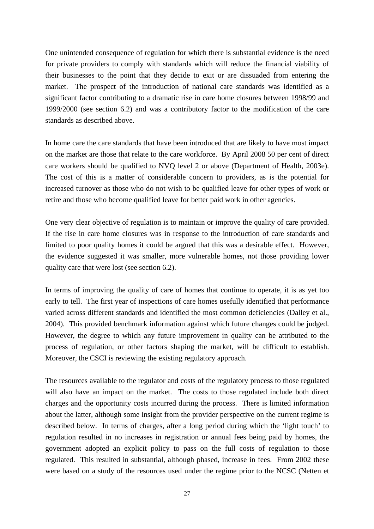One unintended consequence of regulation for which there is substantial evidence is the need for private providers to comply with standards which will reduce the financial viability of their businesses to the point that they decide to exit or are dissuaded from entering the market. The prospect of the introduction of national care standards was identified as a significant factor contributing to a dramatic rise in care home closures between 1998/99 and 1999/2000 (see section 6.2) and was a contributory factor to the modification of the care standards as described above.

In home care the care standards that have been introduced that are likely to have most impact on the market are those that relate to the care workforce. By April 2008 50 per cent of direct care workers should be qualified to NVQ level 2 or above (Department of Health, 2003e). The cost of this is a matter of considerable concern to providers, as is the potential for increased turnover as those who do not wish to be qualified leave for other types of work or retire and those who become qualified leave for better paid work in other agencies.

One very clear objective of regulation is to maintain or improve the quality of care provided. If the rise in care home closures was in response to the introduction of care standards and limited to poor quality homes it could be argued that this was a desirable effect. However, the evidence suggested it was smaller, more vulnerable homes, not those providing lower quality care that were lost (see section 6.2).

In terms of improving the quality of care of homes that continue to operate, it is as yet too early to tell. The first year of inspections of care homes usefully identified that performance varied across different standards and identified the most common deficiencies (Dalley et al., 2004). This provided benchmark information against which future changes could be judged. However, the degree to which any future improvement in quality can be attributed to the process of regulation, or other factors shaping the market, will be difficult to establish. Moreover, the CSCI is reviewing the existing regulatory approach.

The resources available to the regulator and costs of the regulatory process to those regulated will also have an impact on the market. The costs to those regulated include both direct charges and the opportunity costs incurred during the process. There is limited information about the latter, although some insight from the provider perspective on the current regime is described below. In terms of charges, after a long period during which the 'light touch' to regulation resulted in no increases in registration or annual fees being paid by homes, the government adopted an explicit policy to pass on the full costs of regulation to those regulated. This resulted in substantial, although phased, increase in fees. From 2002 these were based on a study of the resources used under the regime prior to the NCSC (Netten et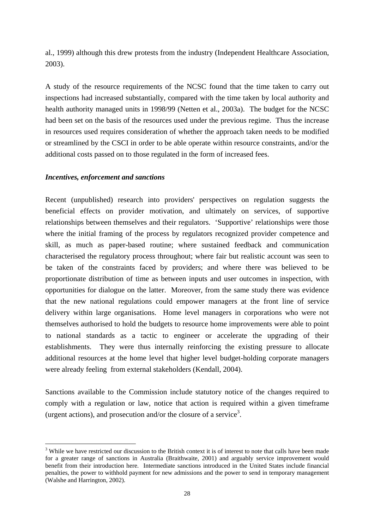al., 1999) although this drew protests from the industry (Independent Healthcare Association, 2003).

A study of the resource requirements of the NCSC found that the time taken to carry out inspections had increased substantially, compared with the time taken by local authority and health authority managed units in 1998/99 (Netten et al., 2003a). The budget for the NCSC had been set on the basis of the resources used under the previous regime. Thus the increase in resources used requires consideration of whether the approach taken needs to be modified or streamlined by the CSCI in order to be able operate within resource constraints, and/or the additional costs passed on to those regulated in the form of increased fees.

## *Incentives, enforcement and sanctions*

 $\overline{a}$ 

Recent (unpublished) research into providers' perspectives on regulation suggests the beneficial effects on provider motivation, and ultimately on services, of supportive relationships between themselves and their regulators. 'Supportive' relationships were those where the initial framing of the process by regulators recognized provider competence and skill, as much as paper-based routine; where sustained feedback and communication characterised the regulatory process throughout; where fair but realistic account was seen to be taken of the constraints faced by providers; and where there was believed to be proportionate distribution of time as between inputs and user outcomes in inspection, with opportunities for dialogue on the latter. Moreover, from the same study there was evidence that the new national regulations could empower managers at the front line of service delivery within large organisations. Home level managers in corporations who were not themselves authorised to hold the budgets to resource home improvements were able to point to national standards as a tactic to engineer or accelerate the upgrading of their establishments. They were thus internally reinforcing the existing pressure to allocate additional resources at the home level that higher level budget-holding corporate managers were already feeling from external stakeholders (Kendall, 2004).

Sanctions available to the Commission include statutory notice of the changes required to comply with a regulation or law, notice that action is required within a given timeframe (urgent actions), and prosecution and/or the closure of a service<sup>3</sup>.

<span id="page-31-0"></span><sup>&</sup>lt;sup>3</sup> While we have restricted our discussion to the British context it is of interest to note that calls have been made for a greater range of sanctions in Australia (Braithwaite, 2001) and arguably service improvement would benefit from their introduction here. Intermediate sanctions introduced in the United States include financial penalties, the power to withhold payment for new admissions and the power to send in temporary management (Walshe and Harrington, 2002).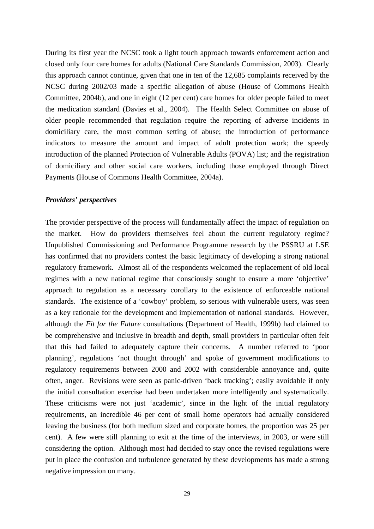During its first year the NCSC took a light touch approach towards enforcement action and closed only four care homes for adults (National Care Standards Commission, 2003). Clearly this approach cannot continue, given that one in ten of the 12,685 complaints received by the NCSC during 2002/03 made a specific allegation of abuse (House of Commons Health Committee, 2004b), and one in eight (12 per cent) care homes for older people failed to meet the medication standard (Davies et al., 2004). The Health Select Committee on abuse of older people recommended that regulation require the reporting of adverse incidents in domiciliary care, the most common setting of abuse; the introduction of performance indicators to measure the amount and impact of adult protection work; the speedy introduction of the planned Protection of Vulnerable Adults (POVA) list; and the registration of domiciliary and other social care workers, including those employed through Direct Payments (House of Commons Health Committee, 2004a).

#### *Providers' perspectives*

The provider perspective of the process will fundamentally affect the impact of regulation on the market. How do providers themselves feel about the current regulatory regime? Unpublished Commissioning and Performance Programme research by the PSSRU at LSE has confirmed that no providers contest the basic legitimacy of developing a strong national regulatory framework. Almost all of the respondents welcomed the replacement of old local regimes with a new national regime that consciously sought to ensure a more 'objective' approach to regulation as a necessary corollary to the existence of enforceable national standards. The existence of a 'cowboy' problem, so serious with vulnerable users, was seen as a key rationale for the development and implementation of national standards. However, although the *Fit for the Future* consultations (Department of Health, 1999b) had claimed to be comprehensive and inclusive in breadth and depth, small providers in particular often felt that this had failed to adequately capture their concerns. A number referred to 'poor planning', regulations 'not thought through' and spoke of government modifications to regulatory requirements between 2000 and 2002 with considerable annoyance and, quite often, anger. Revisions were seen as panic-driven 'back tracking'; easily avoidable if only the initial consultation exercise had been undertaken more intelligently and systematically. These criticisms were not just 'academic', since in the light of the initial regulatory requirements, an incredible 46 per cent of small home operators had actually considered leaving the business (for both medium sized and corporate homes, the proportion was 25 per cent). A few were still planning to exit at the time of the interviews, in 2003, or were still considering the option. Although most had decided to stay once the revised regulations were put in place the confusion and turbulence generated by these developments has made a strong negative impression on many.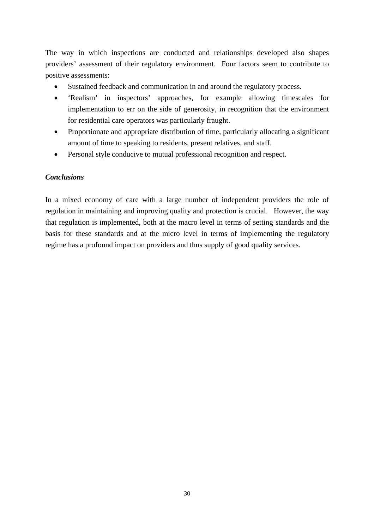The way in which inspections are conducted and relationships developed also shapes providers' assessment of their regulatory environment. Four factors seem to contribute to positive assessments:

- Sustained feedback and communication in and around the regulatory process.
- 'Realism' in inspectors' approaches, for example allowing timescales for implementation to err on the side of generosity, in recognition that the environment for residential care operators was particularly fraught.
- Proportionate and appropriate distribution of time, particularly allocating a significant amount of time to speaking to residents, present relatives, and staff.
- Personal style conducive to mutual professional recognition and respect.

## *Conclusions*

In a mixed economy of care with a large number of independent providers the role of regulation in maintaining and improving quality and protection is crucial. However, the way that regulation is implemented, both at the macro level in terms of setting standards and the basis for these standards and at the micro level in terms of implementing the regulatory regime has a profound impact on providers and thus supply of good quality services.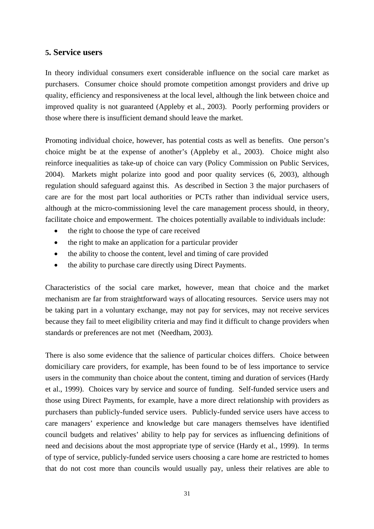## **5. Service users**

In theory individual consumers exert considerable influence on the social care market as purchasers. Consumer choice should promote competition amongst providers and drive up quality, efficiency and responsiveness at the local level, although the link between choice and improved quality is not guaranteed (Appleby et al., 2003). Poorly performing providers or those where there is insufficient demand should leave the market.

Promoting individual choice, however, has potential costs as well as benefits. One person's choice might be at the expense of another's (Appleby et al., 2003). Choice might also reinforce inequalities as take-up of choice can vary (Policy Commission on Public Services, 2004). Markets might polarize into good and poor quality services (6, 2003), although regulation should safeguard against this. As described in Section 3 the major purchasers of care are for the most part local authorities or PCTs rather than individual service users, although at the micro-commissioning level the care management process should, in theory, facilitate choice and empowerment. The choices potentially available to individuals include:

- the right to choose the type of care received
- the right to make an application for a particular provider
- the ability to choose the content, level and timing of care provided
- the ability to purchase care directly using Direct Payments.

Characteristics of the social care market, however, mean that choice and the market mechanism are far from straightforward ways of allocating resources. Service users may not be taking part in a voluntary exchange, may not pay for services, may not receive services because they fail to meet eligibility criteria and may find it difficult to change providers when standards or preferences are not met (Needham, 2003).

There is also some evidence that the salience of particular choices differs. Choice between domiciliary care providers, for example, has been found to be of less importance to service users in the community than choice about the content, timing and duration of services (Hardy et al., 1999). Choices vary by service and source of funding. Self-funded service users and those using Direct Payments, for example, have a more direct relationship with providers as purchasers than publicly-funded service users. Publicly-funded service users have access to care managers' experience and knowledge but care managers themselves have identified council budgets and relatives' ability to help pay for services as influencing definitions of need and decisions about the most appropriate type of service (Hardy et al., 1999). In terms of type of service, publicly-funded service users choosing a care home are restricted to homes that do not cost more than councils would usually pay, unless their relatives are able to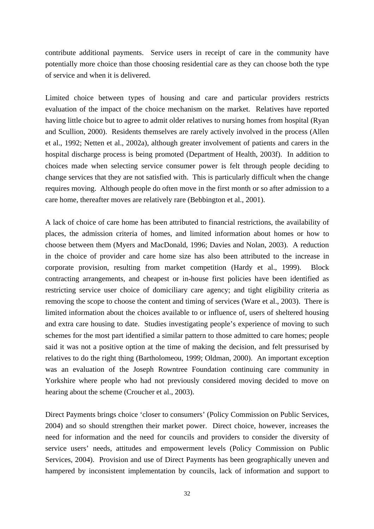contribute additional payments. Service users in receipt of care in the community have potentially more choice than those choosing residential care as they can choose both the type of service and when it is delivered.

Limited choice between types of housing and care and particular providers restricts evaluation of the impact of the choice mechanism on the market. Relatives have reported having little choice but to agree to admit older relatives to nursing homes from hospital (Ryan and Scullion, 2000). Residents themselves are rarely actively involved in the process (Allen et al., 1992; Netten et al., 2002a), although greater involvement of patients and carers in the hospital discharge process is being promoted (Department of Health, 2003f). In addition to choices made when selecting service consumer power is felt through people deciding to change services that they are not satisfied with. This is particularly difficult when the change requires moving. Although people do often move in the first month or so after admission to a care home, thereafter moves are relatively rare (Bebbington et al., 2001).

A lack of choice of care home has been attributed to financial restrictions, the availability of places, the admission criteria of homes, and limited information about homes or how to choose between them (Myers and MacDonald, 1996; Davies and Nolan, 2003). A reduction in the choice of provider and care home size has also been attributed to the increase in corporate provision, resulting from market competition (Hardy et al., 1999). Block contracting arrangements, and cheapest or in-house first policies have been identified as restricting service user choice of domiciliary care agency; and tight eligibility criteria as removing the scope to choose the content and timing of services (Ware et al., 2003). There is limited information about the choices available to or influence of, users of sheltered housing and extra care housing to date. Studies investigating people's experience of moving to such schemes for the most part identified a similar pattern to those admitted to care homes; people said it was not a positive option at the time of making the decision, and felt pressurised by relatives to do the right thing (Bartholomeou, 1999; Oldman, 2000). An important exception was an evaluation of the Joseph Rowntree Foundation continuing care community in Yorkshire where people who had not previously considered moving decided to move on hearing about the scheme (Croucher et al., 2003).

Direct Payments brings choice 'closer to consumers' (Policy Commission on Public Services, 2004) and so should strengthen their market power. Direct choice, however, increases the need for information and the need for councils and providers to consider the diversity of service users' needs, attitudes and empowerment levels (Policy Commission on Public Services, 2004). Provision and use of Direct Payments has been geographically uneven and hampered by inconsistent implementation by councils, lack of information and support to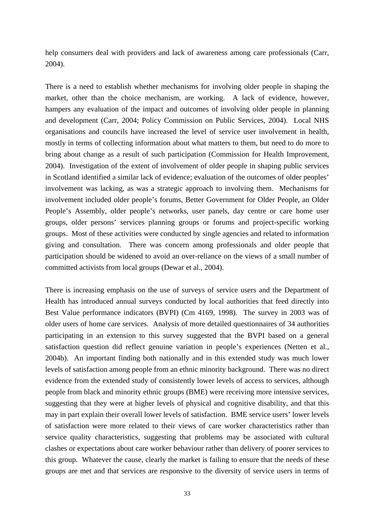help consumers deal with providers and lack of awareness among care professionals (Carr, 2004).

There is a need to establish whether mechanisms for involving older people in shaping the market, other than the choice mechanism, are working. A lack of evidence, however, hampers any evaluation of the impact and outcomes of involving older people in planning and development (Carr, 2004; Policy Commission on Public Services, 2004). Local NHS organisations and councils have increased the level of service user involvement in health, mostly in terms of collecting information about what matters to them, but need to do more to bring about change as a result of such participation (Commission for Health Improvement, 2004). Investigation of the extent of involvement of older people in shaping public services in Scotland identified a similar lack of evidence; evaluation of the outcomes of older peoples' involvement was lacking, as was a strategic approach to involving them. Mechanisms for involvement included older people's forums, Better Government for Older People, an Older People's Assembly, older people's networks, user panels, day centre or care home user groups, older persons' services planning groups or forums and project-specific working groups. Most of these activities were conducted by single agencies and related to information giving and consultation. There was concern among professionals and older people that participation should be widened to avoid an over-reliance on the views of a small number of committed activists from local groups (Dewar et al., 2004).

There is increasing emphasis on the use of surveys of service users and the Department of Health has introduced annual surveys conducted by local authorities that feed directly into Best Value performance indicators (BVPI) (Cm 4169, 1998). The survey in 2003 was of older users of home care services. Analysis of more detailed questionnaires of 34 authorities participating in an extension to this survey suggested that the BVPI based on a general satisfaction question did reflect genuine variation in people's experiences (Netten et al., 2004b). An important finding both nationally and in this extended study was much lower levels of satisfaction among people from an ethnic minority background. There was no direct evidence from the extended study of consistently lower levels of access to services, although people from black and minority ethnic groups (BME) were receiving more intensive services, suggesting that they were at higher levels of physical and cognitive disability, and that this may in part explain their overall lower levels of satisfaction. BME service users' lower levels of satisfaction were more related to their views of care worker characteristics rather than service quality characteristics, suggesting that problems may be associated with cultural clashes or expectations about care worker behaviour rather than delivery of poorer services to this group. Whatever the cause, clearly the market is failing to ensure that the needs of these groups are met and that services are responsive to the diversity of service users in terms of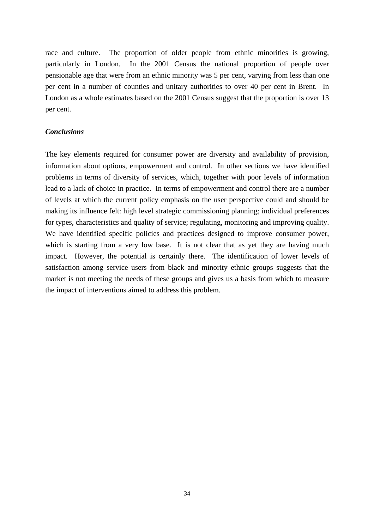race and culture. The proportion of older people from ethnic minorities is growing, particularly in London. In the 2001 Census the national proportion of people over pensionable age that were from an ethnic minority was 5 per cent, varying from less than one per cent in a number of counties and unitary authorities to over 40 per cent in Brent. In London as a whole estimates based on the 2001 Census suggest that the proportion is over 13 per cent.

#### *Conclusions*

The key elements required for consumer power are diversity and availability of provision, information about options, empowerment and control. In other sections we have identified problems in terms of diversity of services, which, together with poor levels of information lead to a lack of choice in practice. In terms of empowerment and control there are a number of levels at which the current policy emphasis on the user perspective could and should be making its influence felt: high level strategic commissioning planning; individual preferences for types, characteristics and quality of service; regulating, monitoring and improving quality. We have identified specific policies and practices designed to improve consumer power, which is starting from a very low base. It is not clear that as yet they are having much impact. However, the potential is certainly there. The identification of lower levels of satisfaction among service users from black and minority ethnic groups suggests that the market is not meeting the needs of these groups and gives us a basis from which to measure the impact of interventions aimed to address this problem.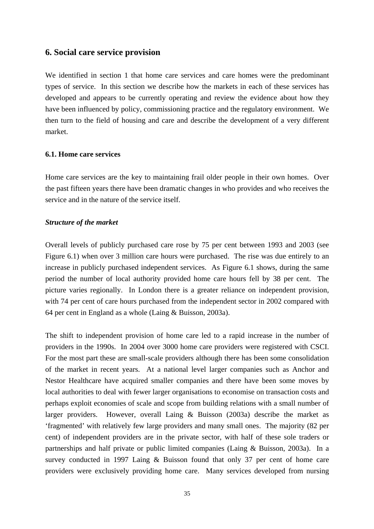# **6. Social care service provision**

We identified in section 1 that home care services and care homes were the predominant types of service. In this section we describe how the markets in each of these services has developed and appears to be currently operating and review the evidence about how they have been influenced by policy, commissioning practice and the regulatory environment. We then turn to the field of housing and care and describe the development of a very different market.

#### **6.1. Home care services**

Home care services are the key to maintaining frail older people in their own homes. Over the past fifteen years there have been dramatic changes in who provides and who receives the service and in the nature of the service itself.

#### *Structure of the market*

Overall levels of publicly purchased care rose by 75 per cent between 1993 and 2003 (see Figure 6.1) when over 3 million care hours were purchased. The rise was due entirely to an increase in publicly purchased independent services. As Figure 6.1 shows, during the same period the number of local authority provided home care hours fell by 38 per cent. The picture varies regionally. In London there is a greater reliance on independent provision, with 74 per cent of care hours purchased from the independent sector in 2002 compared with 64 per cent in England as a whole (Laing & Buisson, 2003a).

The shift to independent provision of home care led to a rapid increase in the number of providers in the 1990s. In 2004 over 3000 home care providers were registered with CSCI. For the most part these are small-scale providers although there has been some consolidation of the market in recent years. At a national level larger companies such as Anchor and Nestor Healthcare have acquired smaller companies and there have been some moves by local authorities to deal with fewer larger organisations to economise on transaction costs and perhaps exploit economies of scale and scope from building relations with a small number of larger providers. However, overall Laing & Buisson (2003a) describe the market as 'fragmented' with relatively few large providers and many small ones. The majority (82 per cent) of independent providers are in the private sector, with half of these sole traders or partnerships and half private or public limited companies (Laing & Buisson, 2003a). In a survey conducted in 1997 Laing & Buisson found that only 37 per cent of home care providers were exclusively providing home care. Many services developed from nursing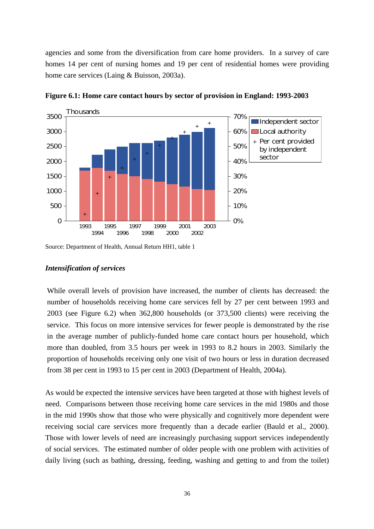agencies and some from the diversification from care home providers. In a survey of care homes 14 per cent of nursing homes and 19 per cent of residential homes were providing home care services (Laing & Buisson, 2003a).



**Figure 6.1: Home care contact hours by sector of provision in England: 1993-2003** 

Source: Department of Health, Annual Return HH1, table 1

#### *Intensification of services*

While overall levels of provision have increased, the number of clients has decreased: the number of households receiving home care services fell by 27 per cent between 1993 and 2003 (see Figure 6.2) when 362,800 households (or 373,500 clients) were receiving the service. This focus on more intensive services for fewer people is demonstrated by the rise in the average number of publicly-funded home care contact hours per household, which more than doubled, from 3.5 hours per week in 1993 to 8.2 hours in 2003. Similarly the proportion of households receiving only one visit of two hours or less in duration decreased from 38 per cent in 1993 to 15 per cent in 2003 (Department of Health, 2004a).

As would be expected the intensive services have been targeted at those with highest levels of need. Comparisons between those receiving home care services in the mid 1980s and those in the mid 1990s show that those who were physically and cognitively more dependent were receiving social care services more frequently than a decade earlier (Bauld et al., 2000). Those with lower levels of need are increasingly purchasing support services independently of social services. The estimated number of older people with one problem with activities of daily living (such as bathing, dressing, feeding, washing and getting to and from the toilet)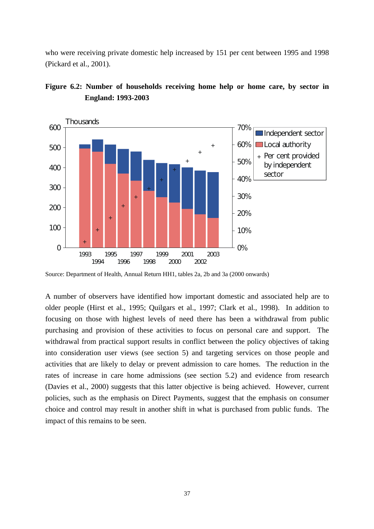who were receiving private domestic help increased by 151 per cent between 1995 and 1998 (Pickard et al., 2001).





Source: Department of Health, Annual Return HH1, tables 2a, 2b and 3a (2000 onwards)

A number of observers have identified how important domestic and associated help are to older people (Hirst et al., 1995; Quilgars et al., 1997; Clark et al., 1998). In addition to focusing on those with highest levels of need there has been a withdrawal from public purchasing and provision of these activities to focus on personal care and support. The withdrawal from practical support results in conflict between the policy objectives of taking into consideration user views (see section 5) and targeting services on those people and activities that are likely to delay or prevent admission to care homes. The reduction in the rates of increase in care home admissions (see section 5.2) and evidence from research (Davies et al., 2000) suggests that this latter objective is being achieved. However, current policies, such as the emphasis on Direct Payments, suggest that the emphasis on consumer choice and control may result in another shift in what is purchased from public funds. The impact of this remains to be seen.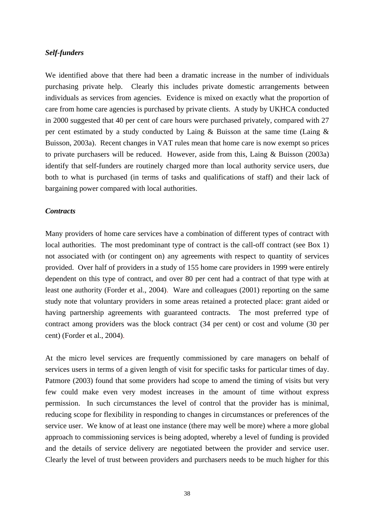#### *Self-funders*

We identified above that there had been a dramatic increase in the number of individuals purchasing private help. Clearly this includes private domestic arrangements between individuals as services from agencies. Evidence is mixed on exactly what the proportion of care from home care agencies is purchased by private clients. A study by UKHCA conducted in 2000 suggested that 40 per cent of care hours were purchased privately, compared with 27 per cent estimated by a study conducted by Laing & Buisson at the same time (Laing & Buisson, 2003a). Recent changes in VAT rules mean that home care is now exempt so prices to private purchasers will be reduced. However, aside from this, Laing & Buisson (2003a) identify that self-funders are routinely charged more than local authority service users, due both to what is purchased (in terms of tasks and qualifications of staff) and their lack of bargaining power compared with local authorities.

#### *Contracts*

Many providers of home care services have a combination of different types of contract with local authorities. The most predominant type of contract is the call-off contract (see Box 1) not associated with (or contingent on) any agreements with respect to quantity of services provided. Over half of providers in a study of 155 home care providers in 1999 were entirely dependent on this type of contract, and over 80 per cent had a contract of that type with at least one authority (Forder et al., 2004). Ware and colleagues (2001) reporting on the same study note that voluntary providers in some areas retained a protected place: grant aided or having partnership agreements with guaranteed contracts. The most preferred type of contract among providers was the block contract (34 per cent) or cost and volume (30 per cent) (Forder et al., 2004).

At the micro level services are frequently commissioned by care managers on behalf of services users in terms of a given length of visit for specific tasks for particular times of day. Patmore (2003) found that some providers had scope to amend the timing of visits but very few could make even very modest increases in the amount of time without express permission. In such circumstances the level of control that the provider has is minimal, reducing scope for flexibility in responding to changes in circumstances or preferences of the service user. We know of at least one instance (there may well be more) where a more global approach to commissioning services is being adopted, whereby a level of funding is provided and the details of service delivery are negotiated between the provider and service user. Clearly the level of trust between providers and purchasers needs to be much higher for this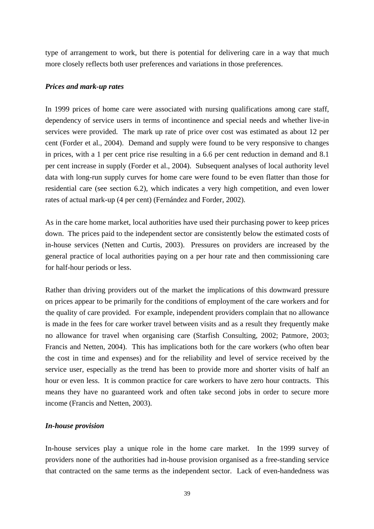type of arrangement to work, but there is potential for delivering care in a way that much more closely reflects both user preferences and variations in those preferences.

#### *Prices and mark-up rates*

In 1999 prices of home care were associated with nursing qualifications among care staff, dependency of service users in terms of incontinence and special needs and whether live-in services were provided. The mark up rate of price over cost was estimated as about 12 per cent (Forder et al., 2004). Demand and supply were found to be very responsive to changes in prices, with a 1 per cent price rise resulting in a 6.6 per cent reduction in demand and 8.1 per cent increase in supply (Forder et al., 2004). Subsequent analyses of local authority level data with long-run supply curves for home care were found to be even flatter than those for residential care (see section 6.2), which indicates a very high competition, and even lower rates of actual mark-up (4 per cent) (Fernández and Forder, 2002).

As in the care home market, local authorities have used their purchasing power to keep prices down. The prices paid to the independent sector are consistently below the estimated costs of in-house services (Netten and Curtis, 2003). Pressures on providers are increased by the general practice of local authorities paying on a per hour rate and then commissioning care for half-hour periods or less.

Rather than driving providers out of the market the implications of this downward pressure on prices appear to be primarily for the conditions of employment of the care workers and for the quality of care provided. For example, independent providers complain that no allowance is made in the fees for care worker travel between visits and as a result they frequently make no allowance for travel when organising care (Starfish Consulting, 2002; Patmore, 2003; Francis and Netten, 2004). This has implications both for the care workers (who often bear the cost in time and expenses) and for the reliability and level of service received by the service user, especially as the trend has been to provide more and shorter visits of half an hour or even less. It is common practice for care workers to have zero hour contracts. This means they have no guaranteed work and often take second jobs in order to secure more income (Francis and Netten, 2003).

# *In-house provision*

In-house services play a unique role in the home care market. In the 1999 survey of providers none of the authorities had in-house provision organised as a free-standing service that contracted on the same terms as the independent sector. Lack of even-handedness was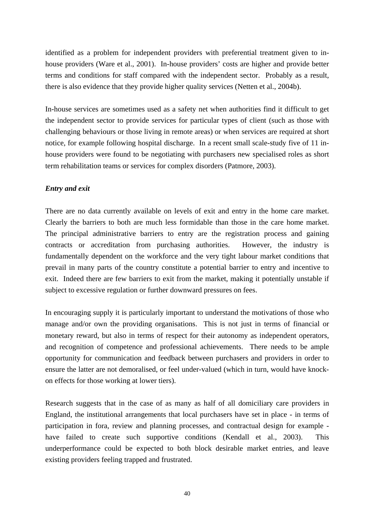identified as a problem for independent providers with preferential treatment given to inhouse providers (Ware et al., 2001). In-house providers' costs are higher and provide better terms and conditions for staff compared with the independent sector. Probably as a result, there is also evidence that they provide higher quality services (Netten et al., 2004b).

In-house services are sometimes used as a safety net when authorities find it difficult to get the independent sector to provide services for particular types of client (such as those with challenging behaviours or those living in remote areas) or when services are required at short notice, for example following hospital discharge. In a recent small scale-study five of 11 inhouse providers were found to be negotiating with purchasers new specialised roles as short term rehabilitation teams or services for complex disorders (Patmore, 2003).

# *Entry and exit*

There are no data currently available on levels of exit and entry in the home care market. Clearly the barriers to both are much less formidable than those in the care home market. The principal administrative barriers to entry are the registration process and gaining contracts or accreditation from purchasing authorities. However, the industry is fundamentally dependent on the workforce and the very tight labour market conditions that prevail in many parts of the country constitute a potential barrier to entry and incentive to exit. Indeed there are few barriers to exit from the market, making it potentially unstable if subject to excessive regulation or further downward pressures on fees.

In encouraging supply it is particularly important to understand the motivations of those who manage and/or own the providing organisations. This is not just in terms of financial or monetary reward, but also in terms of respect for their autonomy as independent operators, and recognition of competence and professional achievements. There needs to be ample opportunity for communication and feedback between purchasers and providers in order to ensure the latter are not demoralised, or feel under-valued (which in turn, would have knockon effects for those working at lower tiers).

Research suggests that in the case of as many as half of all domiciliary care providers in England, the institutional arrangements that local purchasers have set in place - in terms of participation in fora, review and planning processes, and contractual design for example have failed to create such supportive conditions (Kendall et al., 2003). This underperformance could be expected to both block desirable market entries, and leave existing providers feeling trapped and frustrated.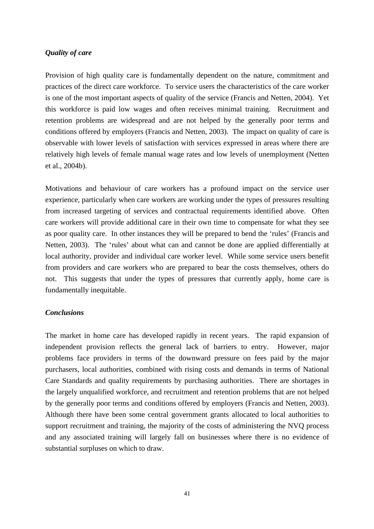## *Quality of care*

Provision of high quality care is fundamentally dependent on the nature, commitment and practices of the direct care workforce. To service users the characteristics of the care worker is one of the most important aspects of quality of the service (Francis and Netten, 2004). Yet this workforce is paid low wages and often receives minimal training. Recruitment and retention problems are widespread and are not helped by the generally poor terms and conditions offered by employers (Francis and Netten, 2003). The impact on quality of care is observable with lower levels of satisfaction with services expressed in areas where there are relatively high levels of female manual wage rates and low levels of unemployment (Netten et al., 2004b).

Motivations and behaviour of care workers has a profound impact on the service user experience, particularly when care workers are working under the types of pressures resulting from increased targeting of services and contractual requirements identified above. Often care workers will provide additional care in their own time to compensate for what they see as poor quality care. In other instances they will be prepared to bend the 'rules' (Francis and Netten, 2003). The 'rules' about what can and cannot be done are applied differentially at local authority, provider and individual care worker level. While some service users benefit from providers and care workers who are prepared to bear the costs themselves, others do not. This suggests that under the types of pressures that currently apply, home care is fundamentally inequitable.

# *Conclusions*

The market in home care has developed rapidly in recent years. The rapid expansion of independent provision reflects the general lack of barriers to entry. However, major problems face providers in terms of the downward pressure on fees paid by the major purchasers, local authorities, combined with rising costs and demands in terms of National Care Standards and quality requirements by purchasing authorities. There are shortages in the largely unqualified workforce, and recruitment and retention problems that are not helped by the generally poor terms and conditions offered by employers (Francis and Netten, 2003). Although there have been some central government grants allocated to local authorities to support recruitment and training, the majority of the costs of administering the NVQ process and any associated training will largely fall on businesses where there is no evidence of substantial surpluses on which to draw.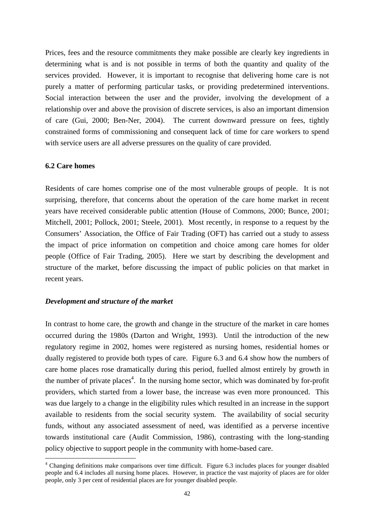Prices, fees and the resource commitments they make possible are clearly key ingredients in determining what is and is not possible in terms of both the quantity and quality of the services provided. However, it is important to recognise that delivering home care is not purely a matter of performing particular tasks, or providing predetermined interventions. Social interaction between the user and the provider, involving the development of a relationship over and above the provision of discrete services, is also an important dimension of care (Gui, 2000; Ben-Ner, 2004). The current downward pressure on fees, tightly constrained forms of commissioning and consequent lack of time for care workers to spend with service users are all adverse pressures on the quality of care provided.

#### **6.2 Care homes**

 $\overline{a}$ 

Residents of care homes comprise one of the most vulnerable groups of people. It is not surprising, therefore, that concerns about the operation of the care home market in recent years have received considerable public attention (House of Commons, 2000; Bunce, 2001; Mitchell, 2001; Pollock, 2001; Steele, 2001). Most recently, in response to a request by the Consumers' Association, the Office of Fair Trading (OFT) has carried out a study to assess the impact of price information on competition and choice among care homes for older people (Office of Fair Trading, 2005). Here we start by describing the development and structure of the market, before discussing the impact of public policies on that market in recent years.

#### *Development and structure of the market*

In contrast to home care, the growth and change in the structure of the market in care homes occurred during the 1980s (Darton and Wright, 1993). Until the introduction of the new regulatory regime in 2002, homes were registered as nursing homes, residential homes or dually registered to provide both types of care. Figure 6.3 and 6.4 show how the numbers of care home places rose dramatically during this period, fuelled almost entirely by growth in the number of private places<sup>[4](#page-45-0)</sup>. In the nursing home sector, which was dominated by for-profit providers, which started from a lower base, the increase was even more pronounced. This was due largely to a change in the eligibility rules which resulted in an increase in the support available to residents from the social security system. The availability of social security funds, without any associated assessment of need, was identified as a perverse incentive towards institutional care (Audit Commission, 1986), contrasting with the long-standing policy objective to support people in the community with home-based care.

<span id="page-45-0"></span><sup>&</sup>lt;sup>4</sup> Changing definitions make comparisons over time difficult. Figure 6.3 includes places for younger disabled people and 6.4 includes all nursing home places. However, in practice the vast majority of places are for older people, only 3 per cent of residential places are for younger disabled people.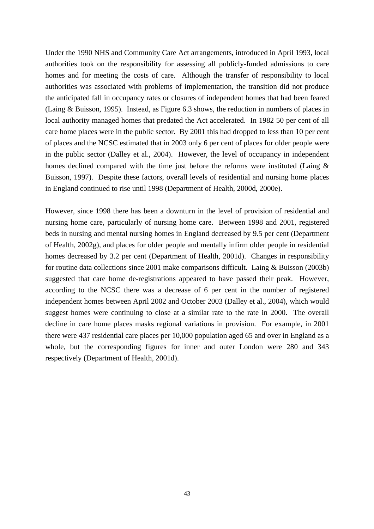Under the 1990 NHS and Community Care Act arrangements, introduced in April 1993, local authorities took on the responsibility for assessing all publicly-funded admissions to care homes and for meeting the costs of care. Although the transfer of responsibility to local authorities was associated with problems of implementation, the transition did not produce the anticipated fall in occupancy rates or closures of independent homes that had been feared (Laing & Buisson, 1995). Instead, as Figure 6.3 shows, the reduction in numbers of places in local authority managed homes that predated the Act accelerated. In 1982 50 per cent of all care home places were in the public sector. By 2001 this had dropped to less than 10 per cent of places and the NCSC estimated that in 2003 only 6 per cent of places for older people were in the public sector (Dalley et al., 2004). However, the level of occupancy in independent homes declined compared with the time just before the reforms were instituted (Laing & Buisson, 1997). Despite these factors, overall levels of residential and nursing home places in England continued to rise until 1998 (Department of Health, 2000d, 2000e).

However, since 1998 there has been a downturn in the level of provision of residential and nursing home care, particularly of nursing home care. Between 1998 and 2001, registered beds in nursing and mental nursing homes in England decreased by 9.5 per cent (Department of Health, 2002g), and places for older people and mentally infirm older people in residential homes decreased by 3.2 per cent (Department of Health, 2001d). Changes in responsibility for routine data collections since 2001 make comparisons difficult. Laing & Buisson (2003b) suggested that care home de-registrations appeared to have passed their peak. However, according to the NCSC there was a decrease of 6 per cent in the number of registered independent homes between April 2002 and October 2003 (Dalley et al., 2004), which would suggest homes were continuing to close at a similar rate to the rate in 2000. The overall decline in care home places masks regional variations in provision. For example, in 2001 there were 437 residential care places per 10,000 population aged 65 and over in England as a whole, but the corresponding figures for inner and outer London were 280 and 343 respectively (Department of Health, 2001d).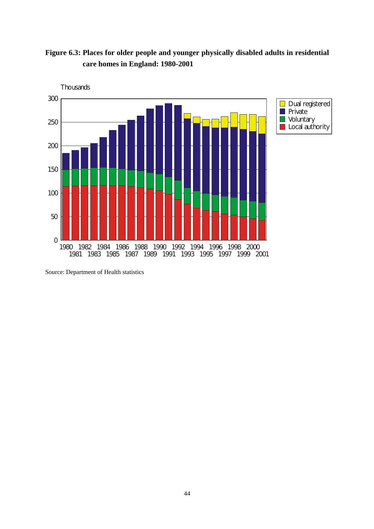**Figure 6.3: Places for older people and younger physically disabled adults in residential care homes in England: 1980-2001** 



Source: Department of Health statistics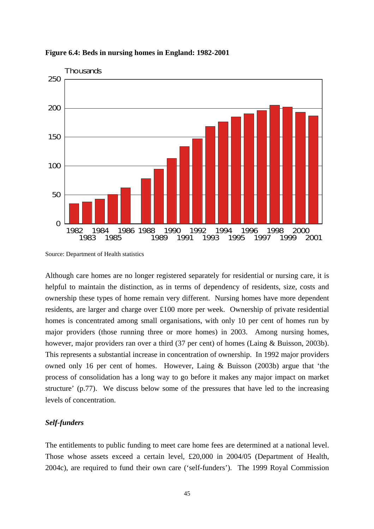

**Figure 6.4: Beds in nursing homes in England: 1982-2001** 

Although care homes are no longer registered separately for residential or nursing care, it is helpful to maintain the distinction, as in terms of dependency of residents, size, costs and ownership these types of home remain very different. Nursing homes have more dependent residents, are larger and charge over £100 more per week. Ownership of private residential homes is concentrated among small organisations, with only 10 per cent of homes run by major providers (those running three or more homes) in 2003. Among nursing homes, however, major providers ran over a third (37 per cent) of homes (Laing & Buisson, 2003b). This represents a substantial increase in concentration of ownership. In 1992 major providers owned only 16 per cent of homes. However, Laing & Buisson (2003b) argue that 'the process of consolidation has a long way to go before it makes any major impact on market structure' (p.77). We discuss below some of the pressures that have led to the increasing levels of concentration.

# *Self-funders*

The entitlements to public funding to meet care home fees are determined at a national level. Those whose assets exceed a certain level, £20,000 in 2004/05 (Department of Health, 2004c), are required to fund their own care ('self-funders'). The 1999 Royal Commission

Source: Department of Health statistics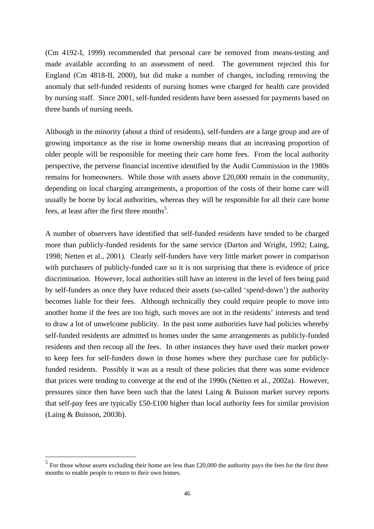(Cm 4192-I, 1999) recommended that personal care be removed from means-testing and made available according to an assessment of need. The government rejected this for England (Cm 4818-II, 2000), but did make a number of changes, including removing the anomaly that self-funded residents of nursing homes were charged for health care provided by nursing staff. Since 2001, self-funded residents have been assessed for payments based on three bands of nursing needs.

Although in the minority (about a third of residents), self-funders are a large group and are of growing importance as the rise in home ownership means that an increasing proportion of older people will be responsible for meeting their care home fees. From the local authority perspective, the perverse financial incentive identified by the Audit Commission in the 1980s remains for homeowners. While those with assets above £20,000 remain in the community, depending on local charging arrangements, a proportion of the costs of their home care will usually be borne by local authorities, whereas they will be responsible for all their care home fees, at least after the first three months<sup>5</sup>.

A number of observers have identified that self-funded residents have tended to be charged more than publicly-funded residents for the same service (Darton and Wright, 1992; Laing, 1998; Netten et al., 2001). Clearly self-funders have very little market power in comparison with purchasers of publicly-funded care so it is not surprising that there is evidence of price discrimination. However, local authorities still have an interest in the level of fees being paid by self-funders as once they have reduced their assets (so-called 'spend-down') the authority becomes liable for their fees. Although technically they could require people to move into another home if the fees are too high, such moves are not in the residents' interests and tend to draw a lot of unwelcome publicity. In the past some authorities have had policies whereby self-funded residents are admitted to homes under the same arrangements as publicly-funded residents and then recoup all the fees. In other instances they have used their market power to keep fees for self-funders down in those homes where they purchase care for publiclyfunded residents. Possibly it was as a result of these policies that there was some evidence that prices were tending to converge at the end of the 1990s (Netten et al., 2002a). However, pressures since then have been such that the latest Laing & Buisson market survey reports that self-pay fees are typically £50-£100 higher than local authority fees for similar provision (Laing & Buisson, 2003b).

 $\overline{a}$ 

<span id="page-49-0"></span><sup>&</sup>lt;sup>5</sup> For those whose assets excluding their home are less than £20,000 the authority pays the fees for the first three months to enable people to return to their own homes.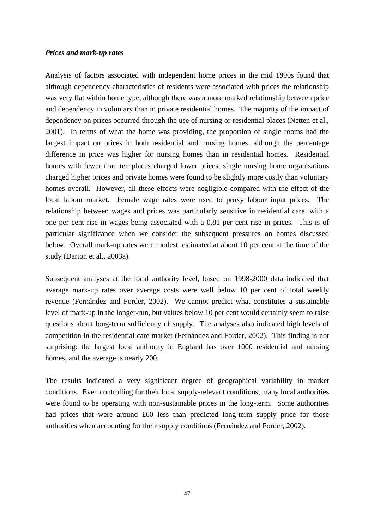#### *Prices and mark-up rates*

Analysis of factors associated with independent home prices in the mid 1990s found that although dependency characteristics of residents were associated with prices the relationship was very flat within home type, although there was a more marked relationship between price and dependency in voluntary than in private residential homes. The majority of the impact of dependency on prices occurred through the use of nursing or residential places (Netten et al., 2001). In terms of what the home was providing, the proportion of single rooms had the largest impact on prices in both residential and nursing homes, although the percentage difference in price was higher for nursing homes than in residential homes. Residential homes with fewer than ten places charged lower prices, single nursing home organisations charged higher prices and private homes were found to be slightly more costly than voluntary homes overall. However, all these effects were negligible compared with the effect of the local labour market. Female wage rates were used to proxy labour input prices. The relationship between wages and prices was particularly sensitive in residential care, with a one per cent rise in wages being associated with a 0.81 per cent rise in prices. This is of particular significance when we consider the subsequent pressures on homes discussed below. Overall mark-up rates were modest, estimated at about 10 per cent at the time of the study (Darton et al., 2003a).

Subsequent analyses at the local authority level, based on 1998-2000 data indicated that average mark-up rates over average costs were well below 10 per cent of total weekly revenue (Fernández and Forder, 2002). We cannot predict what constitutes a sustainable level of mark-up in the longer-run, but values below 10 per cent would certainly seem to raise questions about long-term sufficiency of supply. The analyses also indicated high levels of competition in the residential care market (Fernández and Forder, 2002). This finding is not surprising: the largest local authority in England has over 1000 residential and nursing homes, and the average is nearly 200.

The results indicated a very significant degree of geographical variability in market conditions. Even controlling for their local supply-relevant conditions, many local authorities were found to be operating with non-sustainable prices in the long-term. Some authorities had prices that were around £60 less than predicted long-term supply price for those authorities when accounting for their supply conditions (Fernández and Forder, 2002).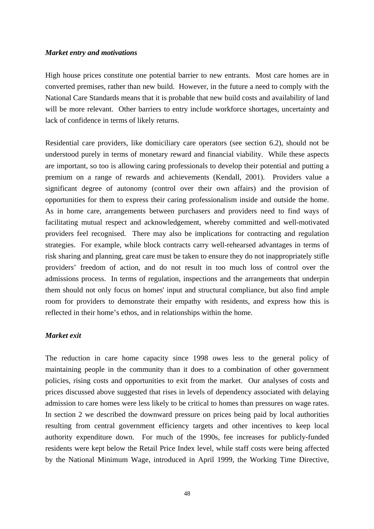#### *Market entry and motivations*

High house prices constitute one potential barrier to new entrants. Most care homes are in converted premises, rather than new build. However, in the future a need to comply with the National Care Standards means that it is probable that new build costs and availability of land will be more relevant. Other barriers to entry include workforce shortages, uncertainty and lack of confidence in terms of likely returns.

Residential care providers, like domiciliary care operators (see section 6.2), should not be understood purely in terms of monetary reward and financial viability. While these aspects are important, so too is allowing caring professionals to develop their potential and putting a premium on a range of rewards and achievements (Kendall, 2001). Providers value a significant degree of autonomy (control over their own affairs) and the provision of opportunities for them to express their caring professionalism inside and outside the home. As in home care, arrangements between purchasers and providers need to find ways of facilitating mutual respect and acknowledgement, whereby committed and well-motivated providers feel recognised. There may also be implications for contracting and regulation strategies. For example, while block contracts carry well-rehearsed advantages in terms of risk sharing and planning, great care must be taken to ensure they do not inappropriately stifle providers' freedom of action, and do not result in too much loss of control over the admissions process. In terms of regulation, inspections and the arrangements that underpin them should not only focus on homes' input and structural compliance, but also find ample room for providers to demonstrate their empathy with residents, and express how this is reflected in their home's ethos, and in relationships within the home.

## *Market exit*

The reduction in care home capacity since 1998 owes less to the general policy of maintaining people in the community than it does to a combination of other government policies, rising costs and opportunities to exit from the market. Our analyses of costs and prices discussed above suggested that rises in levels of dependency associated with delaying admission to care homes were less likely to be critical to homes than pressures on wage rates. In section 2 we described the downward pressure on prices being paid by local authorities resulting from central government efficiency targets and other incentives to keep local authority expenditure down. For much of the 1990s, fee increases for publicly-funded residents were kept below the Retail Price Index level, while staff costs were being affected by the National Minimum Wage, introduced in April 1999, the Working Time Directive,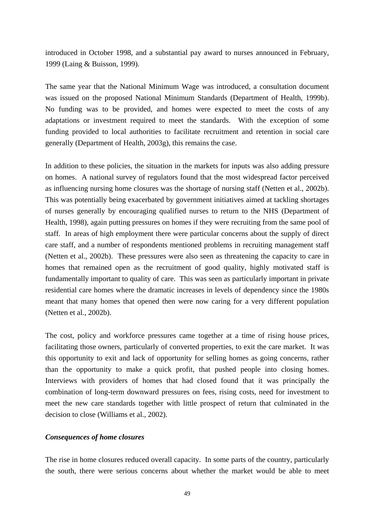introduced in October 1998, and a substantial pay award to nurses announced in February, 1999 (Laing & Buisson, 1999).

The same year that the National Minimum Wage was introduced, a consultation document was issued on the proposed National Minimum Standards (Department of Health, 1999b). No funding was to be provided, and homes were expected to meet the costs of any adaptations or investment required to meet the standards. With the exception of some funding provided to local authorities to facilitate recruitment and retention in social care generally (Department of Health, 2003g), this remains the case.

In addition to these policies, the situation in the markets for inputs was also adding pressure on homes. A national survey of regulators found that the most widespread factor perceived as influencing nursing home closures was the shortage of nursing staff (Netten et al., 2002b). This was potentially being exacerbated by government initiatives aimed at tackling shortages of nurses generally by encouraging qualified nurses to return to the NHS (Department of Health, 1998), again putting pressures on homes if they were recruiting from the same pool of staff. In areas of high employment there were particular concerns about the supply of direct care staff, and a number of respondents mentioned problems in recruiting management staff (Netten et al., 2002b). These pressures were also seen as threatening the capacity to care in homes that remained open as the recruitment of good quality, highly motivated staff is fundamentally important to quality of care. This was seen as particularly important in private residential care homes where the dramatic increases in levels of dependency since the 1980s meant that many homes that opened then were now caring for a very different population (Netten et al., 2002b).

The cost, policy and workforce pressures came together at a time of rising house prices, facilitating those owners, particularly of converted properties, to exit the care market. It was this opportunity to exit and lack of opportunity for selling homes as going concerns, rather than the opportunity to make a quick profit, that pushed people into closing homes. Interviews with providers of homes that had closed found that it was principally the combination of long-term downward pressures on fees, rising costs, need for investment to meet the new care standards together with little prospect of return that culminated in the decision to close (Williams et al., 2002).

## *Consequences of home closures*

The rise in home closures reduced overall capacity. In some parts of the country, particularly the south, there were serious concerns about whether the market would be able to meet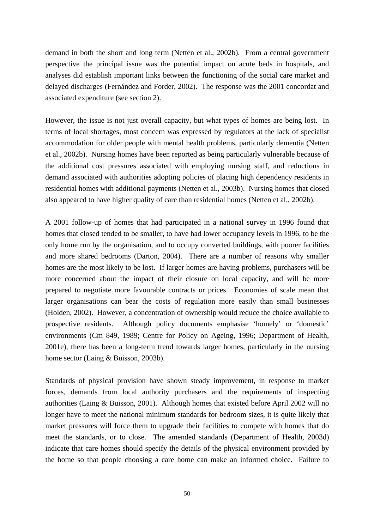demand in both the short and long term (Netten et al., 2002b). From a central government perspective the principal issue was the potential impact on acute beds in hospitals, and analyses did establish important links between the functioning of the social care market and delayed discharges (Fernández and Forder, 2002). The response was the 2001 concordat and associated expenditure (see section 2).

However, the issue is not just overall capacity, but what types of homes are being lost. In terms of local shortages, most concern was expressed by regulators at the lack of specialist accommodation for older people with mental health problems, particularly dementia (Netten et al., 2002b). Nursing homes have been reported as being particularly vulnerable because of the additional cost pressures associated with employing nursing staff, and reductions in demand associated with authorities adopting policies of placing high dependency residents in residential homes with additional payments (Netten et al., 2003b). Nursing homes that closed also appeared to have higher quality of care than residential homes (Netten et al., 2002b).

A 2001 follow-up of homes that had participated in a national survey in 1996 found that homes that closed tended to be smaller, to have had lower occupancy levels in 1996, to be the only home run by the organisation, and to occupy converted buildings, with poorer facilities and more shared bedrooms (Darton, 2004). There are a number of reasons why smaller homes are the most likely to be lost. If larger homes are having problems, purchasers will be more concerned about the impact of their closure on local capacity, and will be more prepared to negotiate more favourable contracts or prices. Economies of scale mean that larger organisations can bear the costs of regulation more easily than small businesses (Holden, 2002). However, a concentration of ownership would reduce the choice available to prospective residents. Although policy documents emphasise 'homely' or 'domestic' environments (Cm 849, 1989; Centre for Policy on Ageing, 1996; Department of Health, 2001e), there has been a long-term trend towards larger homes, particularly in the nursing home sector (Laing & Buisson, 2003b).

Standards of physical provision have shown steady improvement, in response to market forces, demands from local authority purchasers and the requirements of inspecting authorities (Laing & Buisson, 2001). Although homes that existed before April 2002 will no longer have to meet the national minimum standards for bedroom sizes, it is quite likely that market pressures will force them to upgrade their facilities to compete with homes that do meet the standards, or to close. The amended standards (Department of Health, 2003d) indicate that care homes should specify the details of the physical environment provided by the home so that people choosing a care home can make an informed choice. Failure to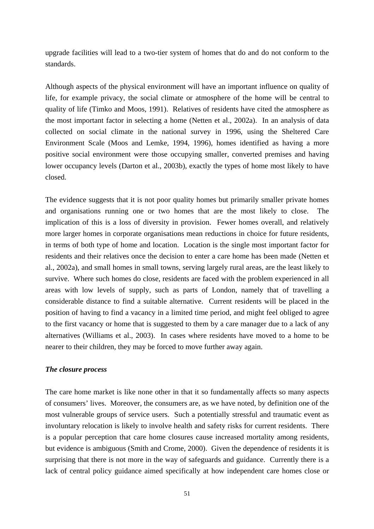upgrade facilities will lead to a two-tier system of homes that do and do not conform to the standards.

Although aspects of the physical environment will have an important influence on quality of life, for example privacy, the social climate or atmosphere of the home will be central to quality of life (Timko and Moos, 1991). Relatives of residents have cited the atmosphere as the most important factor in selecting a home (Netten et al., 2002a). In an analysis of data collected on social climate in the national survey in 1996, using the Sheltered Care Environment Scale (Moos and Lemke, 1994, 1996), homes identified as having a more positive social environment were those occupying smaller, converted premises and having lower occupancy levels (Darton et al., 2003b), exactly the types of home most likely to have closed.

The evidence suggests that it is not poor quality homes but primarily smaller private homes and organisations running one or two homes that are the most likely to close. The implication of this is a loss of diversity in provision. Fewer homes overall, and relatively more larger homes in corporate organisations mean reductions in choice for future residents, in terms of both type of home and location. Location is the single most important factor for residents and their relatives once the decision to enter a care home has been made (Netten et al., 2002a), and small homes in small towns, serving largely rural areas, are the least likely to survive. Where such homes do close, residents are faced with the problem experienced in all areas with low levels of supply, such as parts of London, namely that of travelling a considerable distance to find a suitable alternative. Current residents will be placed in the position of having to find a vacancy in a limited time period, and might feel obliged to agree to the first vacancy or home that is suggested to them by a care manager due to a lack of any alternatives (Williams et al., 2003). In cases where residents have moved to a home to be nearer to their children, they may be forced to move further away again.

### *The closure process*

The care home market is like none other in that it so fundamentally affects so many aspects of consumers' lives. Moreover, the consumers are, as we have noted, by definition one of the most vulnerable groups of service users. Such a potentially stressful and traumatic event as involuntary relocation is likely to involve health and safety risks for current residents. There is a popular perception that care home closures cause increased mortality among residents, but evidence is ambiguous (Smith and Crome, 2000). Given the dependence of residents it is surprising that there is not more in the way of safeguards and guidance. Currently there is a lack of central policy guidance aimed specifically at how independent care homes close or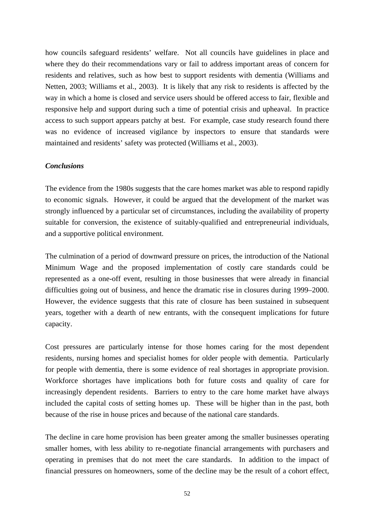how councils safeguard residents' welfare. Not all councils have guidelines in place and where they do their recommendations vary or fail to address important areas of concern for residents and relatives, such as how best to support residents with dementia (Williams and Netten, 2003; Williams et al., 2003). It is likely that any risk to residents is affected by the way in which a home is closed and service users should be offered access to fair, flexible and responsive help and support during such a time of potential crisis and upheaval. In practice access to such support appears patchy at best. For example, case study research found there was no evidence of increased vigilance by inspectors to ensure that standards were maintained and residents' safety was protected (Williams et al., 2003).

#### *Conclusions*

The evidence from the 1980s suggests that the care homes market was able to respond rapidly to economic signals. However, it could be argued that the development of the market was strongly influenced by a particular set of circumstances, including the availability of property suitable for conversion, the existence of suitably-qualified and entrepreneurial individuals, and a supportive political environment.

The culmination of a period of downward pressure on prices, the introduction of the National Minimum Wage and the proposed implementation of costly care standards could be represented as a one-off event, resulting in those businesses that were already in financial difficulties going out of business, and hence the dramatic rise in closures during 1999–2000. However, the evidence suggests that this rate of closure has been sustained in subsequent years, together with a dearth of new entrants, with the consequent implications for future capacity.

Cost pressures are particularly intense for those homes caring for the most dependent residents, nursing homes and specialist homes for older people with dementia. Particularly for people with dementia, there is some evidence of real shortages in appropriate provision. Workforce shortages have implications both for future costs and quality of care for increasingly dependent residents. Barriers to entry to the care home market have always included the capital costs of setting homes up. These will be higher than in the past, both because of the rise in house prices and because of the national care standards.

The decline in care home provision has been greater among the smaller businesses operating smaller homes, with less ability to re-negotiate financial arrangements with purchasers and operating in premises that do not meet the care standards. In addition to the impact of financial pressures on homeowners, some of the decline may be the result of a cohort effect,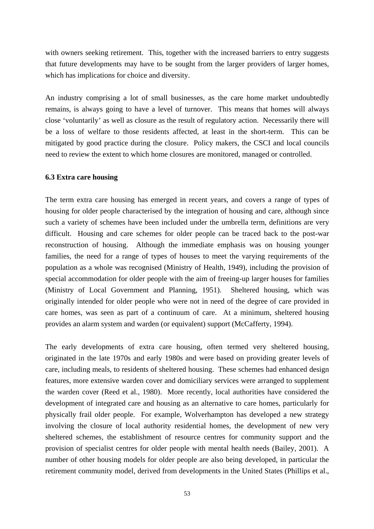with owners seeking retirement. This, together with the increased barriers to entry suggests that future developments may have to be sought from the larger providers of larger homes, which has implications for choice and diversity.

An industry comprising a lot of small businesses, as the care home market undoubtedly remains, is always going to have a level of turnover. This means that homes will always close 'voluntarily' as well as closure as the result of regulatory action. Necessarily there will be a loss of welfare to those residents affected, at least in the short-term. This can be mitigated by good practice during the closure. Policy makers, the CSCI and local councils need to review the extent to which home closures are monitored, managed or controlled.

#### **6.3 Extra care housing**

The term extra care housing has emerged in recent years, and covers a range of types of housing for older people characterised by the integration of housing and care, although since such a variety of schemes have been included under the umbrella term, definitions are very difficult. Housing and care schemes for older people can be traced back to the post-war reconstruction of housing. Although the immediate emphasis was on housing younger families, the need for a range of types of houses to meet the varying requirements of the population as a whole was recognised (Ministry of Health, 1949), including the provision of special accommodation for older people with the aim of freeing-up larger houses for families (Ministry of Local Government and Planning, 1951). Sheltered housing, which was originally intended for older people who were not in need of the degree of care provided in care homes, was seen as part of a continuum of care. At a minimum, sheltered housing provides an alarm system and warden (or equivalent) support (McCafferty, 1994).

The early developments of extra care housing, often termed very sheltered housing, originated in the late 1970s and early 1980s and were based on providing greater levels of care, including meals, to residents of sheltered housing. These schemes had enhanced design features, more extensive warden cover and domiciliary services were arranged to supplement the warden cover (Reed et al., 1980). More recently, local authorities have considered the development of integrated care and housing as an alternative to care homes, particularly for physically frail older people. For example, Wolverhampton has developed a new strategy involving the closure of local authority residential homes, the development of new very sheltered schemes, the establishment of resource centres for community support and the provision of specialist centres for older people with mental health needs (Bailey, 2001). A number of other housing models for older people are also being developed, in particular the retirement community model, derived from developments in the United States (Phillips et al.,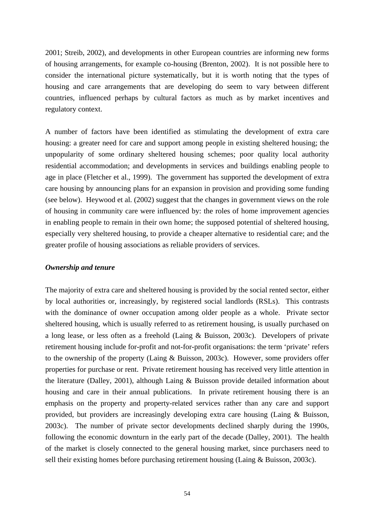2001; Streib, 2002), and developments in other European countries are informing new forms of housing arrangements, for example co-housing (Brenton, 2002). It is not possible here to consider the international picture systematically, but it is worth noting that the types of housing and care arrangements that are developing do seem to vary between different countries, influenced perhaps by cultural factors as much as by market incentives and regulatory context.

A number of factors have been identified as stimulating the development of extra care housing: a greater need for care and support among people in existing sheltered housing; the unpopularity of some ordinary sheltered housing schemes; poor quality local authority residential accommodation; and developments in services and buildings enabling people to age in place (Fletcher et al., 1999). The government has supported the development of extra care housing by announcing plans for an expansion in provision and providing some funding (see below). Heywood et al. (2002) suggest that the changes in government views on the role of housing in community care were influenced by: the roles of home improvement agencies in enabling people to remain in their own home; the supposed potential of sheltered housing, especially very sheltered housing, to provide a cheaper alternative to residential care; and the greater profile of housing associations as reliable providers of services.

#### *Ownership and tenure*

The majority of extra care and sheltered housing is provided by the social rented sector, either by local authorities or, increasingly, by registered social landlords (RSLs). This contrasts with the dominance of owner occupation among older people as a whole. Private sector sheltered housing, which is usually referred to as retirement housing, is usually purchased on a long lease, or less often as a freehold (Laing & Buisson, 2003c). Developers of private retirement housing include for-profit and not-for-profit organisations: the term 'private' refers to the ownership of the property (Laing & Buisson, 2003c). However, some providers offer properties for purchase or rent. Private retirement housing has received very little attention in the literature (Dalley, 2001), although Laing & Buisson provide detailed information about housing and care in their annual publications. In private retirement housing there is an emphasis on the property and property-related services rather than any care and support provided, but providers are increasingly developing extra care housing (Laing & Buisson, 2003c). The number of private sector developments declined sharply during the 1990s, following the economic downturn in the early part of the decade (Dalley, 2001). The health of the market is closely connected to the general housing market, since purchasers need to sell their existing homes before purchasing retirement housing (Laing & Buisson, 2003c).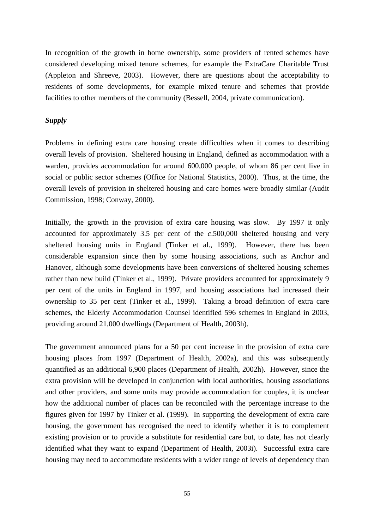In recognition of the growth in home ownership, some providers of rented schemes have considered developing mixed tenure schemes, for example the ExtraCare Charitable Trust (Appleton and Shreeve, 2003). However, there are questions about the acceptability to residents of some developments, for example mixed tenure and schemes that provide facilities to other members of the community (Bessell, 2004, private communication).

## *Supply*

Problems in defining extra care housing create difficulties when it comes to describing overall levels of provision. Sheltered housing in England, defined as accommodation with a warden, provides accommodation for around 600,000 people, of whom 86 per cent live in social or public sector schemes (Office for National Statistics, 2000). Thus, at the time, the overall levels of provision in sheltered housing and care homes were broadly similar (Audit Commission, 1998; Conway, 2000).

Initially, the growth in the provision of extra care housing was slow. By 1997 it only accounted for approximately 3.5 per cent of the *c*.500,000 sheltered housing and very sheltered housing units in England (Tinker et al., 1999). However, there has been considerable expansion since then by some housing associations, such as Anchor and Hanover, although some developments have been conversions of sheltered housing schemes rather than new build (Tinker et al., 1999). Private providers accounted for approximately 9 per cent of the units in England in 1997, and housing associations had increased their ownership to 35 per cent (Tinker et al., 1999). Taking a broad definition of extra care schemes, the Elderly Accommodation Counsel identified 596 schemes in England in 2003, providing around 21,000 dwellings (Department of Health, 2003h).

The government announced plans for a 50 per cent increase in the provision of extra care housing places from 1997 (Department of Health, 2002a), and this was subsequently quantified as an additional 6,900 places (Department of Health, 2002h). However, since the extra provision will be developed in conjunction with local authorities, housing associations and other providers, and some units may provide accommodation for couples, it is unclear how the additional number of places can be reconciled with the percentage increase to the figures given for 1997 by Tinker et al. (1999). In supporting the development of extra care housing, the government has recognised the need to identify whether it is to complement existing provision or to provide a substitute for residential care but, to date, has not clearly identified what they want to expand (Department of Health, 2003i). Successful extra care housing may need to accommodate residents with a wider range of levels of dependency than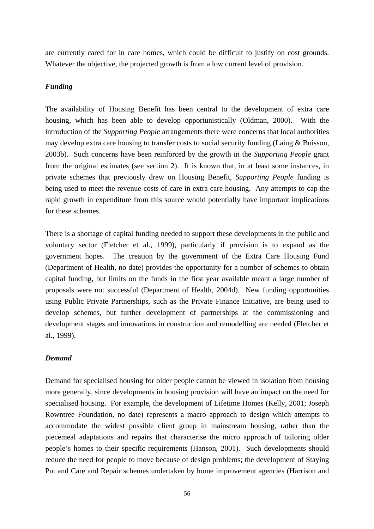are currently cared for in care homes, which could be difficult to justify on cost grounds. Whatever the objective, the projected growth is from a low current level of provision.

# *Funding*

The availability of Housing Benefit has been central to the development of extra care housing, which has been able to develop opportunistically (Oldman, 2000). With the introduction of the *Supporting People* arrangements there were concerns that local authorities may develop extra care housing to transfer costs to social security funding (Laing & Buisson, 2003b). Such concerns have been reinforced by the growth in the *Supporting People* grant from the original estimates (see section 2). It is known that, in at least some instances, in private schemes that previously drew on Housing Benefit, *Supporting People* funding is being used to meet the revenue costs of care in extra care housing. Any attempts to cap the rapid growth in expenditure from this source would potentially have important implications for these schemes.

There is a shortage of capital funding needed to support these developments in the public and voluntary sector (Fletcher et al., 1999), particularly if provision is to expand as the government hopes. The creation by the government of the Extra Care Housing Fund (Department of Health, no date) provides the opportunity for a number of schemes to obtain capital funding, but limits on the funds in the first year available meant a large number of proposals were not successful (Department of Health, 2004d). New funding opportunities using Public Private Partnerships, such as the Private Finance Initiative, are being used to develop schemes, but further development of partnerships at the commissioning and development stages and innovations in construction and remodelling are needed (Fletcher et al., 1999).

# *Demand*

Demand for specialised housing for older people cannot be viewed in isolation from housing more generally, since developments in housing provision will have an impact on the need for specialised housing. For example, the development of Lifetime Homes (Kelly, 2001; Joseph Rowntree Foundation, no date) represents a macro approach to design which attempts to accommodate the widest possible client group in mainstream housing, rather than the piecemeal adaptations and repairs that characterise the micro approach of tailoring older people's homes to their specific requirements (Hanson, 2001). Such developments should reduce the need for people to move because of design problems; the development of Staying Put and Care and Repair schemes undertaken by home improvement agencies (Harrison and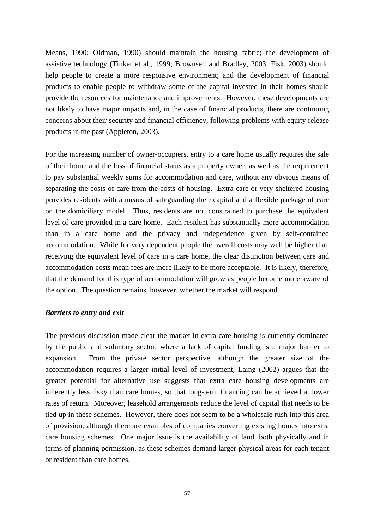Means, 1990; Oldman, 1990) should maintain the housing fabric; the development of assistive technology (Tinker et al., 1999; Brownsell and Bradley, 2003; Fisk, 2003) should help people to create a more responsive environment; and the development of financial products to enable people to withdraw some of the capital invested in their homes should provide the resources for maintenance and improvements. However, these developments are not likely to have major impacts and, in the case of financial products, there are continuing concerns about their security and financial efficiency, following problems with equity release products in the past (Appleton, 2003).

For the increasing number of owner-occupiers, entry to a care home usually requires the sale of their home and the loss of financial status as a property owner, as well as the requirement to pay substantial weekly sums for accommodation and care, without any obvious means of separating the costs of care from the costs of housing. Extra care or very sheltered housing provides residents with a means of safeguarding their capital and a flexible package of care on the domiciliary model. Thus, residents are not constrained to purchase the equivalent level of care provided in a care home. Each resident has substantially more accommodation than in a care home and the privacy and independence given by self-contained accommodation. While for very dependent people the overall costs may well be higher than receiving the equivalent level of care in a care home, the clear distinction between care and accommodation costs mean fees are more likely to be more acceptable. It is likely, therefore, that the demand for this type of accommodation will grow as people become more aware of the option. The question remains, however, whether the market will respond.

#### *Barriers to entry and exit*

The previous discussion made clear the market in extra care housing is currently dominated by the public and voluntary sector, where a lack of capital funding is a major barrier to expansion. From the private sector perspective, although the greater size of the accommodation requires a larger initial level of investment, Laing (2002) argues that the greater potential for alternative use suggests that extra care housing developments are inherently less risky than care homes, so that long-term financing can be achieved at lower rates of return. Moreover, leasehold arrangements reduce the level of capital that needs to be tied up in these schemes. However, there does not seem to be a wholesale rush into this area of provision, although there are examples of companies converting existing homes into extra care housing schemes. One major issue is the availability of land, both physically and in terms of planning permission, as these schemes demand larger physical areas for each tenant or resident than care homes.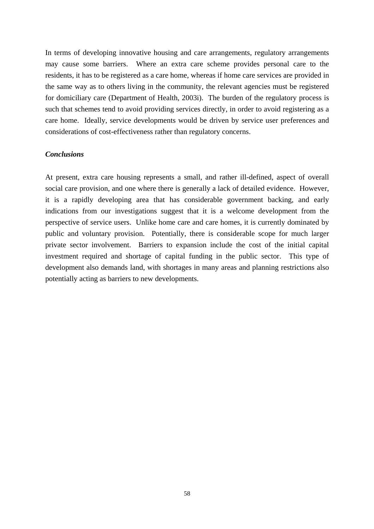In terms of developing innovative housing and care arrangements, regulatory arrangements may cause some barriers. Where an extra care scheme provides personal care to the residents, it has to be registered as a care home, whereas if home care services are provided in the same way as to others living in the community, the relevant agencies must be registered for domiciliary care (Department of Health, 2003i). The burden of the regulatory process is such that schemes tend to avoid providing services directly, in order to avoid registering as a care home. Ideally, service developments would be driven by service user preferences and considerations of cost-effectiveness rather than regulatory concerns.

# *Conclusions*

At present, extra care housing represents a small, and rather ill-defined, aspect of overall social care provision, and one where there is generally a lack of detailed evidence. However, it is a rapidly developing area that has considerable government backing, and early indications from our investigations suggest that it is a welcome development from the perspective of service users. Unlike home care and care homes, it is currently dominated by public and voluntary provision. Potentially, there is considerable scope for much larger private sector involvement. Barriers to expansion include the cost of the initial capital investment required and shortage of capital funding in the public sector. This type of development also demands land, with shortages in many areas and planning restrictions also potentially acting as barriers to new developments.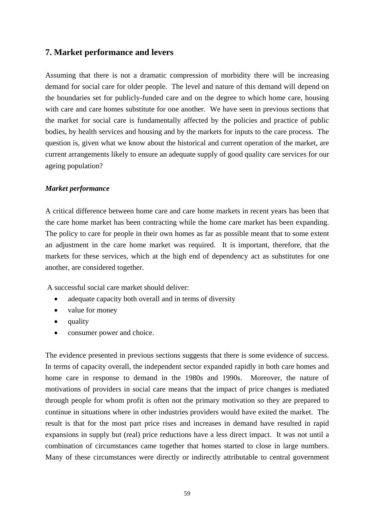# **7. Market performance and levers**

Assuming that there is not a dramatic compression of morbidity there will be increasing demand for social care for older people. The level and nature of this demand will depend on the boundaries set for publicly-funded care and on the degree to which home care, housing with care and care homes substitute for one another. We have seen in previous sections that the market for social care is fundamentally affected by the policies and practice of public bodies, by health services and housing and by the markets for inputs to the care process. The question is, given what we know about the historical and current operation of the market, are current arrangements likely to ensure an adequate supply of good quality care services for our ageing population?

# *Market performance*

A critical difference between home care and care home markets in recent years has been that the care home market has been contracting while the home care market has been expanding. The policy to care for people in their own homes as far as possible meant that to some extent an adjustment in the care home market was required. It is important, therefore, that the markets for these services, which at the high end of dependency act as substitutes for one another, are considered together.

A successful social care market should deliver:

- adequate capacity both overall and in terms of diversity
- value for money
- quality
- consumer power and choice.

The evidence presented in previous sections suggests that there is some evidence of success. In terms of capacity overall, the independent sector expanded rapidly in both care homes and home care in response to demand in the 1980s and 1990s. Moreover, the nature of motivations of providers in social care means that the impact of price changes is mediated through people for whom profit is often not the primary motivation so they are prepared to continue in situations where in other industries providers would have exited the market. The result is that for the most part price rises and increases in demand have resulted in rapid expansions in supply but (real) price reductions have a less direct impact. It was not until a combination of circumstances came together that homes started to close in large numbers. Many of these circumstances were directly or indirectly attributable to central government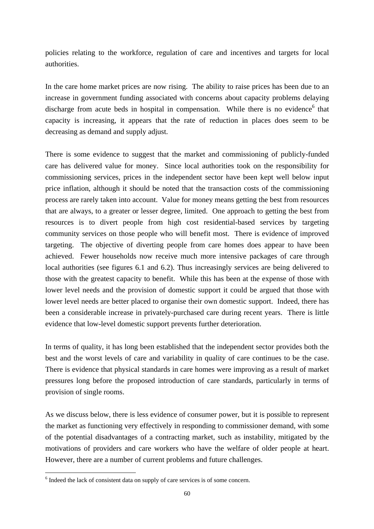policies relating to the workforce, regulation of care and incentives and targets for local authorities.

In the care home market prices are now rising. The ability to raise prices has been due to an increase in government funding associated with concerns about capacity problems delaying discharge from acute beds in hospital in compensation. While there is no evidence<sup>[6](#page-63-0)</sup> that capacity is increasing, it appears that the rate of reduction in places does seem to be decreasing as demand and supply adjust.

There is some evidence to suggest that the market and commissioning of publicly-funded care has delivered value for money. Since local authorities took on the responsibility for commissioning services, prices in the independent sector have been kept well below input price inflation, although it should be noted that the transaction costs of the commissioning process are rarely taken into account. Value for money means getting the best from resources that are always, to a greater or lesser degree, limited. One approach to getting the best from resources is to divert people from high cost residential-based services by targeting community services on those people who will benefit most. There is evidence of improved targeting. The objective of diverting people from care homes does appear to have been achieved. Fewer households now receive much more intensive packages of care through local authorities (see figures 6.1 and 6.2). Thus increasingly services are being delivered to those with the greatest capacity to benefit. While this has been at the expense of those with lower level needs and the provision of domestic support it could be argued that those with lower level needs are better placed to organise their own domestic support. Indeed, there has been a considerable increase in privately-purchased care during recent years. There is little evidence that low-level domestic support prevents further deterioration.

In terms of quality, it has long been established that the independent sector provides both the best and the worst levels of care and variability in quality of care continues to be the case. There is evidence that physical standards in care homes were improving as a result of market pressures long before the proposed introduction of care standards, particularly in terms of provision of single rooms.

As we discuss below, there is less evidence of consumer power, but it is possible to represent the market as functioning very effectively in responding to commissioner demand, with some of the potential disadvantages of a contracting market, such as instability, mitigated by the motivations of providers and care workers who have the welfare of older people at heart. However, there are a number of current problems and future challenges.

 $\overline{a}$ 

<span id="page-63-0"></span><sup>&</sup>lt;sup>6</sup> Indeed the lack of consistent data on supply of care services is of some concern.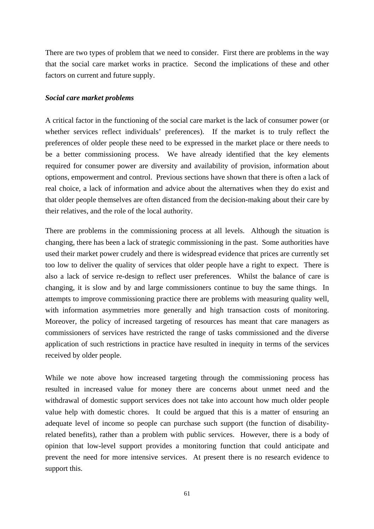There are two types of problem that we need to consider. First there are problems in the way that the social care market works in practice. Second the implications of these and other factors on current and future supply.

## *Social care market problems*

A critical factor in the functioning of the social care market is the lack of consumer power (or whether services reflect individuals' preferences). If the market is to truly reflect the preferences of older people these need to be expressed in the market place or there needs to be a better commissioning process. We have already identified that the key elements required for consumer power are diversity and availability of provision, information about options, empowerment and control. Previous sections have shown that there is often a lack of real choice, a lack of information and advice about the alternatives when they do exist and that older people themselves are often distanced from the decision-making about their care by their relatives, and the role of the local authority.

There are problems in the commissioning process at all levels. Although the situation is changing, there has been a lack of strategic commissioning in the past. Some authorities have used their market power crudely and there is widespread evidence that prices are currently set too low to deliver the quality of services that older people have a right to expect. There is also a lack of service re-design to reflect user preferences. Whilst the balance of care is changing, it is slow and by and large commissioners continue to buy the same things. In attempts to improve commissioning practice there are problems with measuring quality well, with information asymmetries more generally and high transaction costs of monitoring. Moreover, the policy of increased targeting of resources has meant that care managers as commissioners of services have restricted the range of tasks commissioned and the diverse application of such restrictions in practice have resulted in inequity in terms of the services received by older people.

While we note above how increased targeting through the commissioning process has resulted in increased value for money there are concerns about unmet need and the withdrawal of domestic support services does not take into account how much older people value help with domestic chores. It could be argued that this is a matter of ensuring an adequate level of income so people can purchase such support (the function of disabilityrelated benefits), rather than a problem with public services. However, there is a body of opinion that low-level support provides a monitoring function that could anticipate and prevent the need for more intensive services. At present there is no research evidence to support this.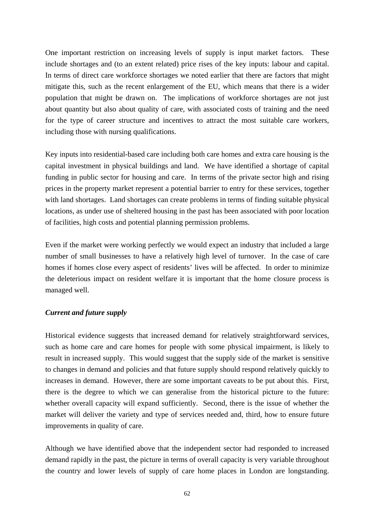One important restriction on increasing levels of supply is input market factors. These include shortages and (to an extent related) price rises of the key inputs: labour and capital. In terms of direct care workforce shortages we noted earlier that there are factors that might mitigate this, such as the recent enlargement of the EU, which means that there is a wider population that might be drawn on. The implications of workforce shortages are not just about quantity but also about quality of care, with associated costs of training and the need for the type of career structure and incentives to attract the most suitable care workers, including those with nursing qualifications.

Key inputs into residential-based care including both care homes and extra care housing is the capital investment in physical buildings and land. We have identified a shortage of capital funding in public sector for housing and care. In terms of the private sector high and rising prices in the property market represent a potential barrier to entry for these services, together with land shortages. Land shortages can create problems in terms of finding suitable physical locations, as under use of sheltered housing in the past has been associated with poor location of facilities, high costs and potential planning permission problems.

Even if the market were working perfectly we would expect an industry that included a large number of small businesses to have a relatively high level of turnover. In the case of care homes if homes close every aspect of residents' lives will be affected. In order to minimize the deleterious impact on resident welfare it is important that the home closure process is managed well.

# *Current and future supply*

Historical evidence suggests that increased demand for relatively straightforward services, such as home care and care homes for people with some physical impairment, is likely to result in increased supply. This would suggest that the supply side of the market is sensitive to changes in demand and policies and that future supply should respond relatively quickly to increases in demand. However, there are some important caveats to be put about this. First, there is the degree to which we can generalise from the historical picture to the future: whether overall capacity will expand sufficiently. Second, there is the issue of whether the market will deliver the variety and type of services needed and, third, how to ensure future improvements in quality of care.

Although we have identified above that the independent sector had responded to increased demand rapidly in the past, the picture in terms of overall capacity is very variable throughout the country and lower levels of supply of care home places in London are longstanding.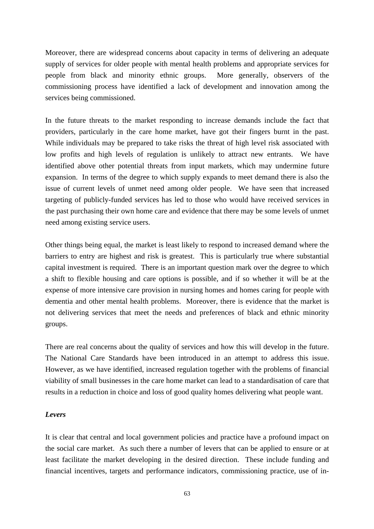Moreover, there are widespread concerns about capacity in terms of delivering an adequate supply of services for older people with mental health problems and appropriate services for people from black and minority ethnic groups. More generally, observers of the commissioning process have identified a lack of development and innovation among the services being commissioned.

In the future threats to the market responding to increase demands include the fact that providers, particularly in the care home market, have got their fingers burnt in the past. While individuals may be prepared to take risks the threat of high level risk associated with low profits and high levels of regulation is unlikely to attract new entrants. We have identified above other potential threats from input markets, which may undermine future expansion. In terms of the degree to which supply expands to meet demand there is also the issue of current levels of unmet need among older people. We have seen that increased targeting of publicly-funded services has led to those who would have received services in the past purchasing their own home care and evidence that there may be some levels of unmet need among existing service users.

Other things being equal, the market is least likely to respond to increased demand where the barriers to entry are highest and risk is greatest. This is particularly true where substantial capital investment is required. There is an important question mark over the degree to which a shift to flexible housing and care options is possible, and if so whether it will be at the expense of more intensive care provision in nursing homes and homes caring for people with dementia and other mental health problems. Moreover, there is evidence that the market is not delivering services that meet the needs and preferences of black and ethnic minority groups.

There are real concerns about the quality of services and how this will develop in the future. The National Care Standards have been introduced in an attempt to address this issue. However, as we have identified, increased regulation together with the problems of financial viability of small businesses in the care home market can lead to a standardisation of care that results in a reduction in choice and loss of good quality homes delivering what people want.

#### *Levers*

It is clear that central and local government policies and practice have a profound impact on the social care market. As such there a number of levers that can be applied to ensure or at least facilitate the market developing in the desired direction. These include funding and financial incentives, targets and performance indicators, commissioning practice, use of in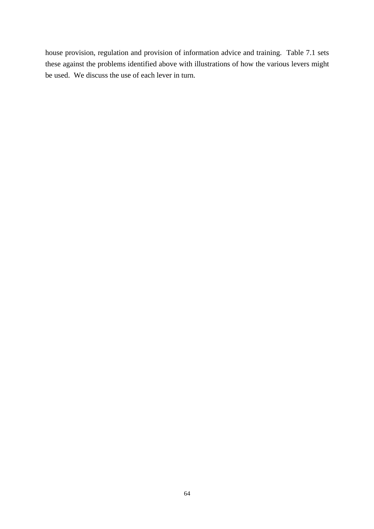house provision, regulation and provision of information advice and training. Table 7.1 sets these against the problems identified above with illustrations of how the various levers might be used. We discuss the use of each lever in turn.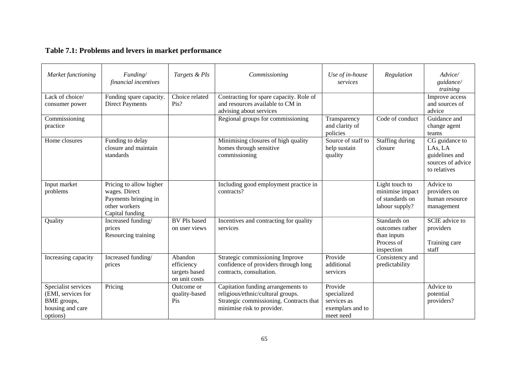# **Table 7.1: Problems and levers in market performance**

| Market functioning                                                                       | Funding/<br>financial incentives                                                                     | Targets & PIs                                           | Commissioning                                                                                                                                    | Use of in-house<br>services                                            | Regulation                                                                 | Advice/<br>guidance/<br>training                                                 |
|------------------------------------------------------------------------------------------|------------------------------------------------------------------------------------------------------|---------------------------------------------------------|--------------------------------------------------------------------------------------------------------------------------------------------------|------------------------------------------------------------------------|----------------------------------------------------------------------------|----------------------------------------------------------------------------------|
| Lack of choice/<br>consumer power                                                        | Funding spare capacity.<br><b>Direct Payments</b>                                                    | Choice related<br>Pis?                                  | Contracting for spare capacity. Role of<br>and resources available to CM in<br>advising about services                                           |                                                                        |                                                                            | Improve access<br>and sources of<br>advice                                       |
| Commissioning<br>practice                                                                |                                                                                                      |                                                         | Regional groups for commissioning                                                                                                                | Transparency<br>and clarity of<br>policies                             | Code of conduct                                                            | Guidance and<br>change agent<br>teams                                            |
| Home closures                                                                            | Funding to delay<br>closure and maintain<br>standards                                                |                                                         | Minimising closures of high quality<br>homes through sensitive<br>commissioning                                                                  | Source of staff to<br>help sustain<br>quality                          | Staffing during<br>closure                                                 | CG guidance to<br>LAs, LA<br>guidelines and<br>sources of advice<br>to relatives |
| Input market<br>problems                                                                 | Pricing to allow higher<br>wages. Direct<br>Payments bringing in<br>other workers<br>Capital funding |                                                         | Including good employment practice in<br>contracts?                                                                                              |                                                                        | Light touch to<br>minimise impact<br>of standards on<br>labour supply?     | Advice to<br>providers on<br>human resource<br>management                        |
| Quality                                                                                  | Increased funding/<br>prices<br>Resourcing training                                                  | <b>BV PIs based</b><br>on user views                    | Incentives and contracting for quality<br>services                                                                                               |                                                                        | Standards on<br>outcomes rather<br>than inputs<br>Process of<br>inspection | <b>SCIE</b> advice to<br>providers<br>Training care<br>staff                     |
| Increasing capacity                                                                      | Increased funding/<br>prices                                                                         | Abandon<br>efficiency<br>targets based<br>on unit costs | Strategic commissioning Improve<br>confidence of providers through long<br>contracts, consultation.                                              | Provide<br>additional<br>services                                      | Consistency and<br>predictability                                          |                                                                                  |
| Specialist services<br>(EMI, services for<br>BME groups,<br>housing and care<br>options) | Pricing                                                                                              | Outcome or<br>quality-based<br>Pis                      | Capitation funding arrangements to<br>religious/ethnic/cultural groups.<br>Strategic commissioning. Contracts that<br>minimise risk to provider. | Provide<br>specialized<br>services as<br>exemplars and to<br>meet need |                                                                            | Advice to<br>potential<br>providers?                                             |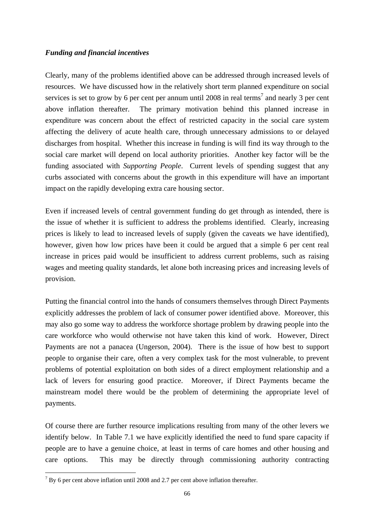# *Funding and financial incentives*

Clearly, many of the problems identified above can be addressed through increased levels of resources. We have discussed how in the relatively short term planned expenditure on social services is set to grow by 6 per cent per annum until 2008 in real terms<sup>[7](#page-69-0)</sup> and nearly 3 per cent above inflation thereafter. The primary motivation behind this planned increase in expenditure was concern about the effect of restricted capacity in the social care system affecting the delivery of acute health care, through unnecessary admissions to or delayed discharges from hospital. Whether this increase in funding is will find its way through to the social care market will depend on local authority priorities. Another key factor will be the funding associated with *Supporting People*. Current levels of spending suggest that any curbs associated with concerns about the growth in this expenditure will have an important impact on the rapidly developing extra care housing sector.

Even if increased levels of central government funding do get through as intended, there is the issue of whether it is sufficient to address the problems identified. Clearly, increasing prices is likely to lead to increased levels of supply (given the caveats we have identified), however, given how low prices have been it could be argued that a simple 6 per cent real increase in prices paid would be insufficient to address current problems, such as raising wages and meeting quality standards, let alone both increasing prices and increasing levels of provision.

Putting the financial control into the hands of consumers themselves through Direct Payments explicitly addresses the problem of lack of consumer power identified above. Moreover, this may also go some way to address the workforce shortage problem by drawing people into the care workforce who would otherwise not have taken this kind of work. However, Direct Payments are not a panacea (Ungerson, 2004). There is the issue of how best to support people to organise their care, often a very complex task for the most vulnerable, to prevent problems of potential exploitation on both sides of a direct employment relationship and a lack of levers for ensuring good practice. Moreover, if Direct Payments became the mainstream model there would be the problem of determining the appropriate level of payments.

Of course there are further resource implications resulting from many of the other levers we identify below. In Table 7.1 we have explicitly identified the need to fund spare capacity if people are to have a genuine choice, at least in terms of care homes and other housing and care options. This may be directly through commissioning authority contracting

 $\overline{a}$ 

<span id="page-69-0"></span> $<sup>7</sup>$  By 6 per cent above inflation until 2008 and 2.7 per cent above inflation thereafter.</sup>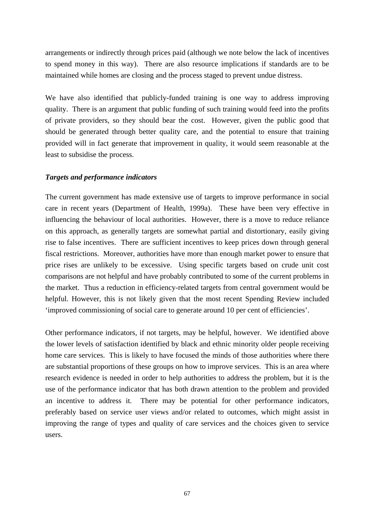arrangements or indirectly through prices paid (although we note below the lack of incentives to spend money in this way). There are also resource implications if standards are to be maintained while homes are closing and the process staged to prevent undue distress.

We have also identified that publicly-funded training is one way to address improving quality. There is an argument that public funding of such training would feed into the profits of private providers, so they should bear the cost. However, given the public good that should be generated through better quality care, and the potential to ensure that training provided will in fact generate that improvement in quality, it would seem reasonable at the least to subsidise the process.

# *Targets and performance indicators*

The current government has made extensive use of targets to improve performance in social care in recent years (Department of Health, 1999a). These have been very effective in influencing the behaviour of local authorities. However, there is a move to reduce reliance on this approach, as generally targets are somewhat partial and distortionary, easily giving rise to false incentives. There are sufficient incentives to keep prices down through general fiscal restrictions. Moreover*,* authorities have more than enough market power to ensure that price rises are unlikely to be excessive. Using specific targets based on crude unit cost comparisons are not helpful and have probably contributed to some of the current problems in the market. Thus a reduction in efficiency-related targets from central government would be helpful. However, this is not likely given that the most recent Spending Review included 'improved commissioning of social care to generate around 10 per cent of efficiencies'.

Other performance indicators, if not targets, may be helpful, however. We identified above the lower levels of satisfaction identified by black and ethnic minority older people receiving home care services. This is likely to have focused the minds of those authorities where there are substantial proportions of these groups on how to improve services. This is an area where research evidence is needed in order to help authorities to address the problem, but it is the use of the performance indicator that has both drawn attention to the problem and provided an incentive to address it. There may be potential for other performance indicators, preferably based on service user views and/or related to outcomes, which might assist in improving the range of types and quality of care services and the choices given to service users.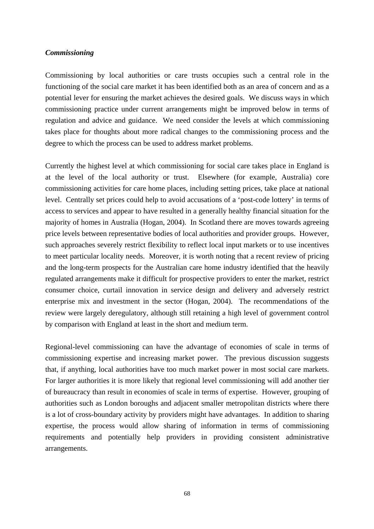#### *Commissioning*

Commissioning by local authorities or care trusts occupies such a central role in the functioning of the social care market it has been identified both as an area of concern and as a potential lever for ensuring the market achieves the desired goals. We discuss ways in which commissioning practice under current arrangements might be improved below in terms of regulation and advice and guidance. We need consider the levels at which commissioning takes place for thoughts about more radical changes to the commissioning process and the degree to which the process can be used to address market problems.

Currently the highest level at which commissioning for social care takes place in England is at the level of the local authority or trust. Elsewhere (for example, Australia) core commissioning activities for care home places, including setting prices, take place at national level. Centrally set prices could help to avoid accusations of a 'post-code lottery' in terms of access to services and appear to have resulted in a generally healthy financial situation for the majority of homes in Australia (Hogan, 2004). In Scotland there are moves towards agreeing price levels between representative bodies of local authorities and provider groups. However, such approaches severely restrict flexibility to reflect local input markets or to use incentives to meet particular locality needs. Moreover, it is worth noting that a recent review of pricing and the long-term prospects for the Australian care home industry identified that the heavily regulated arrangements make it difficult for prospective providers to enter the market, restrict consumer choice, curtail innovation in service design and delivery and adversely restrict enterprise mix and investment in the sector (Hogan, 2004). The recommendations of the review were largely deregulatory, although still retaining a high level of government control by comparison with England at least in the short and medium term.

Regional-level commissioning can have the advantage of economies of scale in terms of commissioning expertise and increasing market power. The previous discussion suggests that, if anything, local authorities have too much market power in most social care markets. For larger authorities it is more likely that regional level commissioning will add another tier of bureaucracy than result in economies of scale in terms of expertise. However, grouping of authorities such as London boroughs and adjacent smaller metropolitan districts where there is a lot of cross-boundary activity by providers might have advantages. In addition to sharing expertise, the process would allow sharing of information in terms of commissioning requirements and potentially help providers in providing consistent administrative arrangements.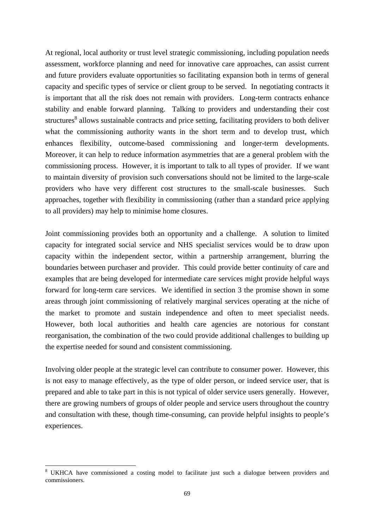At regional, local authority or trust level strategic commissioning, including population needs assessment, workforce planning and need for innovative care approaches, can assist current and future providers evaluate opportunities so facilitating expansion both in terms of general capacity and specific types of service or client group to be served. In negotiating contracts it is important that all the risk does not remain with providers. Long-term contracts enhance stability and enable forward planning. Talking to providers and understanding their cost structures<sup>[8](#page-72-0)</sup> allows sustainable contracts and price setting, facilitating providers to both deliver what the commissioning authority wants in the short term and to develop trust, which enhances flexibility, outcome-based commissioning and longer-term developments. Moreover, it can help to reduce information asymmetries that are a general problem with the commissioning process. However, it is important to talk to all types of provider. If we want to maintain diversity of provision such conversations should not be limited to the large-scale providers who have very different cost structures to the small-scale businesses. Such approaches, together with flexibility in commissioning (rather than a standard price applying to all providers) may help to minimise home closures.

Joint commissioning provides both an opportunity and a challenge. A solution to limited capacity for integrated social service and NHS specialist services would be to draw upon capacity within the independent sector, within a partnership arrangement, blurring the boundaries between purchaser and provider. This could provide better continuity of care and examples that are being developed for intermediate care services might provide helpful ways forward for long-term care services. We identified in section 3 the promise shown in some areas through joint commissioning of relatively marginal services operating at the niche of the market to promote and sustain independence and often to meet specialist needs. However, both local authorities and health care agencies are notorious for constant reorganisation, the combination of the two could provide additional challenges to building up the expertise needed for sound and consistent commissioning.

Involving older people at the strategic level can contribute to consumer power. However, this is not easy to manage effectively, as the type of older person, or indeed service user, that is prepared and able to take part in this is not typical of older service users generally. However, there are growing numbers of groups of older people and service users throughout the country and consultation with these, though time-consuming, can provide helpful insights to people's experiences.

<span id="page-72-0"></span> $\overline{a}$ <sup>8</sup> UKHCA have commissioned a costing model to facilitate just such a dialogue between providers and commissioners.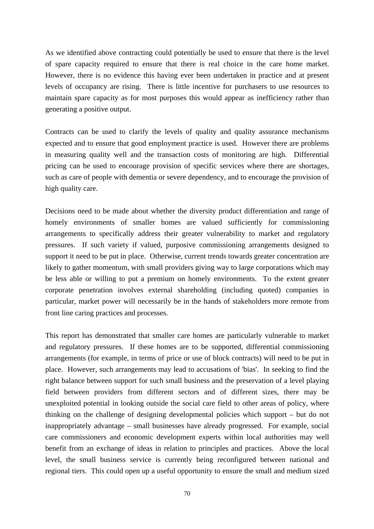As we identified above contracting could potentially be used to ensure that there is the level of spare capacity required to ensure that there is real choice in the care home market. However, there is no evidence this having ever been undertaken in practice and at present levels of occupancy are rising. There is little incentive for purchasers to use resources to maintain spare capacity as for most purposes this would appear as inefficiency rather than generating a positive output.

Contracts can be used to clarify the levels of quality and quality assurance mechanisms expected and to ensure that good employment practice is used. However there are problems in measuring quality well and the transaction costs of monitoring are high*.* Differential pricing can be used to encourage provision of specific services where there are shortages, such as care of people with dementia or severe dependency, and to encourage the provision of high quality care.

Decisions need to be made about whether the diversity product differentiation and range of homely environments of smaller homes are valued sufficiently for commissioning arrangements to specifically address their greater vulnerability to market and regulatory pressures. If such variety if valued, purposive commissioning arrangements designed to support it need to be put in place. Otherwise, current trends towards greater concentration are likely to gather momentum, with small providers giving way to large corporations which may be less able or willing to put a premium on homely environments. To the extent greater corporate penetration involves external shareholding (including quoted) companies in particular, market power will necessarily be in the hands of stakeholders more remote from front line caring practices and processes.

This report has demonstrated that smaller care homes are particularly vulnerable to market and regulatory pressures. If these homes are to be supported, differential commissioning arrangements (for example, in terms of price or use of block contracts) will need to be put in place. However, such arrangements may lead to accusations of 'bias'. In seeking to find the right balance between support for such small business and the preservation of a level playing field between providers from different sectors and of different sizes, there may be unexploited potential in looking outside the social care field to other areas of policy, where thinking on the challenge of designing developmental policies which support – but do not inappropriately advantage – small businesses have already progressed. For example, social care commissioners and economic development experts within local authorities may well benefit from an exchange of ideas in relation to principles and practices. Above the local level, the small business service is currently being reconfigured between national and regional tiers. This could open up a useful opportunity to ensure the small and medium sized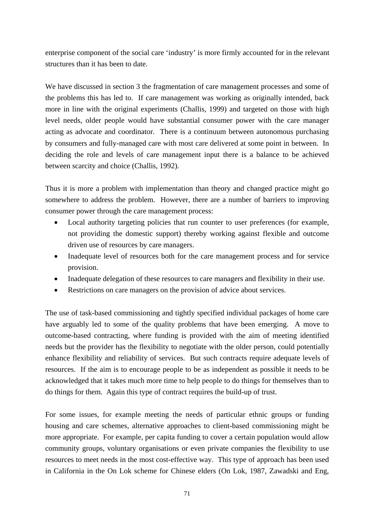enterprise component of the social care 'industry' is more firmly accounted for in the relevant structures than it has been to date.

We have discussed in section 3 the fragmentation of care management processes and some of the problems this has led to. If care management was working as originally intended, back more in line with the original experiments (Challis, 1999) and targeted on those with high level needs, older people would have substantial consumer power with the care manager acting as advocate and coordinator. There is a continuum between autonomous purchasing by consumers and fully-managed care with most care delivered at some point in between. In deciding the role and levels of care management input there is a balance to be achieved between scarcity and choice (Challis, 1992).

Thus it is more a problem with implementation than theory and changed practice might go somewhere to address the problem. However, there are a number of barriers to improving consumer power through the care management process:

- Local authority targeting policies that run counter to user preferences (for example, not providing the domestic support) thereby working against flexible and outcome driven use of resources by care managers.
- Inadequate level of resources both for the care management process and for service provision.
- Inadequate delegation of these resources to care managers and flexibility in their use.
- Restrictions on care managers on the provision of advice about services.

The use of task-based commissioning and tightly specified individual packages of home care have arguably led to some of the quality problems that have been emerging. A move to outcome-based contracting, where funding is provided with the aim of meeting identified needs but the provider has the flexibility to negotiate with the older person, could potentially enhance flexibility and reliability of services. But such contracts require adequate levels of resources. If the aim is to encourage people to be as independent as possible it needs to be acknowledged that it takes much more time to help people to do things for themselves than to do things for them. Again this type of contract requires the build-up of trust.

For some issues, for example meeting the needs of particular ethnic groups or funding housing and care schemes, alternative approaches to client-based commissioning might be more appropriate. For example, per capita funding to cover a certain population would allow community groups, voluntary organisations or even private companies the flexibility to use resources to meet needs in the most cost-effective way. This type of approach has been used in California in the On Lok scheme for Chinese elders (On Lok, 1987, Zawadski and Eng,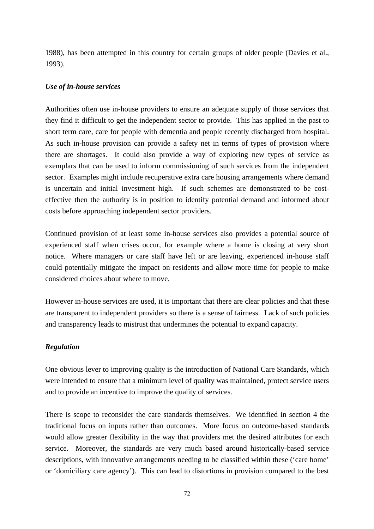1988), has been attempted in this country for certain groups of older people (Davies et al., 1993).

### *Use of in-house services*

Authorities often use in-house providers to ensure an adequate supply of those services that they find it difficult to get the independent sector to provide. This has applied in the past to short term care, care for people with dementia and people recently discharged from hospital. As such in-house provision can provide a safety net in terms of types of provision where there are shortages. It could also provide a way of exploring new types of service as exemplars that can be used to inform commissioning of such services from the independent sector. Examples might include recuperative extra care housing arrangements where demand is uncertain and initial investment high. If such schemes are demonstrated to be costeffective then the authority is in position to identify potential demand and informed about costs before approaching independent sector providers.

Continued provision of at least some in-house services also provides a potential source of experienced staff when crises occur, for example where a home is closing at very short notice. Where managers or care staff have left or are leaving, experienced in-house staff could potentially mitigate the impact on residents and allow more time for people to make considered choices about where to move.

However in-house services are used, it is important that there are clear policies and that these are transparent to independent providers so there is a sense of fairness. Lack of such policies and transparency leads to mistrust that undermines the potential to expand capacity.

# *Regulation*

One obvious lever to improving quality is the introduction of National Care Standards, which were intended to ensure that a minimum level of quality was maintained, protect service users and to provide an incentive to improve the quality of services.

There is scope to reconsider the care standards themselves. We identified in section 4 the traditional focus on inputs rather than outcomes. More focus on outcome-based standards would allow greater flexibility in the way that providers met the desired attributes for each service. Moreover, the standards are very much based around historically-based service descriptions, with innovative arrangements needing to be classified within these ('care home' or 'domiciliary care agency'). This can lead to distortions in provision compared to the best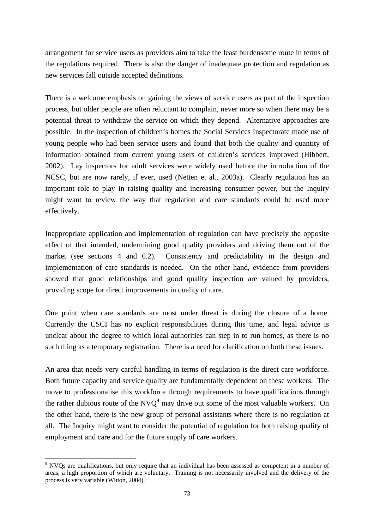arrangement for service users as providers aim to take the least burdensome route in terms of the regulations required. There is also the danger of inadequate protection and regulation as new services fall outside accepted definitions.

There is a welcome emphasis on gaining the views of service users as part of the inspection process, but older people are often reluctant to complain, never more so when there may be a potential threat to withdraw the service on which they depend. Alternative approaches are possible. In the inspection of children's homes the Social Services Inspectorate made use of young people who had been service users and found that both the quality and quantity of information obtained from current young users of children's services improved (Hibbert, 2002). Lay inspectors for adult services were widely used before the introduction of the NCSC, but are now rarely, if ever, used (Netten et al., 2003a). Clearly regulation has an important role to play in raising quality and increasing consumer power, but the Inquiry might want to review the way that regulation and care standards could be used more effectively.

Inappropriate application and implementation of regulation can have precisely the opposite effect of that intended, undermining good quality providers and driving them out of the market (see sections 4 and 6.2). Consistency and predictability in the design and implementation of care standards is needed. On the other hand, evidence from providers showed that good relationships and good quality inspection are valued by providers, providing scope for direct improvements in quality of care.

One point when care standards are most under threat is during the closure of a home. Currently the CSCI has no explicit responsibilities during this time, and legal advice is unclear about the degree to which local authorities can step in to run homes, as there is no such thing as a temporary registration. There is a need for clarification on both these issues.

An area that needs very careful handling in terms of regulation is the direct care workforce. Both future capacity and service quality are fundamentally dependent on these workers. The move to professionalise this workforce through requirements to have qualifications through the rather dubious route of the NVQ<sup>[9](#page-76-0)</sup> may drive out some of the most valuable workers. On the other hand, there is the new group of personal assistants where there is no regulation at all. The Inquiry might want to consider the potential of regulation for both raising quality of employment and care and for the future supply of care workers.

<span id="page-76-0"></span> $\overline{a}$ <sup>9</sup> NVQs are qualifications, but only require that an individual has been assessed as competent in a number of areas, a high proportion of which are voluntary. Training is not necessarily involved and the delivery of the process is very variable (Witton, 2004).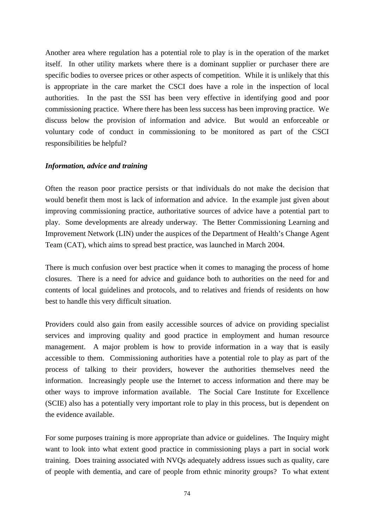Another area where regulation has a potential role to play is in the operation of the market itself. In other utility markets where there is a dominant supplier or purchaser there are specific bodies to oversee prices or other aspects of competition. While it is unlikely that this is appropriate in the care market the CSCI does have a role in the inspection of local authorities. In the past the SSI has been very effective in identifying good and poor commissioning practice. Where there has been less success has been improving practice. We discuss below the provision of information and advice. But would an enforceable or voluntary code of conduct in commissioning to be monitored as part of the CSCI responsibilities be helpful?

#### *Information, advice and training*

Often the reason poor practice persists or that individuals do not make the decision that would benefit them most is lack of information and advice. In the example just given about improving commissioning practice, authoritative sources of advice have a potential part to play. Some developments are already underway. The Better Commissioning Learning and Improvement Network (LIN) under the auspices of the Department of Health's Change Agent Team (CAT), which aims to spread best practice, was launched in March 2004.

There is much confusion over best practice when it comes to managing the process of home closures. There is a need for advice and guidance both to authorities on the need for and contents of local guidelines and protocols, and to relatives and friends of residents on how best to handle this very difficult situation.

Providers could also gain from easily accessible sources of advice on providing specialist services and improving quality and good practice in employment and human resource management. A major problem is how to provide information in a way that is easily accessible to them. Commissioning authorities have a potential role to play as part of the process of talking to their providers, however the authorities themselves need the information. Increasingly people use the Internet to access information and there may be other ways to improve information available. The Social Care Institute for Excellence (SCIE) also has a potentially very important role to play in this process, but is dependent on the evidence available.

For some purposes training is more appropriate than advice or guidelines. The Inquiry might want to look into what extent good practice in commissioning plays a part in social work training. Does training associated with NVQs adequately address issues such as quality, care of people with dementia, and care of people from ethnic minority groups? To what extent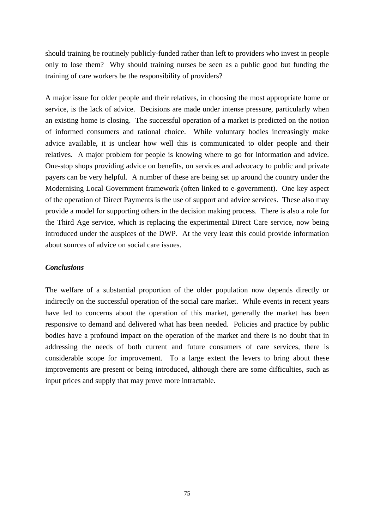should training be routinely publicly-funded rather than left to providers who invest in people only to lose them? Why should training nurses be seen as a public good but funding the training of care workers be the responsibility of providers?

A major issue for older people and their relatives, in choosing the most appropriate home or service, is the lack of advice. Decisions are made under intense pressure, particularly when an existing home is closing. The successful operation of a market is predicted on the notion of informed consumers and rational choice. While voluntary bodies increasingly make advice available, it is unclear how well this is communicated to older people and their relatives. A major problem for people is knowing where to go for information and advice. One-stop shops providing advice on benefits, on services and advocacy to public and private payers can be very helpful. A number of these are being set up around the country under the Modernising Local Government framework (often linked to e-government). One key aspect of the operation of Direct Payments is the use of support and advice services. These also may provide a model for supporting others in the decision making process. There is also a role for the Third Age service, which is replacing the experimental Direct Care service, now being introduced under the auspices of the DWP. At the very least this could provide information about sources of advice on social care issues.

### *Conclusions*

The welfare of a substantial proportion of the older population now depends directly or indirectly on the successful operation of the social care market. While events in recent years have led to concerns about the operation of this market, generally the market has been responsive to demand and delivered what has been needed. Policies and practice by public bodies have a profound impact on the operation of the market and there is no doubt that in addressing the needs of both current and future consumers of care services, there is considerable scope for improvement. To a large extent the levers to bring about these improvements are present or being introduced, although there are some difficulties, such as input prices and supply that may prove more intractable.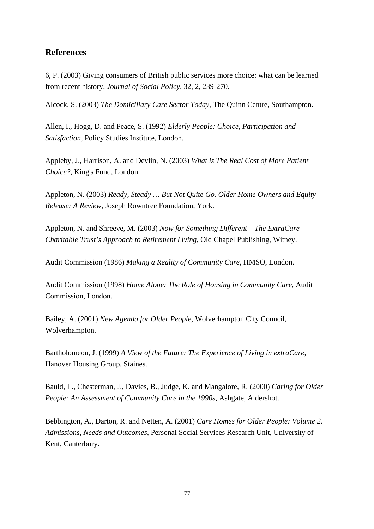# **References**

6, P. (2003) Giving consumers of British public services more choice: what can be learned from recent history, *Journal of Social Policy*, 32, 2, 239-270.

Alcock, S. (2003) *The Domiciliary Care Sector Today*, The Quinn Centre, Southampton.

Allen, I., Hogg, D. and Peace, S. (1992) *Elderly People: Choice, Participation and Satisfaction*, Policy Studies Institute, London.

Appleby, J., Harrison, A. and Devlin, N. (2003) *What is The Real Cost of More Patient Choice?*, King's Fund, London.

Appleton, N. (2003) *Ready, Steady … But Not Quite Go. Older Home Owners and Equity Release: A Review*, Joseph Rowntree Foundation, York.

Appleton, N. and Shreeve, M. (2003) *Now for Something Different – The ExtraCare Charitable Trust's Approach to Retirement Living*, Old Chapel Publishing, Witney.

Audit Commission (1986) *Making a Reality of Community Care*, HMSO, London.

Audit Commission (1998) *Home Alone: The Role of Housing in Community Care*, Audit Commission, London.

Bailey, A. (2001) *New Agenda for Older People*, Wolverhampton City Council, Wolverhampton.

Bartholomeou, J. (1999) *A View of the Future: The Experience of Living in extraCare*, Hanover Housing Group, Staines.

Bauld, L., Chesterman, J., Davies, B., Judge, K. and Mangalore, R. (2000) *Caring for Older People: An Assessment of Community Care in the 1990s*, Ashgate, Aldershot.

Bebbington, A., Darton, R. and Netten, A. (2001) *Care Homes for Older People: Volume 2. Admissions, Needs and Outcomes*, Personal Social Services Research Unit, University of Kent, Canterbury.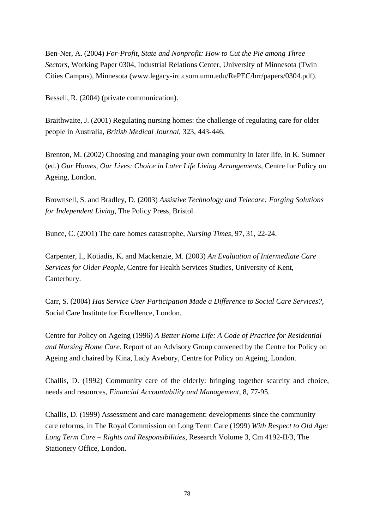Ben-Ner, A. (2004) *For-Profit, State and Nonprofit: How to Cut the Pie among Three Sectors*, Working Paper 0304, Industrial Relations Center, University of Minnesota (Twin Cities Campus), Minnesota (www.legacy-irc.csom.umn.edu/RePEC/hrr/papers/0304.pdf).

Bessell, R. (2004) (private communication).

Braithwaite, J. (2001) Regulating nursing homes: the challenge of regulating care for older people in Australia, *British Medical Journal*, 323, 443-446.

Brenton, M. (2002) Choosing and managing your own community in later life, in K. Sumner (ed.) *Our Homes, Our Lives: Choice in Later Life Living Arrangements*, Centre for Policy on Ageing, London.

Brownsell, S. and Bradley, D. (2003) *Assistive Technology and Telecare: Forging Solutions for Independent Living*, The Policy Press, Bristol.

Bunce, C. (2001) The care homes catastrophe, *Nursing Times*, 97, 31, 22-24.

Carpenter, I., Kotiadis, K. and Mackenzie, M. (2003) *An Evaluation of Intermediate Care Services for Older People*, Centre for Health Services Studies, University of Kent, Canterbury.

Carr, S. (2004) *Has Service User Participation Made a Difference to Social Care Services?*, Social Care Institute for Excellence, London.

Centre for Policy on Ageing (1996) *A Better Home Life: A Code of Practice for Residential and Nursing Home Care*. Report of an Advisory Group convened by the Centre for Policy on Ageing and chaired by Kina, Lady Avebury, Centre for Policy on Ageing, London.

Challis, D. (1992) Community care of the elderly: bringing together scarcity and choice, needs and resources, *Financial Accountability and Management*, 8, 77-95.

Challis, D. (1999) Assessment and care management: developments since the community care reforms, in The Royal Commission on Long Term Care (1999) *With Respect to Old Age: Long Term Care – Rights and Responsibilities,* Research Volume 3, Cm 4192-II/3, The Stationery Office, London.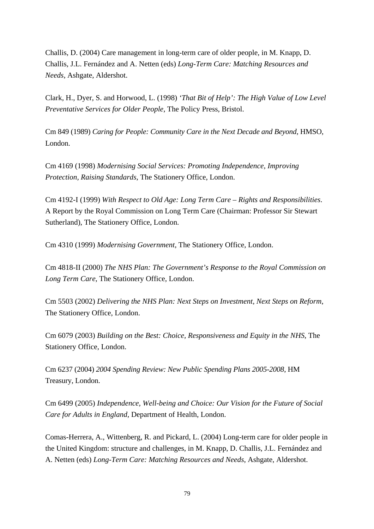Challis, D. (2004) Care management in long-term care of older people, in M. Knapp, D. Challis, J.L. Fernández and A. Netten (eds) *Long-Term Care: Matching Resources and Needs*, Ashgate, Aldershot.

Clark, H., Dyer, S. and Horwood, L. (1998) *'That Bit of Help': The High Value of Low Level Preventative Services for Older People*, The Policy Press, Bristol.

Cm 849 (1989) *Caring for People: Community Care in the Next Decade and Beyond*, HMSO, London.

Cm 4169 (1998) *Modernising Social Services: Promoting Independence, Improving Protection, Raising Standards*, The Stationery Office, London.

Cm 4192-I (1999) *With Respect to Old Age: Long Term Care – Rights and Responsibilities*. A Report by the Royal Commission on Long Term Care (Chairman: Professor Sir Stewart Sutherland), The Stationery Office, London.

Cm 4310 (1999) *Modernising Government*, The Stationery Office, London.

Cm 4818-II (2000) *The NHS Plan: The Government's Response to the Royal Commission on Long Term Care*, The Stationery Office, London.

Cm 5503 (2002) *Delivering the NHS Plan: Next Steps on Investment, Next Steps on Reform*, The Stationery Office, London.

Cm 6079 (2003) *Building on the Best: Choice, Responsiveness and Equity in the NHS*, The Stationery Office, London.

Cm 6237 (2004) *2004 Spending Review: New Public Spending Plans 2005-2008*, HM Treasury, London.

Cm 6499 (2005) *Independence, Well-being and Choice: Our Vision for the Future of Social Care for Adults in England*, Department of Health, London.

Comas-Herrera, A., Wittenberg, R. and Pickard, L. (2004) Long-term care for older people in the United Kingdom: structure and challenges, in M. Knapp, D. Challis, J.L. Fernández and A. Netten (eds) *Long-Term Care: Matching Resources and Needs*, Ashgate, Aldershot.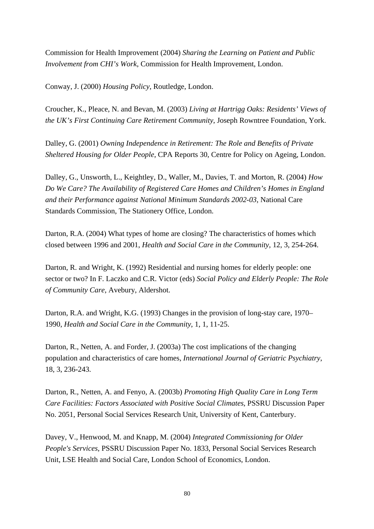Commission for Health Improvement (2004) *Sharing the Learning on Patient and Public Involvement from CHI's Work*, Commission for Health Improvement, London.

Conway, J. (2000) *Housing Policy*, Routledge, London.

Croucher, K., Pleace, N. and Bevan, M. (2003) *Living at Hartrigg Oaks: Residents' Views of the UK's First Continuing Care Retirement Community*, Joseph Rowntree Foundation, York.

Dalley, G. (2001) *Owning Independence in Retirement: The Role and Benefits of Private Sheltered Housing for Older People*, CPA Reports 30, Centre for Policy on Ageing, London.

Dalley, G., Unsworth, L., Keightley, D., Waller, M., Davies, T. and Morton, R. (2004) *How Do We Care? The Availability of Registered Care Homes and Children's Homes in England and their Performance against National Minimum Standards 2002-03*, National Care Standards Commission, The Stationery Office, London.

Darton, R.A. (2004) What types of home are closing? The characteristics of homes which closed between 1996 and 2001, *Health and Social Care in the Community*, 12, 3, 254-264.

Darton, R. and Wright, K. (1992) Residential and nursing homes for elderly people: one sector or two? In F. Laczko and C.R. Victor (eds) *Social Policy and Elderly People: The Role of Community Care*, Avebury, Aldershot.

Darton, R.A. and Wright, K.G. (1993) Changes in the provision of long-stay care, 1970– 1990, *Health and Social Care in the Community*, 1, 1, 11-25.

Darton, R., Netten, A. and Forder, J. (2003a) The cost implications of the changing population and characteristics of care homes, *International Journal of Geriatric Psychiatry*, 18, 3, 236-243.

Darton, R., Netten, A. and Fenyo, A. (2003b) *Promoting High Quality Care in Long Term Care Facilities: Factors Associated with Positive Social Climates*, PSSRU Discussion Paper No. 2051, Personal Social Services Research Unit, University of Kent, Canterbury.

Davey, V., Henwood, M. and Knapp, M. (2004) *Integrated Commissioning for Older People's Services*, PSSRU Discussion Paper No. 1833, Personal Social Services Research Unit, LSE Health and Social Care, London School of Economics, London.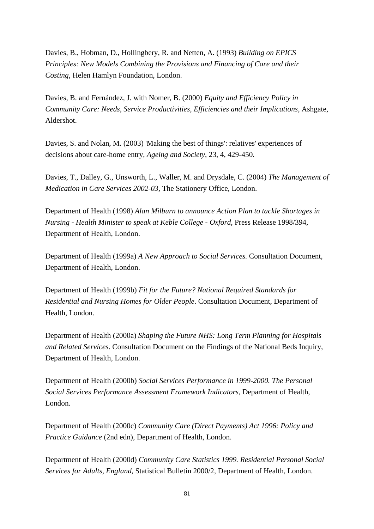Davies, B., Hobman, D., Hollingbery, R. and Netten, A. (1993) *Building on EPICS Principles: New Models Combining the Provisions and Financing of Care and their Costing*, Helen Hamlyn Foundation, London.

Davies, B. and Fernández, J. with Nomer, B. (2000) *Equity and Efficiency Policy in Community Care: Needs, Service Productivities, Efficiencies and their Implications*, Ashgate, Aldershot.

Davies, S. and Nolan, M. (2003) 'Making the best of things': relatives' experiences of decisions about care-home entry, *Ageing and Society*, 23, 4, 429-450.

Davies, T., Dalley, G., Unsworth, L., Waller, M. and Drysdale, C. (2004) *The Management of Medication in Care Services 2002-03*, The Stationery Office, London.

Department of Health (1998) *Alan Milburn to announce Action Plan to tackle Shortages in Nursing - Health Minister to speak at Keble College - Oxford*, Press Release 1998/394, Department of Health, London.

Department of Health (1999a) *A New Approach to Social Services.* Consultation Document, Department of Health, London.

Department of Health (1999b) *Fit for the Future? National Required Standards for Residential and Nursing Homes for Older People*. Consultation Document, Department of Health, London.

Department of Health (2000a) *Shaping the Future NHS: Long Term Planning for Hospitals and Related Services*. Consultation Document on the Findings of the National Beds Inquiry, Department of Health, London.

Department of Health (2000b) *Social Services Performance in 1999-2000. The Personal Social Services Performance Assessment Framework Indicators*, Department of Health, London.

Department of Health (2000c) *Community Care (Direct Payments) Act 1996: Policy and Practice Guidance* (2nd edn), Department of Health, London.

Department of Health (2000d) *Community Care Statistics 1999. Residential Personal Social Services for Adults, England*, Statistical Bulletin 2000/2, Department of Health, London.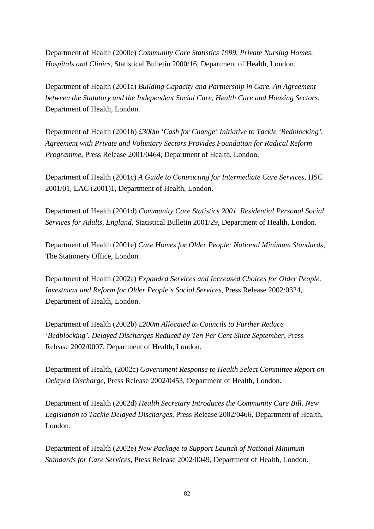Department of Health (2000e) *Community Care Statistics 1999. Private Nursing Homes, Hospitals and Clinics*, Statistical Bulletin 2000/16, Department of Health, London.

Department of Health (2001a) *Building Capacity and Partnership in Care. An Agreement between the Statutory and the Independent Social Care, Health Care and Housing Sectors*, Department of Health, London.

Department of Health (2001b) *£300m 'Cash for Change' Initiative to Tackle 'Bedblocking'. Agreement with Private and Voluntary Sectors Provides Foundation for Radical Reform Programme*, Press Release 2001/0464, Department of Health, London.

Department of Health (2001c) *A Guide to Contracting for Intermediate Care Services*, HSC 2001/01, LAC (2001)1, Department of Health, London.

Department of Health (2001d) *Community Care Statistics 2001. Residential Personal Social Services for Adults, England*, Statistical Bulletin 2001/29, Department of Health, London.

Department of Health (2001e) *Care Homes for Older People: National Minimum Standards*, The Stationery Office, London.

Department of Health (2002a) *Expanded Services and Increased Choices for Older People. Investment and Reform for Older People's Social Services*, Press Release 2002/0324, Department of Health, London.

Department of Health (2002b) *£200m Allocated to Councils to Further Reduce 'Bedblocking'. Delayed Discharges Reduced by Ten Per Cent Since September*, Press Release 2002/0007, Department of Health, London.

Department of Health, (2002c) *Government Response to Health Select Committee Report on Delayed Discharge,* Press Release 2002/0453, Department of Health, London.

Department of Health (2002d) *Health Secretary Introduces the Community Care Bill. New Legislation to Tackle Delayed Discharges*, Press Release 2002/0466, Department of Health, London.

Department of Health (2002e) *New Package to Support Launch of National Minimum Standards for Care Services*, Press Release 2002/0049, Department of Health, London.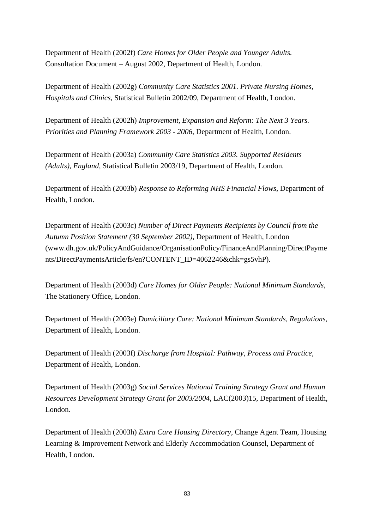Department of Health (2002f) *Care Homes for Older People and Younger Adults.*  Consultation Document – August 2002, Department of Health, London.

Department of Health (2002g) *Community Care Statistics 2001. Private Nursing Homes, Hospitals and Clinics*, Statistical Bulletin 2002/09, Department of Health, London.

Department of Health (2002h) *Improvement, Expansion and Reform: The Next 3 Years. Priorities and Planning Framework 2003 - 2006*, Department of Health, London.

Department of Health (2003a) *Community Care Statistics 2003. Supported Residents (Adults), England,* Statistical Bulletin 2003/19, Department of Health, London.

Department of Health (2003b) *Response to Reforming NHS Financial Flows,* Department of Health, London.

Department of Health (2003c) *Number of Direct Payments Recipients by Council from the Autumn Position Statement (30 September 2002)*, Department of Health, London (www.dh.gov.uk/PolicyAndGuidance/OrganisationPolicy/FinanceAndPlanning/DirectPayme nts/DirectPaymentsArticle/fs/en?CONTENT\_ID=4062246&chk=gs5vhP).

Department of Health (2003d) *Care Homes for Older People: National Minimum Standards,* The Stationery Office, London.

Department of Health (2003e) *Domiciliary Care: National Minimum Standards, Regulations,* Department of Health, London.

Department of Health (2003f) *Discharge from Hospital: Pathway, Process and Practice*, Department of Health, London.

Department of Health (2003g) *Social Services National Training Strategy Grant and Human Resources Development Strategy Grant for 2003/2004*, LAC(2003)15, Department of Health, London.

Department of Health (2003h) *Extra Care Housing Directory*, Change Agent Team, Housing Learning & Improvement Network and Elderly Accommodation Counsel, Department of Health, London.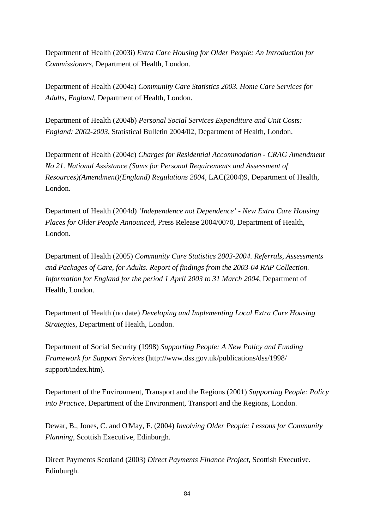Department of Health (2003i) *Extra Care Housing for Older People: An Introduction for Commissioners*, Department of Health, London.

Department of Health (2004a) *Community Care Statistics 2003. Home Care Services for Adults, England*, Department of Health, London.

Department of Health (2004b) *Personal Social Services Expenditure and Unit Costs: England: 2002-2003*, Statistical Bulletin 2004/02, Department of Health, London.

Department of Health (2004c) *Charges for Residential Accommodation - CRAG Amendment No 21. National Assistance (Sums for Personal Requirements and Assessment of Resources)(Amendment)(England) Regulations 2004*, LAC(2004)9, Department of Health, London.

Department of Health (2004d) *'Independence not Dependence' - New Extra Care Housing Places for Older People Announced*, Press Release 2004/0070, Department of Health, London.

Department of Health (2005) *Community Care Statistics 2003-2004. Referrals, Assessments and Packages of Care, for Adults. Report of findings from the 2003-04 RAP Collection. Information for England for the period 1 April 2003 to 31 March 2004*, Department of Health, London.

Department of Health (no date) *Developing and Implementing Local Extra Care Housing Strategies*, Department of Health, London.

Department of Social Security (1998) *Supporting People: A New Policy and Funding Framework for Support Services* ( <http://www.dss.gov.uk/publications/dss/1998/> support/index.htm).

Department of the Environment, Transport and the Regions (2001) *Supporting People: Policy into Practice*, Department of the Environment, Transport and the Regions, London.

Dewar, B., Jones, C. and O'May, F. (2004) *Involving Older People: Lessons for Community Planning*, Scottish Executive, Edinburgh.

Direct Payments Scotland (2003) *Direct Payments Finance Project*, Scottish Executive. Edinburgh.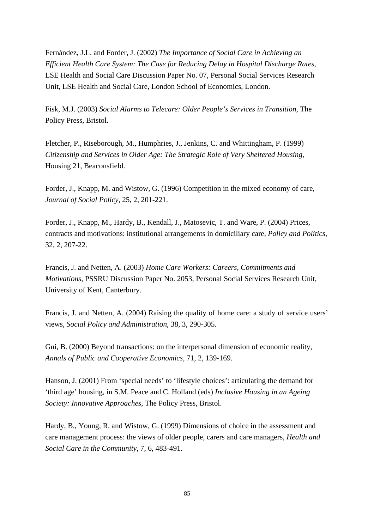Fernández, J.L. and Forder, J. (2002) *The Importance of Social Care in Achieving an Efficient Health Care System: The Case for Reducing Delay in Hospital Discharge Rates*, LSE Health and Social Care Discussion Paper No. 07, Personal Social Services Research Unit, LSE Health and Social Care, London School of Economics, London.

Fisk, M.J. (2003) *Social Alarms to Telecare: Older People's Services in Transition*, The Policy Press, Bristol.

Fletcher, P., Riseborough, M., Humphries, J., Jenkins, C. and Whittingham, P. (1999) *Citizenship and Services in Older Age: The Strategic Role of Very Sheltered Housing*, Housing 21, Beaconsfield.

Forder, J., Knapp, M. and Wistow, G. (1996) Competition in the mixed economy of care, *Journal of Social Policy*, 25, 2, 201-221.

Forder, J., Knapp, M., Hardy, B., Kendall, J., Matosevic, T. and Ware, P. (2004) Prices, contracts and motivations: institutional arrangements in domiciliary care, *Policy and Politics*, 32, 2, 207-22.

Francis, J. and Netten, A. (2003) *Home Care Workers: Careers, Commitments and Motivations*, PSSRU Discussion Paper No. 2053, Personal Social Services Research Unit, University of Kent, Canterbury.

Francis, J. and Netten, A. (2004) Raising the quality of home care: a study of service users' views, *Social Policy and Administration*, 38, 3, 290-305.

Gui, B. (2000) Beyond transactions: on the interpersonal dimension of economic reality, *Annals of Public and Cooperative Economics*, 71, 2, 139-169.

Hanson, J. (2001) From 'special needs' to 'lifestyle choices': articulating the demand for 'third age' housing, in S.M. Peace and C. Holland (eds) *Inclusive Housing in an Ageing Society: Innovative Approaches*, The Policy Press, Bristol.

Hardy, B., Young, R. and Wistow, G. (1999) Dimensions of choice in the assessment and care management process: the views of older people, carers and care managers, *Health and Social Care in the Community*, 7, 6, 483-491.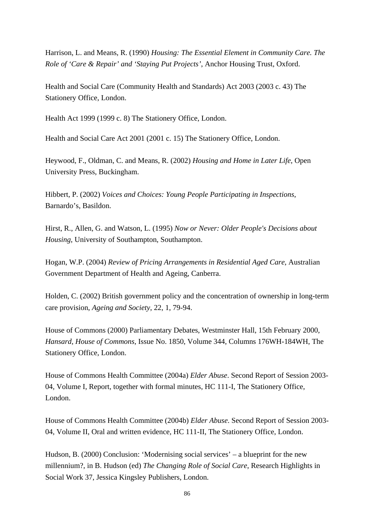Harrison, L. and Means, R. (1990) *Housing: The Essential Element in Community Care. The Role of 'Care & Repair' and 'Staying Put Projects'*, Anchor Housing Trust, Oxford.

Health and Social Care (Community Health and Standards) Act 2003 (2003 c. 43) The Stationery Office, London.

Health Act 1999 (1999 c. 8) The Stationery Office, London.

Health and Social Care Act 2001 (2001 c. 15) The Stationery Office, London.

Heywood, F., Oldman, C. and Means, R. (2002) *Housing and Home in Later Life*, Open University Press, Buckingham.

Hibbert, P. (2002) *Voices and Choices: Young People Participating in Inspections*, Barnardo's, Basildon.

Hirst, R., Allen, G. and Watson, L. (1995) *Now or Never: Older People's Decisions about Housing*, University of Southampton, Southampton.

Hogan, W.P. (2004) *Review of Pricing Arrangements in Residential Aged Care*, Australian Government Department of Health and Ageing, Canberra.

Holden, C. (2002) British government policy and the concentration of ownership in long-term care provision, *Ageing and Society*, 22, 1, 79-94.

House of Commons (2000) Parliamentary Debates, Westminster Hall, 15th February 2000, *Hansard, House of Commons*, Issue No. 1850, Volume 344, Columns 176WH-184WH, The Stationery Office, London.

House of Commons Health Committee (2004a) *Elder Abuse*. Second Report of Session 2003- 04, Volume I, Report, together with formal minutes, HC 111-I, The Stationery Office, London.

House of Commons Health Committee (2004b) *Elder Abuse*. Second Report of Session 2003- 04, Volume II, Oral and written evidence, HC 111-II, The Stationery Office, London.

Hudson, B. (2000) Conclusion: 'Modernising social services' – a blueprint for the new millennium?, in B. Hudson (ed) *The Changing Role of Social Care*, Research Highlights in Social Work 37, Jessica Kingsley Publishers, London.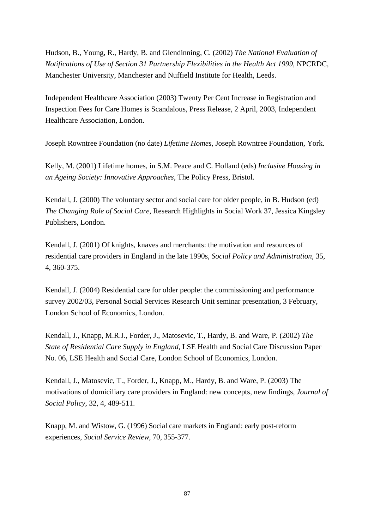Hudson, B., Young, R., Hardy, B. and Glendinning, C. (2002) *The National Evaluation of Notifications of Use of Section 31 Partnership Flexibilities in the Health Act 1999*, NPCRDC, Manchester University, Manchester and Nuffield Institute for Health, Leeds.

Independent Healthcare Association (2003) Twenty Per Cent Increase in Registration and Inspection Fees for Care Homes is Scandalous, Press Release, 2 April, 2003, Independent Healthcare Association, London.

Joseph Rowntree Foundation (no date) *Lifetime Homes*, Joseph Rowntree Foundation, York.

Kelly, M. (2001) Lifetime homes, in S.M. Peace and C. Holland (eds) *Inclusive Housing in an Ageing Society: Innovative Approaches*, The Policy Press, Bristol.

Kendall, J. (2000) The voluntary sector and social care for older people, in B. Hudson (ed) *The Changing Role of Social Care,* Research Highlights in Social Work 37, Jessica Kingsley Publishers, London.

Kendall, J. (2001) Of knights, knaves and merchants: the motivation and resources of residential care providers in England in the late 1990s, *Social Policy and Administration*, 35, 4, 360-375.

Kendall, J. (2004) Residential care for older people: the commissioning and performance survey 2002/03, Personal Social Services Research Unit seminar presentation, 3 February, London School of Economics, London.

Kendall, J., Knapp, M.R.J., Forder, J., Matosevic, T., Hardy, B. and Ware, P. (2002) *The State of Residential Care Supply in England*, LSE Health and Social Care Discussion Paper No. 06, LSE Health and Social Care, London School of Economics, London.

Kendall, J., Matosevic, T., Forder, J., Knapp, M., Hardy, B. and Ware, P. (2003) The motivations of domiciliary care providers in England: new concepts, new findings, *Journal of Social Policy*, 32, 4, 489-511.

Knapp, M. and Wistow, G. (1996) Social care markets in England: early post-reform experiences, *Social Service Review*, 70, 355-377.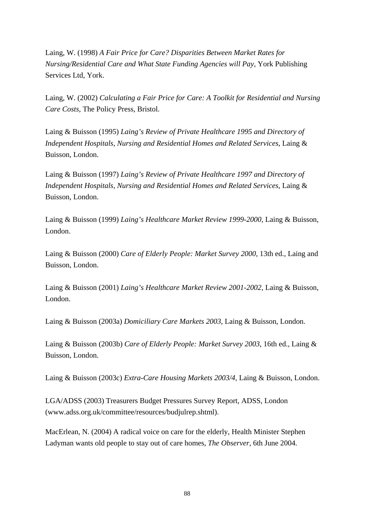Laing, W. (1998) *A Fair Price for Care? Disparities Between Market Rates for Nursing/Residential Care and What State Funding Agencies will Pay*, York Publishing Services Ltd, York.

Laing, W. (2002) *Calculating a Fair Price for Care: A Toolkit for Residential and Nursing Care Costs*, The Policy Press, Bristol.

Laing & Buisson (1995) *Laing's Review of Private Healthcare 1995 and Directory of Independent Hospitals, Nursing and Residential Homes and Related Services*, Laing & Buisson, London.

Laing & Buisson (1997) *Laing's Review of Private Healthcare 1997 and Directory of Independent Hospitals, Nursing and Residential Homes and Related Services*, Laing & Buisson, London.

Laing & Buisson (1999) *Laing's Healthcare Market Review 1999-2000*, Laing & Buisson, London.

Laing & Buisson (2000) *Care of Elderly People: Market Survey 2000*, 13th ed., Laing and Buisson, London.

Laing & Buisson (2001) *Laing's Healthcare Market Review 2001-2002*, Laing & Buisson, London.

Laing & Buisson (2003a) *Domiciliary Care Markets 2003*, Laing & Buisson, London.

Laing & Buisson (2003b) *Care of Elderly People: Market Survey 2003*, 16th ed., Laing & Buisson, London.

Laing & Buisson (2003c) *Extra-Care Housing Markets 2003/4*, Laing & Buisson, London.

LGA/ADSS (2003) Treasurers Budget Pressures Survey Report, ADSS, London (www.adss.org.uk/committee/resources/budjulrep.shtml).

MacErlean, N. (2004) A radical voice on care for the elderly, Health Minister Stephen Ladyman wants old people to stay out of care homes, *The Observer*, 6th June 2004.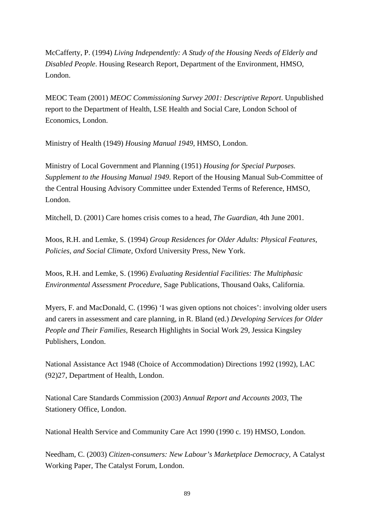McCafferty, P. (1994) *Living Independently: A Study of the Housing Needs of Elderly and Disabled People*. Housing Research Report, Department of the Environment, HMSO, London.

MEOC Team (2001) *MEOC Commissioning Survey 2001: Descriptive Report*. Unpublished report to the Department of Health, LSE Health and Social Care, London School of Economics, London.

Ministry of Health (1949) *Housing Manual 1949*, HMSO, London.

Ministry of Local Government and Planning (1951) *Housing for Special Purposes. Supplement to the Housing Manual 1949*. Report of the Housing Manual Sub-Committee of the Central Housing Advisory Committee under Extended Terms of Reference, HMSO, London.

Mitchell, D. (2001) Care homes crisis comes to a head, *The Guardian*, 4th June 2001.

Moos, R.H. and Lemke, S. (1994) *Group Residences for Older Adults: Physical Features, Policies, and Social Climate*, Oxford University Press, New York.

Moos, R.H. and Lemke, S. (1996) *Evaluating Residential Facilities: The Multiphasic Environmental Assessment Procedure*, Sage Publications, Thousand Oaks, California.

Myers, F. and MacDonald, C. (1996) 'I was given options not choices': involving older users and carers in assessment and care planning, in R. Bland (ed.) *Developing Services for Older People and Their Families,* Research Highlights in Social Work 29, Jessica Kingsley Publishers, London.

National Assistance Act 1948 (Choice of Accommodation) Directions 1992 (1992), LAC (92)27, Department of Health, London.

National Care Standards Commission (2003) *Annual Report and Accounts 2003*, The Stationery Office, London.

National Health Service and Community Care Act 1990 (1990 c. 19) HMSO, London.

Needham, C. (2003) *Citizen-consumers: New Labour's Marketplace Democracy,* A Catalyst Working Paper, The Catalyst Forum, London.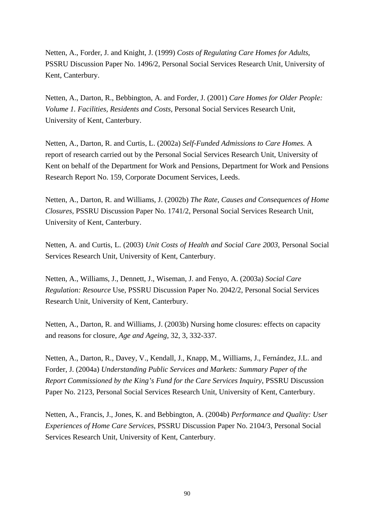Netten, A., Forder, J. and Knight, J. (1999) *Costs of Regulating Care Homes for Adults*, PSSRU Discussion Paper No. 1496/2, Personal Social Services Research Unit, University of Kent, Canterbury.

Netten, A., Darton, R., Bebbington, A. and Forder, J. (2001) *Care Homes for Older People: Volume 1. Facilities, Residents and Costs,* Personal Social Services Research Unit, University of Kent, Canterbury.

Netten, A., Darton, R. and Curtis, L. (2002a) *Self-Funded Admissions to Care Homes.* A report of research carried out by the Personal Social Services Research Unit, University of Kent on behalf of the Department for Work and Pensions, Department for Work and Pensions Research Report No. 159, Corporate Document Services, Leeds.

Netten, A., Darton, R. and Williams, J. (2002b) *The Rate, Causes and Consequences of Home Closures,* PSSRU Discussion Paper No. 1741/2, Personal Social Services Research Unit, University of Kent, Canterbury.

Netten, A. and Curtis, L. (2003) *Unit Costs of Health and Social Care 2003*, Personal Social Services Research Unit, University of Kent, Canterbury.

Netten, A., Williams, J., Dennett, J., Wiseman, J. and Fenyo, A. (2003a) *Social Care Regulation: Resource* Use, PSSRU Discussion Paper No. 2042/2, Personal Social Services Research Unit, University of Kent, Canterbury.

Netten, A., Darton, R. and Williams, J. (2003b) Nursing home closures: effects on capacity and reasons for closure, *Age and Ageing*, 32, 3, 332-337.

Netten, A., Darton, R., Davey, V., Kendall, J., Knapp, M., Williams, J., Fernández, J.L. and Forder, J. (2004a) *Understanding Public Services and Markets: Summary Paper of the Report Commissioned by the King's Fund for the Care Services Inquiry*, PSSRU Discussion Paper No. 2123, Personal Social Services Research Unit, University of Kent, Canterbury.

Netten, A., Francis, J., Jones, K. and Bebbington, A. (2004b) *Performance and Quality: User Experiences of Home Care Services*, PSSRU Discussion Paper No. 2104/3, Personal Social Services Research Unit, University of Kent, Canterbury.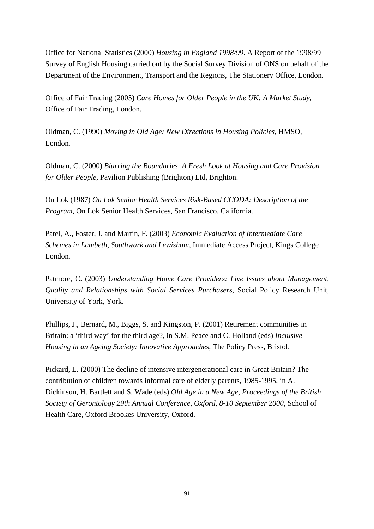Office for National Statistics (2000) *Housing in England 1998/99*. A Report of the 1998/99 Survey of English Housing carried out by the Social Survey Division of ONS on behalf of the Department of the Environment, Transport and the Regions, The Stationery Office, London.

Office of Fair Trading (2005) *Care Homes for Older People in the UK: A Market Study*, Office of Fair Trading, London.

Oldman, C. (1990) *Moving in Old Age: New Directions in Housing Policies*, HMSO, London.

Oldman, C. (2000) *Blurring the Boundaries*: *A Fresh Look at Housing and Care Provision for Older People*, Pavilion Publishing (Brighton) Ltd, Brighton.

On Lok (1987) *On Lok Senior Health Services Risk-Based CCODA: Description of the Program*, On Lok Senior Health Services, San Francisco, California.

Patel, A., Foster, J. and Martin, F. (2003) *Economic Evaluation of Intermediate Care Schemes in Lambeth, Southwark and Lewisham*, Immediate Access Project, Kings College London.

Patmore, C. (2003) *Understanding Home Care Providers: Live Issues about Management, Quality and Relationships with Social Services Purchasers*, Social Policy Research Unit, University of York, York.

Phillips, J., Bernard, M., Biggs, S. and Kingston, P. (2001) Retirement communities in Britain: a 'third way' for the third age?, in S.M. Peace and C. Holland (eds) *Inclusive Housing in an Ageing Society: Innovative Approaches*, The Policy Press, Bristol.

Pickard, L. (2000) The decline of intensive intergenerational care in Great Britain? The contribution of children towards informal care of elderly parents, 1985-1995, in A. Dickinson, H. Bartlett and S. Wade (eds) *Old Age in a New Age, Proceedings of the British Society of Gerontology 29th Annual Conference, Oxford, 8-10 September 2000*, School of Health Care, Oxford Brookes University, Oxford.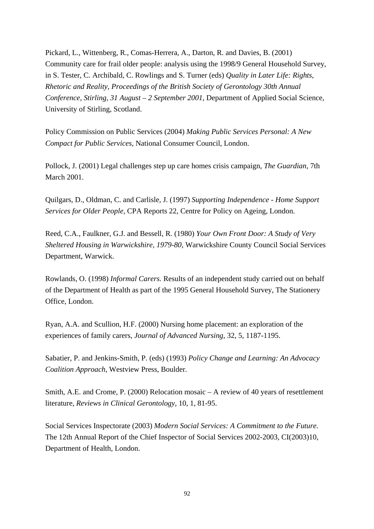Pickard, L., Wittenberg, R., Comas-Herrera, A., Darton, R. and Davies, B. (2001) Community care for frail older people: analysis using the 1998/9 General Household Survey, in S. Tester, C. Archibald, C. Rowlings and S. Turner (eds) *Quality in Later Life: Rights, Rhetoric and Reality, Proceedings of the British Society of Gerontology 30th Annual Conference, Stirling, 31 August – 2 September 2001*, Department of Applied Social Science, University of Stirling, Scotland.

Policy Commission on Public Services (2004) *Making Public Services Personal: A New Compact for Public Services*, National Consumer Council, London.

Pollock, J. (2001) Legal challenges step up care homes crisis campaign, *The Guardian*, 7th March 2001.

Quilgars, D., Oldman, C. and Carlisle, J. (1997) *Supporting Independence - Home Support Services for Older People,* CPA Reports 22, Centre for Policy on Ageing, London.

Reed, C.A., Faulkner, G.J. and Bessell, R. (1980) *Your Own Front Door: A Study of Very Sheltered Housing in Warwickshire, 1979-80*, Warwickshire County Council Social Services Department, Warwick.

Rowlands, O. (1998) *Informal Carers.* Results of an independent study carried out on behalf of the Department of Health as part of the 1995 General Household Survey, The Stationery Office, London.

Ryan, A.A. and Scullion, H.F. (2000) Nursing home placement: an exploration of the experiences of family carers, *Journal of Advanced Nursing*, 32, 5, 1187-1195.

Sabatier, P. and Jenkins-Smith, P. (eds) (1993) *Policy Change and Learning: An Advocacy Coalition Approach*, Westview Press, Boulder.

Smith, A.E. and Crome, P. (2000) Relocation mosaic – A review of 40 years of resettlement literature, *Reviews in Clinical Gerontology*, 10, 1, 81-95.

Social Services Inspectorate (2003) *Modern Social Services: A Commitment to the Future.*  The 12th Annual Report of the Chief Inspector of Social Services 2002-2003, CI(2003)10, Department of Health, London.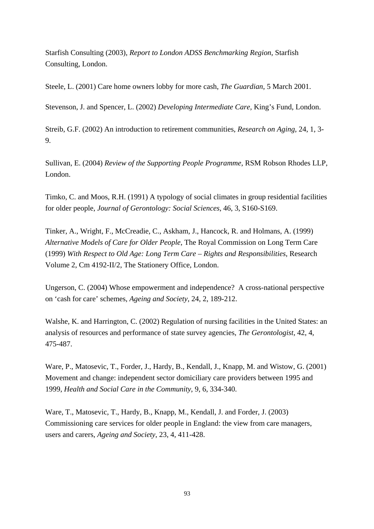Starfish Consulting (2003), *Report to London ADSS Benchmarking Region*, Starfish Consulting, London.

Steele, L. (2001) Care home owners lobby for more cash, *The Guardian*, 5 March 2001.

Stevenson, J. and Spencer, L. (2002) *Developing Intermediate Care,* King's Fund, London.

Streib, G.F. (2002) An introduction to retirement communities, *Research on Aging*, 24, 1, 3- 9.

Sullivan, E. (2004) *Review of the Supporting People Programme*, RSM Robson Rhodes LLP, London.

Timko, C. and Moos, R.H. (1991) A typology of social climates in group residential facilities for older people, *Journal of Gerontology: Social Sciences*, 46, 3, S160-S169.

Tinker, A., Wright, F., McCreadie, C., Askham, J., Hancock, R. and Holmans, A. (1999) *Alternative Models of Care for Older People*, The Royal Commission on Long Term Care (1999) *With Respect to Old Age: Long Term Care – Rights and Responsibilities*, Research Volume 2, Cm 4192-II/2, The Stationery Office, London.

Ungerson, C. (2004) Whose empowerment and independence? A cross-national perspective on 'cash for care' schemes, *Ageing and Society*, 24, 2, 189-212.

Walshe, K. and Harrington, C. (2002) Regulation of nursing facilities in the United States: an analysis of resources and performance of state survey agencies, *The Gerontologist*, 42, 4, 475-487.

Ware, P., Matosevic, T., Forder, J., Hardy, B., Kendall, J., Knapp, M. and Wistow, G. (2001) Movement and change: independent sector domiciliary care providers between 1995 and 1999, *Health and Social Care in the Community*, 9, 6, 334-340.

Ware, T., Matosevic, T., Hardy, B., Knapp, M., Kendall, J. and Forder, J. (2003) Commissioning care services for older people in England: the view from care managers, users and carers, *Ageing and Society*, 23, 4, 411-428.